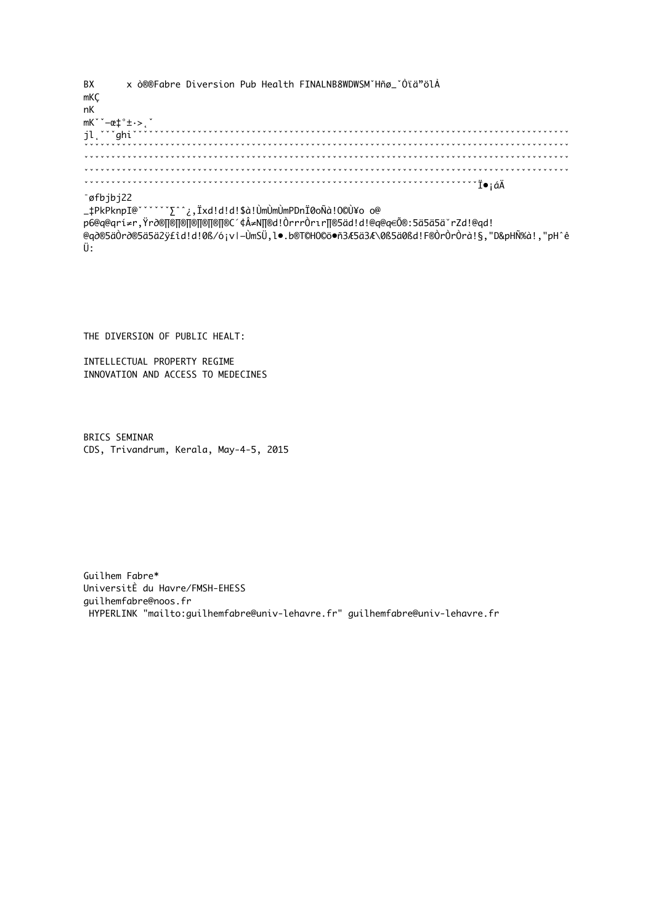**BX** x d®®Fabre Diversion Pub Health FINALNB8WDWSM'Hñø\_'Òïä"ölÀ mKÇ  $\sf nK$  $mK^* - \alpha \uparrow^{\circ} \pm \cdot > 0$ <br>jl strategistics <sup>-</sup>øfbjbj22 p6@q@qrí≠r,Ÿrd®∏®∏®∏®∏®∏®C´¢Â≠N∏®d!ÒrrrÒrır∏®5äd!d!@q@q€Õ®:5ä5ä5ä~rZd!@qd! @qd@5äOrd@5ä5ä2y£îd!d!0ß/ojvl-UmSÜ,l•.b@T©HO@ö•ñ3Æ5ä3Æ\0ß5ä0ßd!F@OrOrOra!§,"D&pHÑ%a!,"pH^ê  $\ddot{\mathbf{U}}$ :

THE DIVERSION OF PUBLIC HEALT:

INTELLECTUAL PROPERTY REGIME INNOVATION AND ACCESS TO MEDECINES

BRICS SEMINAR CDS, Trivandrum, Kerala, May-4-5, 2015

Guilhem Fabre\* UniversitÈ du Havre/FMSH-EHESS guilhemfabre@noos.fr HYPERLINK "mailto:guilhemfabre@univ-lehavre.fr" guilhemfabre@univ-lehavre.fr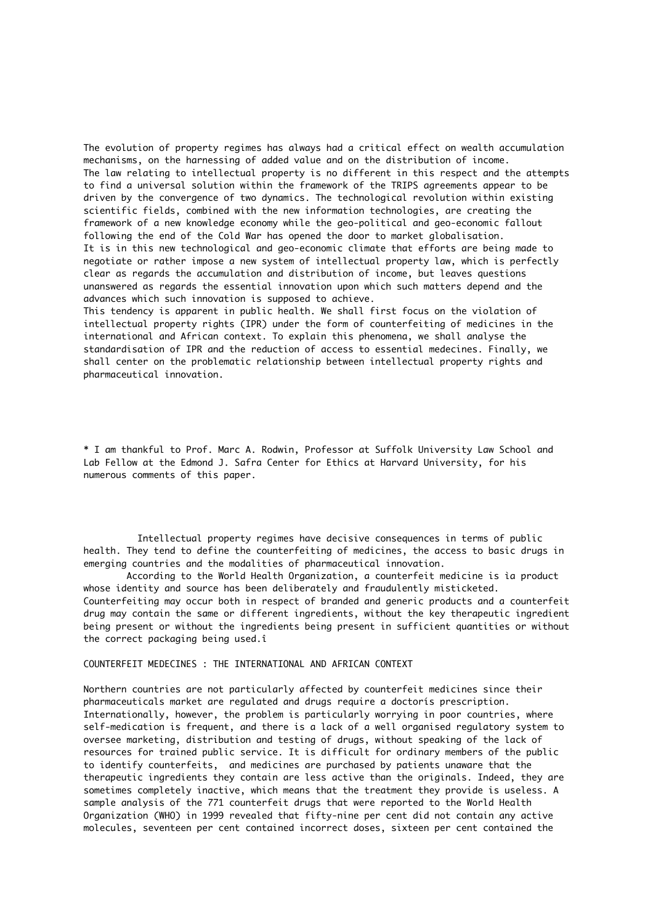The evolution of property regimes has always had a critical effect on wealth accumulation mechanisms, on the harnessing of added value and on the distribution of income. The law relating to intellectual property is no different in this respect and the attempts to find a universal solution within the framework of the TRIPS agreements appear to be driven by the convergence of two dynamics. The technological revolution within existing scientific fields, combined with the new information technologies, are creating the framework of a new knowledge economy while the geo-political and geo-economic fallout following the end of the Cold War has opened the door to market globalisation. It is in this new technological and geo-economic climate that efforts are being made to negotiate or rather impose a new system of intellectual property law, which is perfectly clear as regards the accumulation and distribution of income, but leaves questions unanswered as regards the essential innovation upon which such matters depend and the advances which such innovation is supposed to achieve.

This tendency is apparent in public health. We shall first focus on the violation of intellectual property rights (IPR) under the form of counterfeiting of medicines in the international and African context. To explain this phenomena, we shall analyse the standardisation of IPR and the reduction of access to essential medecines. Finally, we shall center on the problematic relationship between intellectual property rights and pharmaceutical innovation.

\* I am thankful to Prof. Marc A. Rodwin, Professor at Suffolk University Law School and Lab Fellow at the Edmond J. Safra Center for Ethics at Harvard University, for his numerous comments of this paper.

 Intellectual property regimes have decisive consequences in terms of public health. They tend to define the counterfeiting of medicines, the access to basic drugs in emerging countries and the modalities of pharmaceutical innovation.

According to the World Health Organization, a counterfeit medicine is ìa product whose identity and source has been deliberately and fraudulently misticketed. Counterfeiting may occur both in respect of branded and generic products and a counterfeit drug may contain the same or different ingredients, without the key therapeutic ingredient being present or without the ingredients being present in sufficient quantities or without the correct packaging being used.î

COUNTERFEIT MEDECINES : THE INTERNATIONAL AND AFRICAN CONTEXT

Northern countries are not particularly affected by counterfeit medicines since their pharmaceuticals market are regulated and drugs require a doctorís prescription. Internationally, however, the problem is particularly worrying in poor countries, where self-medication is frequent, and there is a lack of a well organised regulatory system to oversee marketing, distribution and testing of drugs, without speaking of the lack of resources for trained public service. It is difficult for ordinary members of the public to identify counterfeits, and medicines are purchased by patients unaware that the therapeutic ingredients they contain are less active than the originals. Indeed, they are sometimes completely inactive, which means that the treatment they provide is useless. A sample analysis of the 771 counterfeit drugs that were reported to the World Health Organization (WHO) in 1999 revealed that fifty-nine per cent did not contain any active molecules, seventeen per cent contained incorrect doses, sixteen per cent contained the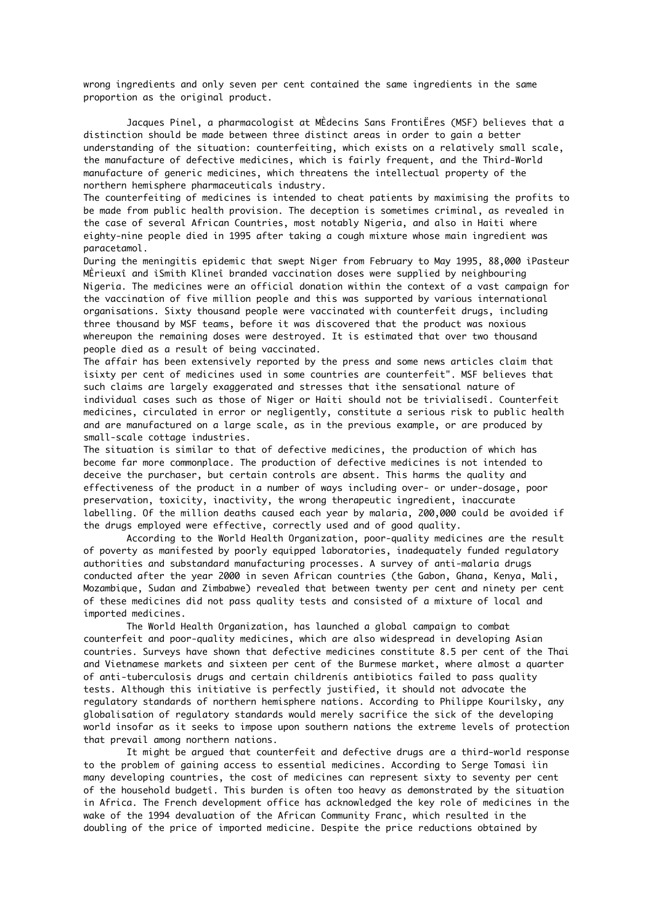wrong ingredients and only seven per cent contained the same ingredients in the same proportion as the original product.

Jacques Pinel, a pharmacologist at MÈdecins Sans FrontiËres (MSF) believes that a distinction should be made between three distinct areas in order to gain a better understanding of the situation: counterfeiting, which exists on a relatively small scale, the manufacture of defective medicines, which is fairly frequent, and the Third-World manufacture of generic medicines, which threatens the intellectual property of the northern hemisphere pharmaceuticals industry.

The counterfeiting of medicines is intended to cheat patients by maximising the profits to be made from public health provision. The deception is sometimes criminal, as revealed in the case of several African Countries, most notably Nigeria, and also in Haiti where eighty-nine people died in 1995 after taking a cough mixture whose main ingredient was paracetamol.

During the meningitis epidemic that swept Niger from February to May 1995, 88,000 ìPasteur MÈrieuxî and ìSmith Klineî branded vaccination doses were supplied by neighbouring Nigeria. The medicines were an official donation within the context of a vast campaign for the vaccination of five million people and this was supported by various international organisations. Sixty thousand people were vaccinated with counterfeit drugs, including three thousand by MSF teams, before it was discovered that the product was noxious whereupon the remaining doses were destroyed. It is estimated that over two thousand people died as a result of being vaccinated.

The affair has been extensively reported by the press and some news articles claim that ìsixty per cent of medicines used in some countries are counterfeit". MSF believes that such claims are largely exaggerated and stresses that ìthe sensational nature of individual cases such as those of Niger or Haiti should not be trivialisedî. Counterfeit medicines, circulated in error or negligently, constitute a serious risk to public health and are manufactured on a large scale, as in the previous example, or are produced by small-scale cottage industries.

The situation is similar to that of defective medicines, the production of which has become far more commonplace. The production of defective medicines is not intended to deceive the purchaser, but certain controls are absent. This harms the quality and effectiveness of the product in a number of ways including over- or under-dosage, poor preservation, toxicity, inactivity, the wrong therapeutic ingredient, inaccurate labelling. Of the million deaths caused each year by malaria, 200,000 could be avoided if the drugs employed were effective, correctly used and of good quality.

According to the World Health Organization, poor-quality medicines are the result of poverty as manifested by poorly equipped laboratories, inadequately funded regulatory authorities and substandard manufacturing processes. A survey of anti-malaria drugs conducted after the year 2000 in seven African countries (the Gabon, Ghana, Kenya, Mali, Mozambique, Sudan and Zimbabwe) revealed that between twenty per cent and ninety per cent of these medicines did not pass quality tests and consisted of a mixture of local and imported medicines.

The World Health Organization, has launched a global campaign to combat counterfeit and poor-quality medicines, which are also widespread in developing Asian countries. Surveys have shown that defective medicines constitute 8.5 per cent of the Thai and Vietnamese markets and sixteen per cent of the Burmese market, where almost a quarter of anti-tuberculosis drugs and certain childrenís antibiotics failed to pass quality tests. Although this initiative is perfectly justified, it should not advocate the regulatory standards of northern hemisphere nations. According to Philippe Kourilsky, any globalisation of regulatory standards would merely sacrifice the sick of the developing world insofar as it seeks to impose upon southern nations the extreme levels of protection that prevail among northern nations.

It might be argued that counterfeit and defective drugs are a third-world response to the problem of gaining access to essential medicines. According to Serge Tomasi ìin many developing countries, the cost of medicines can represent sixty to seventy per cent of the household budgetî. This burden is often too heavy as demonstrated by the situation in Africa. The French development office has acknowledged the key role of medicines in the wake of the 1994 devaluation of the African Community Franc, which resulted in the doubling of the price of imported medicine. Despite the price reductions obtained by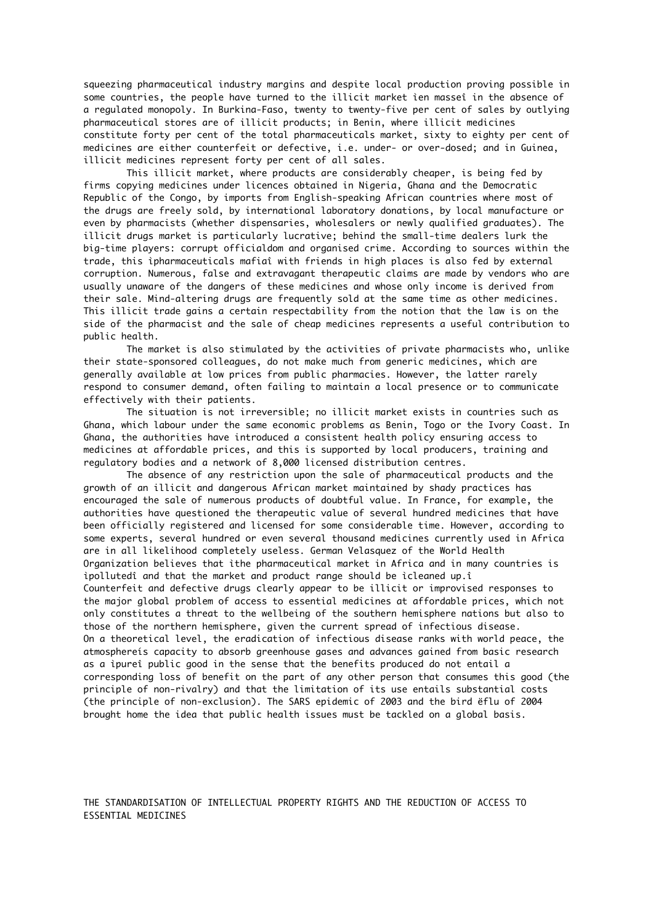squeezing pharmaceutical industry margins and despite local production proving possible in some countries, the people have turned to the illicit market ìen masseî in the absence of a regulated monopoly. In Burkina-Faso, twenty to twenty-five per cent of sales by outlying pharmaceutical stores are of illicit products; in Benin, where illicit medicines constitute forty per cent of the total pharmaceuticals market, sixty to eighty per cent of medicines are either counterfeit or defective, i.e. under- or over-dosed; and in Guinea, illicit medicines represent forty per cent of all sales.

This illicit market, where products are considerably cheaper, is being fed by firms copying medicines under licences obtained in Nigeria, Ghana and the Democratic Republic of the Congo, by imports from English-speaking African countries where most of the drugs are freely sold, by international laboratory donations, by local manufacture or even by pharmacists (whether dispensaries, wholesalers or newly qualified graduates). The illicit drugs market is particularly lucrative; behind the small-time dealers lurk the big-time players: corrupt officialdom and organised crime. According to sources within the trade, this ìpharmaceuticals mafiaî with friends in high places is also fed by external corruption. Numerous, false and extravagant therapeutic claims are made by vendors who are usually unaware of the dangers of these medicines and whose only income is derived from their sale. Mind-altering drugs are frequently sold at the same time as other medicines. This illicit trade gains a certain respectability from the notion that the law is on the side of the pharmacist and the sale of cheap medicines represents a useful contribution to public health.

The market is also stimulated by the activities of private pharmacists who, unlike their state-sponsored colleagues, do not make much from generic medicines, which are generally available at low prices from public pharmacies. However, the latter rarely respond to consumer demand, often failing to maintain a local presence or to communicate effectively with their patients.

The situation is not irreversible; no illicit market exists in countries such as Ghana, which labour under the same economic problems as Benin, Togo or the Ivory Coast. In Ghana, the authorities have introduced a consistent health policy ensuring access to medicines at affordable prices, and this is supported by local producers, training and regulatory bodies and a network of 8,000 licensed distribution centres.

The absence of any restriction upon the sale of pharmaceutical products and the growth of an illicit and dangerous African market maintained by shady practices has encouraged the sale of numerous products of doubtful value. In France, for example, the authorities have questioned the therapeutic value of several hundred medicines that have been officially registered and licensed for some considerable time. However, according to some experts, several hundred or even several thousand medicines currently used in Africa are in all likelihood completely useless. German Velasquez of the World Health Organization believes that ìthe pharmaceutical market in Africa and in many countries is ìpollutedî and that the market and product range should be ìcleaned up.î Counterfeit and defective drugs clearly appear to be illicit or improvised responses to the major global problem of access to essential medicines at affordable prices, which not only constitutes a threat to the wellbeing of the southern hemisphere nations but also to those of the northern hemisphere, given the current spread of infectious disease. On a theoretical level, the eradication of infectious disease ranks with world peace, the atmosphereís capacity to absorb greenhouse gases and advances gained from basic research as a ìpureî public good in the sense that the benefits produced do not entail a corresponding loss of benefit on the part of any other person that consumes this good (the principle of non-rivalry) and that the limitation of its use entails substantial costs (the principle of non-exclusion). The SARS epidemic of 2003 and the bird ëflu of 2004 brought home the idea that public health issues must be tackled on a global basis.

THE STANDARDISATION OF INTELLECTUAL PROPERTY RIGHTS AND THE REDUCTION OF ACCESS TO ESSENTIAL MEDICINES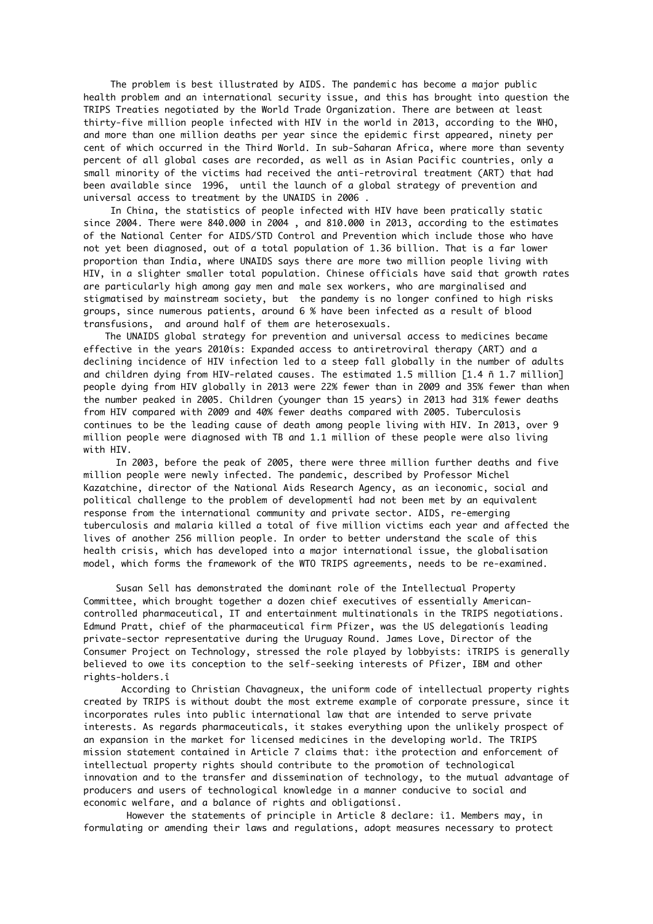The problem is best illustrated by AIDS. The pandemic has become a major public health problem and an international security issue, and this has brought into question the TRIPS Treaties negotiated by the World Trade Organization. There are between at least thirty-five million people infected with HIV in the world in 2013, according to the WHO, and more than one million deaths per year since the epidemic first appeared, ninety per cent of which occurred in the Third World. In sub-Saharan Africa, where more than seventy percent of all global cases are recorded, as well as in Asian Pacific countries, only a small minority of the victims had received the anti-retroviral treatment (ART) that had been available since 1996, until the launch of a global strategy of prevention and universal access to treatment by the UNAIDS in 2006 .

 In China, the statistics of people infected with HIV have been pratically static since 2004. There were 840.000 in 2004 , and 810.000 in 2013, according to the estimates of the National Center for AIDS/STD Control and Prevention which include those who have not yet been diagnosed, out of a total population of 1.36 billion. That is a far lower proportion than India, where UNAIDS says there are more two million people living with HIV, in a slighter smaller total population. Chinese officials have said that growth rates are particularly high among gay men and male sex workers, who are marginalised and stigmatised by mainstream society, but the pandemy is no longer confined to high risks groups, since numerous patients, around 6 % have been infected as a result of blood transfusions, and around half of them are heterosexuals.

 The UNAIDS global strategy for prevention and universal access to medicines became effective in the years 2010ís: Expanded access to antiretroviral therapy (ART) and a declining incidence of HIV infection led to a steep fall globally in the number of adults and children dying from HIV-related causes. The estimated 1.5 million [1.4 ñ 1.7 million] people dying from HIV globally in 2013 were 22% fewer than in 2009 and 35% fewer than when the number peaked in 2005. Children (younger than 15 years) in 2013 had 31% fewer deaths from HIV compared with 2009 and 40% fewer deaths compared with 2005. Tuberculosis continues to be the leading cause of death among people living with HIV. In 2013, over 9 million people were diagnosed with TB and 1.1 million of these people were also living with HIV.

 In 2003, before the peak of 2005, there were three million further deaths and five million people were newly infected. The pandemic, described by Professor Michel Kazatchine, director of the National Aids Research Agency, as an ìeconomic, social and political challenge to the problem of developmentî had not been met by an equivalent response from the international community and private sector. AIDS, re-emerging tuberculosis and malaria killed a total of five million victims each year and affected the lives of another 256 million people. In order to better understand the scale of this health crisis, which has developed into a major international issue, the globalisation model, which forms the framework of the WTO TRIPS agreements, needs to be re-examined.

 Susan Sell has demonstrated the dominant role of the Intellectual Property Committee, which brought together a dozen chief executives of essentially Americancontrolled pharmaceutical, IT and entertainment multinationals in the TRIPS negotiations. Edmund Pratt, chief of the pharmaceutical firm Pfizer, was the US delegationís leading private-sector representative during the Uruguay Round. James Love, Director of the Consumer Project on Technology, stressed the role played by lobbyists: ìTRIPS is generally believed to owe its conception to the self-seeking interests of Pfizer, IBM and other rights-holders.î

 According to Christian Chavagneux, the uniform code of intellectual property rights created by TRIPS is without doubt the most extreme example of corporate pressure, since it incorporates rules into public international law that are intended to serve private interests. As regards pharmaceuticals, it stakes everything upon the unlikely prospect of an expansion in the market for licensed medicines in the developing world. The TRIPS mission statement contained in Article 7 claims that: ìthe protection and enforcement of intellectual property rights should contribute to the promotion of technological innovation and to the transfer and dissemination of technology, to the mutual advantage of producers and users of technological knowledge in a manner conducive to social and economic welfare, and a balance of rights and obligationsî.

However the statements of principle in Article 8 declare: ì1. Members may, in formulating or amending their laws and regulations, adopt measures necessary to protect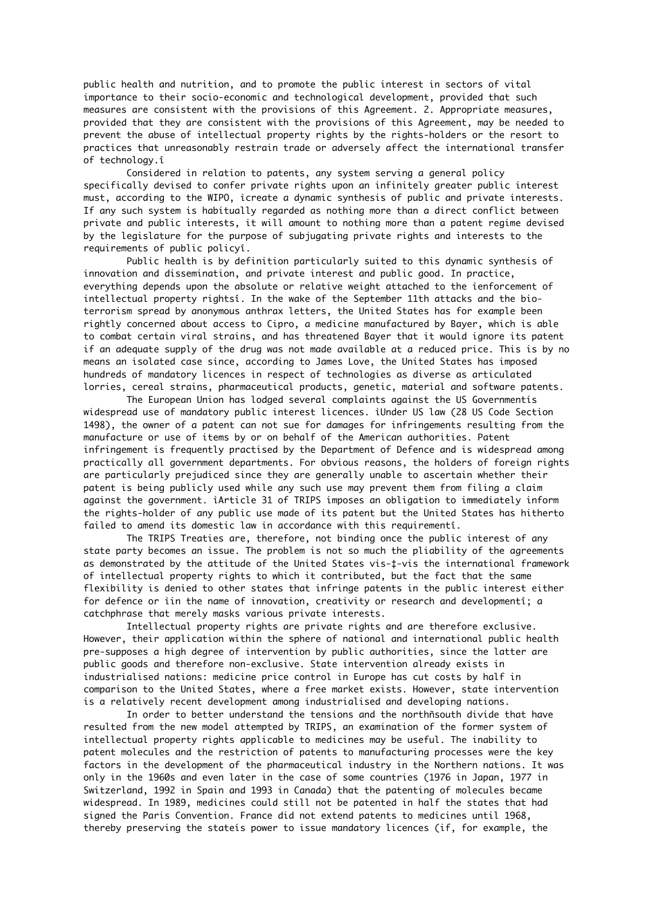public health and nutrition, and to promote the public interest in sectors of vital importance to their socio-economic and technological development, provided that such measures are consistent with the provisions of this Agreement. 2. Appropriate measures, provided that they are consistent with the provisions of this Agreement, may be needed to prevent the abuse of intellectual property rights by the rights-holders or the resort to practices that unreasonably restrain trade or adversely affect the international transfer of technology.î

Considered in relation to patents, any system serving a general policy specifically devised to confer private rights upon an infinitely greater public interest must, according to the WIPO, ìcreate a dynamic synthesis of public and private interests. If any such system is habitually regarded as nothing more than a direct conflict between private and public interests, it will amount to nothing more than a patent regime devised by the legislature for the purpose of subjugating private rights and interests to the requirements of public policyî.

Public health is by definition particularly suited to this dynamic synthesis of innovation and dissemination, and private interest and public good. In practice, everything depends upon the absolute or relative weight attached to the ìenforcement of intellectual property rightsî. In the wake of the September 11th attacks and the bioterrorism spread by anonymous anthrax letters, the United States has for example been rightly concerned about access to Cipro, a medicine manufactured by Bayer, which is able to combat certain viral strains, and has threatened Bayer that it would ignore its patent if an adequate supply of the drug was not made available at a reduced price. This is by no means an isolated case since, according to James Love, the United States has imposed hundreds of mandatory licences in respect of technologies as diverse as articulated lorries, cereal strains, pharmaceutical products, genetic, material and software patents.

The European Union has lodged several complaints against the US Governmentís widespread use of mandatory public interest licences. ìUnder US law (28 US Code Section 1498), the owner of a patent can not sue for damages for infringements resulting from the manufacture or use of items by or on behalf of the American authorities. Patent infringement is frequently practised by the Department of Defence and is widespread among practically all government departments. For obvious reasons, the holders of foreign rights are particularly prejudiced since they are generally unable to ascertain whether their patent is being publicly used while any such use may prevent them from filing a claim against the government. ìArticle 31 of TRIPS imposes an obligation to immediately inform the rights-holder of any public use made of its patent but the United States has hitherto failed to amend its domestic law in accordance with this requirementî.

The TRIPS Treaties are, therefore, not binding once the public interest of any state party becomes an issue. The problem is not so much the pliability of the agreements as demonstrated by the attitude of the United States vis-‡-vis the international framework of intellectual property rights to which it contributed, but the fact that the same flexibility is denied to other states that infringe patents in the public interest either for defence or ìin the name of innovation, creativity or research and developmentî; a catchphrase that merely masks various private interests.

Intellectual property rights are private rights and are therefore exclusive. However, their application within the sphere of national and international public health pre-supposes a high degree of intervention by public authorities, since the latter are public goods and therefore non-exclusive. State intervention already exists in industrialised nations: medicine price control in Europe has cut costs by half in comparison to the United States, where a free market exists. However, state intervention is a relatively recent development among industrialised and developing nations.

In order to better understand the tensions and the northñsouth divide that have resulted from the new model attempted by TRIPS, an examination of the former system of intellectual property rights applicable to medicines may be useful. The inability to patent molecules and the restriction of patents to manufacturing processes were the key factors in the development of the pharmaceutical industry in the Northern nations. It was only in the 1960s and even later in the case of some countries (1976 in Japan, 1977 in Switzerland, 1992 in Spain and 1993 in Canada) that the patenting of molecules became widespread. In 1989, medicines could still not be patented in half the states that had signed the Paris Convention. France did not extend patents to medicines until 1968, thereby preserving the stateís power to issue mandatory licences (if, for example, the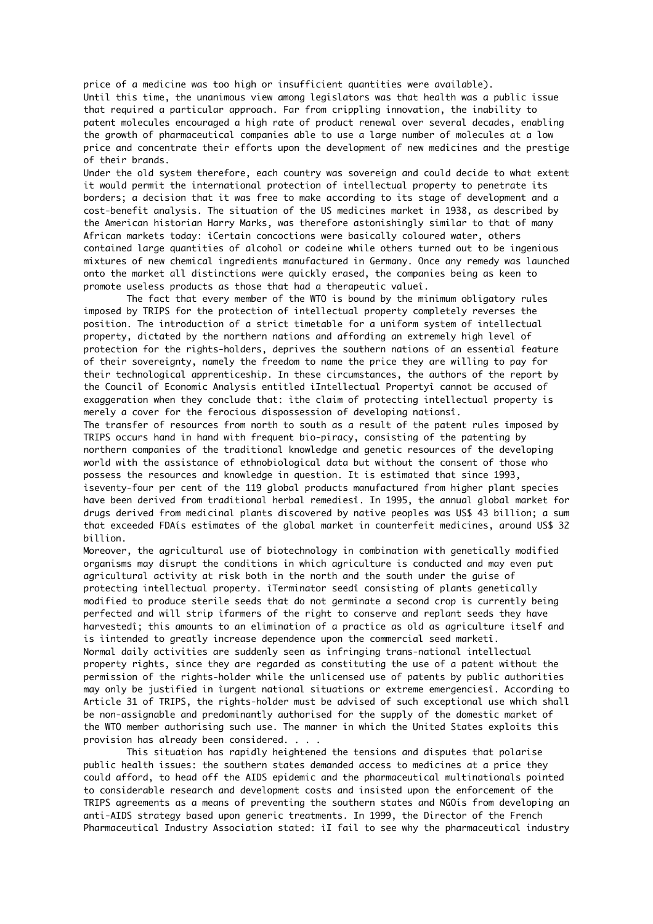price of a medicine was too high or insufficient quantities were available). Until this time, the unanimous view among legislators was that health was a public issue that required a particular approach. Far from crippling innovation, the inability to patent molecules encouraged a high rate of product renewal over several decades, enabling the growth of pharmaceutical companies able to use a large number of molecules at a low price and concentrate their efforts upon the development of new medicines and the prestige of their brands.

Under the old system therefore, each country was sovereign and could decide to what extent it would permit the international protection of intellectual property to penetrate its borders; a decision that it was free to make according to its stage of development and a cost-benefit analysis. The situation of the US medicines market in 1938, as described by the American historian Harry Marks, was therefore astonishingly similar to that of many African markets today: ìCertain concoctions were basically coloured water, others contained large quantities of alcohol or codeine while others turned out to be ingenious mixtures of new chemical ingredients manufactured in Germany. Once any remedy was launched onto the market all distinctions were quickly erased, the companies being as keen to promote useless products as those that had a therapeutic valueî.

The fact that every member of the WTO is bound by the minimum obligatory rules imposed by TRIPS for the protection of intellectual property completely reverses the position. The introduction of a strict timetable for a uniform system of intellectual property, dictated by the northern nations and affording an extremely high level of protection for the rights-holders, deprives the southern nations of an essential feature of their sovereignty, namely the freedom to name the price they are willing to pay for their technological apprenticeship. In these circumstances, the authors of the report by the Council of Economic Analysis entitled ìIntellectual Propertyî cannot be accused of exaggeration when they conclude that: ìthe claim of protecting intellectual property is merely a cover for the ferocious dispossession of developing nationsî.

The transfer of resources from north to south as a result of the patent rules imposed by TRIPS occurs hand in hand with frequent bio-piracy, consisting of the patenting by northern companies of the traditional knowledge and genetic resources of the developing world with the assistance of ethnobiological data but without the consent of those who possess the resources and knowledge in question. It is estimated that since 1993, ìseventy-four per cent of the 119 global products manufactured from higher plant species have been derived from traditional herbal remediesî. In 1995, the annual global market for drugs derived from medicinal plants discovered by native peoples was US\$ 43 billion; a sum that exceeded FDAís estimates of the global market in counterfeit medicines, around US\$ 32 billion.

Moreover, the agricultural use of biotechnology in combination with genetically modified organisms may disrupt the conditions in which agriculture is conducted and may even put agricultural activity at risk both in the north and the south under the guise of protecting intellectual property. ìTerminator seedî consisting of plants genetically modified to produce sterile seeds that do not germinate a second crop is currently being perfected and will strip ìfarmers of the right to conserve and replant seeds they have harvestedî; this amounts to an elimination of a practice as old as agriculture itself and is ìintended to greatly increase dependence upon the commercial seed marketî. Normal daily activities are suddenly seen as infringing trans-national intellectual property rights, since they are regarded as constituting the use of a patent without the permission of the rights-holder while the unlicensed use of patents by public authorities may only be justified in ìurgent national situations or extreme emergenciesî. According to Article 31 of TRIPS, the rights-holder must be advised of such exceptional use which shall be non-assignable and predominantly authorised for the supply of the domestic market of the WTO member authorising such use. The manner in which the United States exploits this provision has already been considered. . . .

This situation has rapidly heightened the tensions and disputes that polarise public health issues: the southern states demanded access to medicines at a price they could afford, to head off the AIDS epidemic and the pharmaceutical multinationals pointed to considerable research and development costs and insisted upon the enforcement of the TRIPS agreements as a means of preventing the southern states and NGOís from developing an anti-AIDS strategy based upon generic treatments. In 1999, the Director of the French Pharmaceutical Industry Association stated: ìI fail to see why the pharmaceutical industry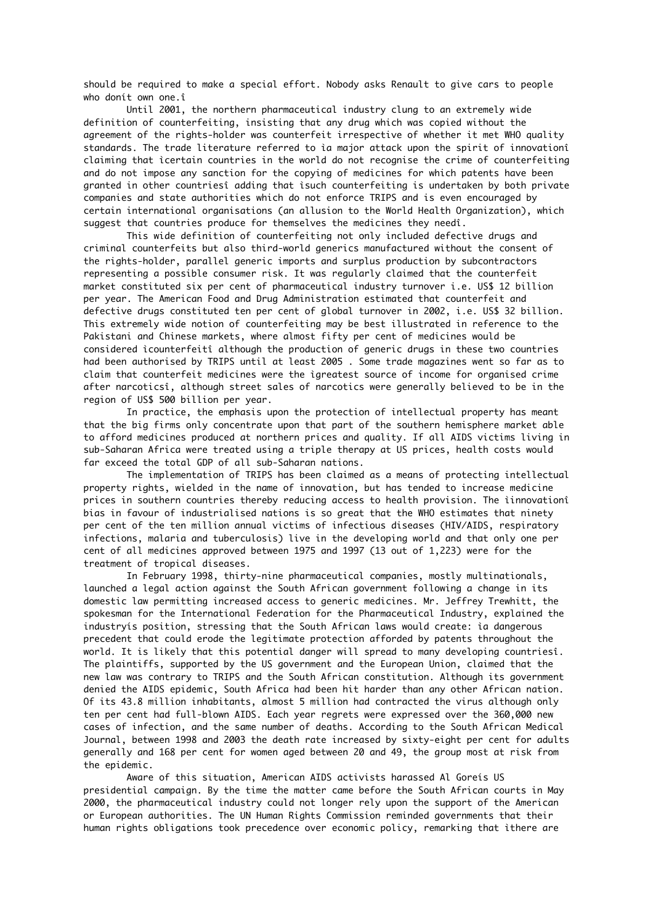should be required to make a special effort. Nobody asks Renault to give cars to people who donít own one.î

Until 2001, the northern pharmaceutical industry clung to an extremely wide definition of counterfeiting, insisting that any drug which was copied without the agreement of the rights-holder was counterfeit irrespective of whether it met WHO quality standards. The trade literature referred to ìa major attack upon the spirit of innovationî claiming that ìcertain countries in the world do not recognise the crime of counterfeiting and do not impose any sanction for the copying of medicines for which patents have been granted in other countriesî adding that ìsuch counterfeiting is undertaken by both private companies and state authorities which do not enforce TRIPS and is even encouraged by certain international organisations (an allusion to the World Health Organization), which suggest that countries produce for themselves the medicines they needî.

This wide definition of counterfeiting not only included defective drugs and criminal counterfeits but also third-world generics manufactured without the consent of the rights-holder, parallel generic imports and surplus production by subcontractors representing a possible consumer risk. It was regularly claimed that the counterfeit market constituted six per cent of pharmaceutical industry turnover i.e. US\$ 12 billion per year. The American Food and Drug Administration estimated that counterfeit and defective drugs constituted ten per cent of global turnover in 2002, i.e. US\$ 32 billion. This extremely wide notion of counterfeiting may be best illustrated in reference to the Pakistani and Chinese markets, where almost fifty per cent of medicines would be considered ìcounterfeitî although the production of generic drugs in these two countries had been authorised by TRIPS until at least 2005 . Some trade magazines went so far as to claim that counterfeit medicines were the ìgreatest source of income for organised crime after narcoticsî, although street sales of narcotics were generally believed to be in the region of US\$ 500 billion per year.

In practice, the emphasis upon the protection of intellectual property has meant that the big firms only concentrate upon that part of the southern hemisphere market able to afford medicines produced at northern prices and quality. If all AIDS victims living in sub-Saharan Africa were treated using a triple therapy at US prices, health costs would far exceed the total GDP of all sub-Saharan nations.

The implementation of TRIPS has been claimed as a means of protecting intellectual property rights, wielded in the name of innovation, but has tended to increase medicine prices in southern countries thereby reducing access to health provision. The ìinnovationî bias in favour of industrialised nations is so great that the WHO estimates that ninety per cent of the ten million annual victims of infectious diseases (HIV/AIDS, respiratory infections, malaria and tuberculosis) live in the developing world and that only one per cent of all medicines approved between 1975 and 1997 (13 out of 1,223) were for the treatment of tropical diseases.

In February 1998, thirty-nine pharmaceutical companies, mostly multinationals, launched a legal action against the South African government following a change in its domestic law permitting increased access to generic medicines. Mr. Jeffrey Trewhitt, the spokesman for the International Federation for the Pharmaceutical Industry, explained the industryís position, stressing that the South African laws would create: ìa dangerous precedent that could erode the legitimate protection afforded by patents throughout the world. It is likely that this potential danger will spread to many developing countriesî. The plaintiffs, supported by the US government and the European Union, claimed that the new law was contrary to TRIPS and the South African constitution. Although its government denied the AIDS epidemic, South Africa had been hit harder than any other African nation. Of its 43.8 million inhabitants, almost 5 million had contracted the virus although only ten per cent had full-blown AIDS. Each year regrets were expressed over the 360,000 new cases of infection, and the same number of deaths. According to the South African Medical Journal, between 1998 and 2003 the death rate increased by sixty-eight per cent for adults generally and 168 per cent for women aged between 20 and 49, the group most at risk from the epidemic.

Aware of this situation, American AIDS activists harassed Al Goreís US presidential campaign. By the time the matter came before the South African courts in May 2000, the pharmaceutical industry could not longer rely upon the support of the American or European authorities. The UN Human Rights Commission reminded governments that their human rights obligations took precedence over economic policy, remarking that ìthere are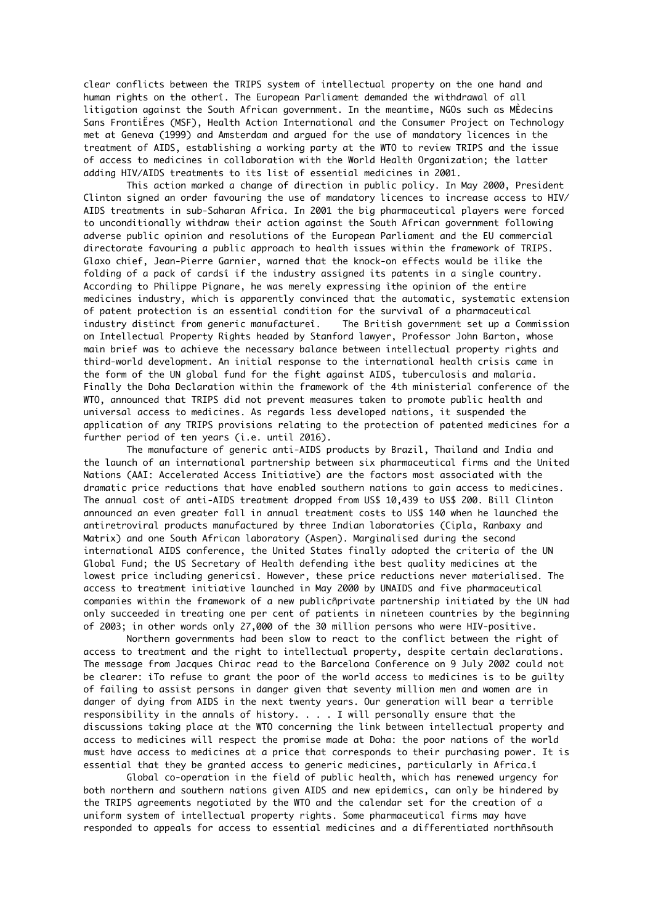clear conflicts between the TRIPS system of intellectual property on the one hand and human rights on the otherî. The European Parliament demanded the withdrawal of all litigation against the South African government. In the meantime, NGOs such as MÈdecins Sans FrontiËres (MSF), Health Action International and the Consumer Project on Technology met at Geneva (1999) and Amsterdam and argued for the use of mandatory licences in the treatment of AIDS, establishing a working party at the WTO to review TRIPS and the issue of access to medicines in collaboration with the World Health Organization; the latter adding HIV/AIDS treatments to its list of essential medicines in 2001.

This action marked a change of direction in public policy. In May 2000, President Clinton signed an order favouring the use of mandatory licences to increase access to HIV/ AIDS treatments in sub-Saharan Africa. In 2001 the big pharmaceutical players were forced to unconditionally withdraw their action against the South African government following adverse public opinion and resolutions of the European Parliament and the EU commercial directorate favouring a public approach to health issues within the framework of TRIPS. Glaxo chief, Jean-Pierre Garnier, warned that the knock-on effects would be ìlike the folding of a pack of cardsî if the industry assigned its patents in a single country. According to Philippe Pignare, he was merely expressing ìthe opinion of the entire medicines industry, which is apparently convinced that the automatic, systematic extension of patent protection is an essential condition for the survival of a pharmaceutical industry distinct from generic manufactureî. The British government set up a Commission on Intellectual Property Rights headed by Stanford lawyer, Professor John Barton, whose main brief was to achieve the necessary balance between intellectual property rights and third-world development. An initial response to the international health crisis came in the form of the UN global fund for the fight against AIDS, tuberculosis and malaria. Finally the Doha Declaration within the framework of the 4th ministerial conference of the WTO, announced that TRIPS did not prevent measures taken to promote public health and universal access to medicines. As regards less developed nations, it suspended the application of any TRIPS provisions relating to the protection of patented medicines for a further period of ten years (i.e. until 2016).

The manufacture of generic anti-AIDS products by Brazil, Thailand and India and the launch of an international partnership between six pharmaceutical firms and the United Nations (AAI: Accelerated Access Initiative) are the factors most associated with the dramatic price reductions that have enabled southern nations to gain access to medicines. The annual cost of anti-AIDS treatment dropped from US\$ 10,439 to US\$ 200. Bill Clinton announced an even greater fall in annual treatment costs to US\$ 140 when he launched the antiretroviral products manufactured by three Indian laboratories (Cipla, Ranbaxy and Matrix) and one South African laboratory (Aspen). Marginalised during the second international AIDS conference, the United States finally adopted the criteria of the UN Global Fund; the US Secretary of Health defending ìthe best quality medicines at the lowest price including genericsî. However, these price reductions never materialised. The access to treatment initiative launched in May 2000 by UNAIDS and five pharmaceutical companies within the framework of a new publicñprivate partnership initiated by the UN had only succeeded in treating one per cent of patients in nineteen countries by the beginning of 2003; in other words only 27,000 of the 30 million persons who were HIV-positive.

Northern governments had been slow to react to the conflict between the right of access to treatment and the right to intellectual property, despite certain declarations. The message from Jacques Chirac read to the Barcelona Conference on 9 July 2002 could not be clearer: ìTo refuse to grant the poor of the world access to medicines is to be guilty of failing to assist persons in danger given that seventy million men and women are in danger of dying from AIDS in the next twenty years. Our generation will bear a terrible responsibility in the annals of history. . . . I will personally ensure that the discussions taking place at the WTO concerning the link between intellectual property and access to medicines will respect the promise made at Doha: the poor nations of the world must have access to medicines at a price that corresponds to their purchasing power. It is essential that they be granted access to generic medicines, particularly in Africa.î

Global co-operation in the field of public health, which has renewed urgency for both northern and southern nations given AIDS and new epidemics, can only be hindered by the TRIPS agreements negotiated by the WTO and the calendar set for the creation of a uniform system of intellectual property rights. Some pharmaceutical firms may have responded to appeals for access to essential medicines and a differentiated northñsouth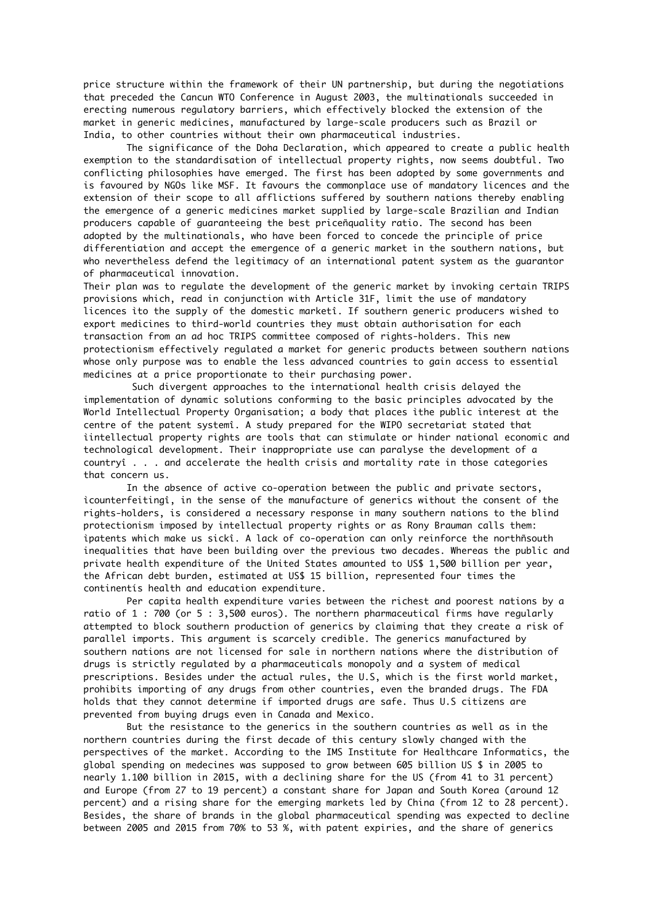price structure within the framework of their UN partnership, but during the negotiations that preceded the Cancun WTO Conference in August 2003, the multinationals succeeded in erecting numerous regulatory barriers, which effectively blocked the extension of the market in generic medicines, manufactured by large-scale producers such as Brazil or India, to other countries without their own pharmaceutical industries.

The significance of the Doha Declaration, which appeared to create a public health exemption to the standardisation of intellectual property rights, now seems doubtful. Two conflicting philosophies have emerged. The first has been adopted by some governments and is favoured by NGOs like MSF. It favours the commonplace use of mandatory licences and the extension of their scope to all afflictions suffered by southern nations thereby enabling the emergence of a generic medicines market supplied by large-scale Brazilian and Indian producers capable of guaranteeing the best priceñquality ratio. The second has been adopted by the multinationals, who have been forced to concede the principle of price differentiation and accept the emergence of a generic market in the southern nations, but who nevertheless defend the legitimacy of an international patent system as the guarantor of pharmaceutical innovation.

Their plan was to regulate the development of the generic market by invoking certain TRIPS provisions which, read in conjunction with Article 31F, limit the use of mandatory licences ìto the supply of the domestic marketî. If southern generic producers wished to export medicines to third-world countries they must obtain authorisation for each transaction from an ad hoc TRIPS committee composed of rights-holders. This new protectionism effectively regulated a market for generic products between southern nations whose only purpose was to enable the less advanced countries to gain access to essential medicines at a price proportionate to their purchasing power.

 Such divergent approaches to the international health crisis delayed the implementation of dynamic solutions conforming to the basic principles advocated by the World Intellectual Property Organisation; a body that places ìthe public interest at the centre of the patent systemî. A study prepared for the WIPO secretariat stated that ìintellectual property rights are tools that can stimulate or hinder national economic and technological development. Their inappropriate use can paralyse the development of a countryî . . . and accelerate the health crisis and mortality rate in those categories that concern us.

In the absence of active co-operation between the public and private sectors, ìcounterfeitingî, in the sense of the manufacture of generics without the consent of the rights-holders, is considered a necessary response in many southern nations to the blind protectionism imposed by intellectual property rights or as Rony Brauman calls them: ìpatents which make us sickî. A lack of co-operation can only reinforce the northñsouth inequalities that have been building over the previous two decades. Whereas the public and private health expenditure of the United States amounted to US\$ 1,500 billion per year, the African debt burden, estimated at US\$ 15 billion, represented four times the continentís health and education expenditure.

Per capita health expenditure varies between the richest and poorest nations by a ratio of 1 : 700 (or 5 : 3,500 euros). The northern pharmaceutical firms have regularly attempted to block southern production of generics by claiming that they create a risk of parallel imports. This argument is scarcely credible. The generics manufactured by southern nations are not licensed for sale in northern nations where the distribution of drugs is strictly regulated by a pharmaceuticals monopoly and a system of medical prescriptions. Besides under the actual rules, the U.S, which is the first world market, prohibits importing of any drugs from other countries, even the branded drugs. The FDA holds that they cannot determine if imported drugs are safe. Thus U.S citizens are prevented from buying drugs even in Canada and Mexico.

But the resistance to the generics in the southern countries as well as in the northern countries during the first decade of this century slowly changed with the perspectives of the market. According to the IMS Institute for Healthcare Informatics, the global spending on medecines was supposed to grow between 605 billion US \$ in 2005 to nearly 1.100 billion in 2015, with a declining share for the US (from 41 to 31 percent) and Europe (from 27 to 19 percent) a constant share for Japan and South Korea (around 12 percent) and a rising share for the emerging markets led by China (from 12 to 28 percent). Besides, the share of brands in the global pharmaceutical spending was expected to decline between 2005 and 2015 from 70% to 53 %, with patent expiries, and the share of generics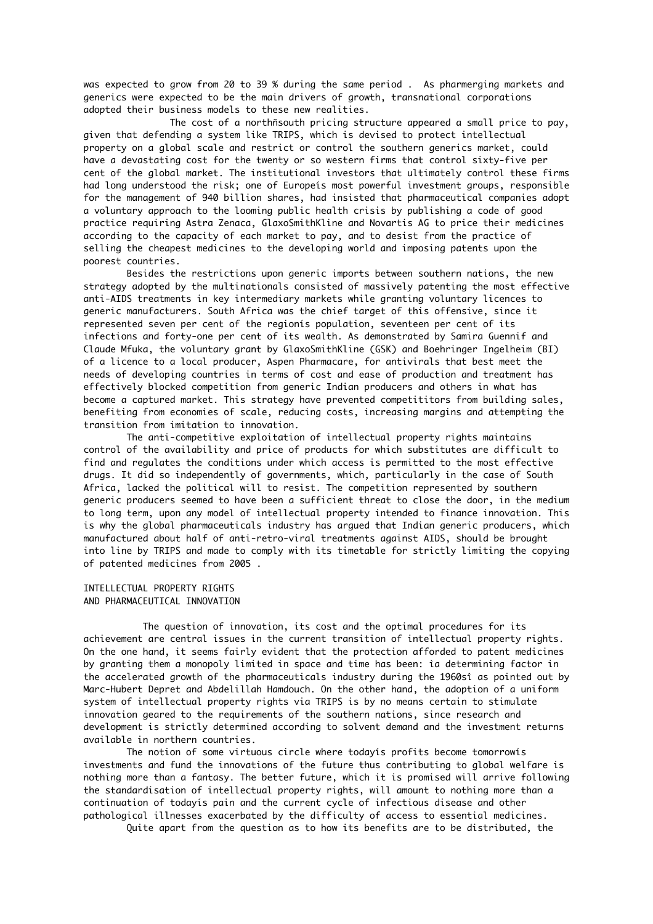was expected to grow from 20 to 39 % during the same period . As pharmerging markets and generics were expected to be the main drivers of growth, transnational corporations adopted their business models to these new realities.

The cost of a northñsouth pricing structure appeared a small price to pay, given that defending a system like TRIPS, which is devised to protect intellectual property on a global scale and restrict or control the southern generics market, could have a devastating cost for the twenty or so western firms that control sixty-five per cent of the global market. The institutional investors that ultimately control these firms had long understood the risk; one of Europeís most powerful investment groups, responsible for the management of 940 billion shares, had insisted that pharmaceutical companies adopt a voluntary approach to the looming public health crisis by publishing a code of good practice requiring Astra Zenaca, GlaxoSmithKline and Novartis AG to price their medicines according to the capacity of each market to pay, and to desist from the practice of selling the cheapest medicines to the developing world and imposing patents upon the poorest countries.

Besides the restrictions upon generic imports between southern nations, the new strategy adopted by the multinationals consisted of massively patenting the most effective anti-AIDS treatments in key intermediary markets while granting voluntary licences to generic manufacturers. South Africa was the chief target of this offensive, since it represented seven per cent of the regionís population, seventeen per cent of its infections and forty-one per cent of its wealth. As demonstrated by Samira Guennif and Claude Mfuka, the voluntary grant by GlaxoSmithKline (GSK) and Boehringer Ingelheim (BI) of a licence to a local producer, Aspen Pharmacare, for antivirals that best meet the needs of developing countries in terms of cost and ease of production and treatment has effectively blocked competition from generic Indian producers and others in what has become a captured market. This strategy have prevented competititors from building sales, benefiting from economies of scale, reducing costs, increasing margins and attempting the transition from imitation to innovation.

The anti-competitive exploitation of intellectual property rights maintains control of the availability and price of products for which substitutes are difficult to find and regulates the conditions under which access is permitted to the most effective drugs. It did so independently of governments, which, particularly in the case of South Africa, lacked the political will to resist. The competition represented by southern generic producers seemed to have been a sufficient threat to close the door, in the medium to long term, upon any model of intellectual property intended to finance innovation. This is why the global pharmaceuticals industry has argued that Indian generic producers, which manufactured about half of anti-retro-viral treatments against AIDS, should be brought into line by TRIPS and made to comply with its timetable for strictly limiting the copying of patented medicines from 2005 .

# INTELLECTUAL PROPERTY RIGHTS AND PHARMACEUTICAL INNOVATION

 The question of innovation, its cost and the optimal procedures for its achievement are central issues in the current transition of intellectual property rights. On the one hand, it seems fairly evident that the protection afforded to patent medicines by granting them a monopoly limited in space and time has been: ìa determining factor in the accelerated growth of the pharmaceuticals industry during the 1960sî as pointed out by Marc-Hubert Depret and Abdelillah Hamdouch. On the other hand, the adoption of a uniform system of intellectual property rights via TRIPS is by no means certain to stimulate innovation geared to the requirements of the southern nations, since research and development is strictly determined according to solvent demand and the investment returns available in northern countries.

The notion of some virtuous circle where todayís profits become tomorrowís investments and fund the innovations of the future thus contributing to global welfare is nothing more than a fantasy. The better future, which it is promised will arrive following the standardisation of intellectual property rights, will amount to nothing more than a continuation of todayís pain and the current cycle of infectious disease and other pathological illnesses exacerbated by the difficulty of access to essential medicines. Quite apart from the question as to how its benefits are to be distributed, the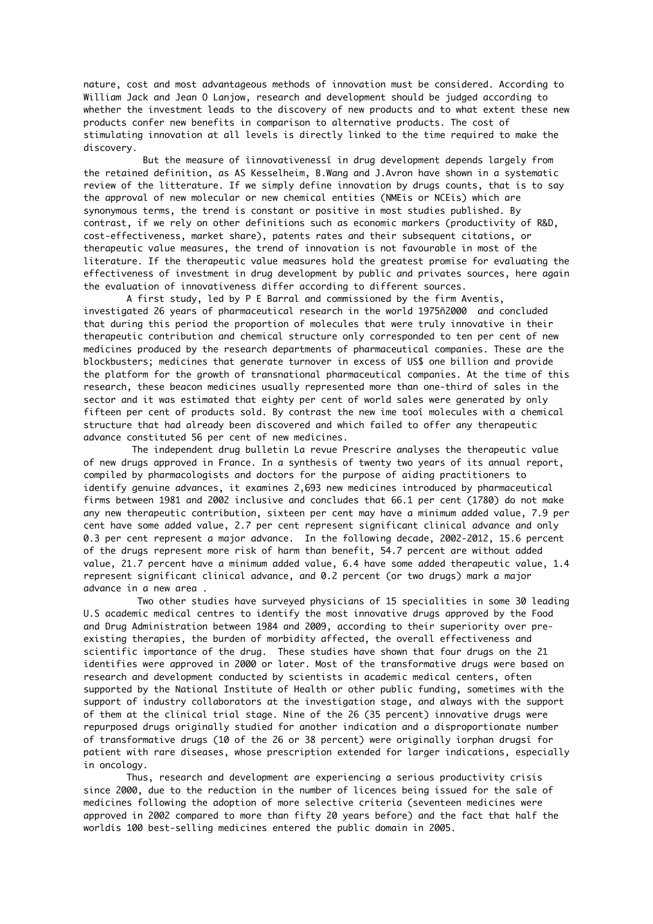nature, cost and most advantageous methods of innovation must be considered. According to William Jack and Jean O Lanjow, research and development should be judged according to whether the investment leads to the discovery of new products and to what extent these new products confer new benefits in comparison to alternative products. The cost of stimulating innovation at all levels is directly linked to the time required to make the discovery.

 But the measure of ìinnovativenessî in drug development depends largely from the retained definition, as AS Kesselheim, B.Wang and J.Avron have shown in a systematic review of the litterature. If we simply define innovation by drugs counts, that is to say the approval of new molecular or new chemical entities (NMEís or NCEís) which are synonymous terms, the trend is constant or positive in most studies published. By contrast, if we rely on other definitions such as economic markers (productivity of R&D, cost-effectiveness, market share), patents rates and their subsequent citations, or therapeutic value measures, the trend of innovation is not favourable in most of the literature. If the therapeutic value measures hold the greatest promise for evaluating the effectiveness of investment in drug development by public and privates sources, here again the evaluation of innovativeness differ according to different sources.

A first study, led by P E Barral and commissioned by the firm Aventis, investigated 26 years of pharmaceutical research in the world 1975ñ2000 and concluded that during this period the proportion of molecules that were truly innovative in their therapeutic contribution and chemical structure only corresponded to ten per cent of new medicines produced by the research departments of pharmaceutical companies. These are the blockbusters; medicines that generate turnover in excess of US\$ one billion and provide the platform for the growth of transnational pharmaceutical companies. At the time of this research, these beacon medicines usually represented more than one-third of sales in the sector and it was estimated that eighty per cent of world sales were generated by only fifteen per cent of products sold. By contrast the new ìme tooî molecules with a chemical structure that had already been discovered and which failed to offer any therapeutic advance constituted 56 per cent of new medicines.

 The independent drug bulletin La revue Prescrire analyses the therapeutic value of new drugs approved in France. In a synthesis of twenty two years of its annual report, compiled by pharmacologists and doctors for the purpose of aiding practitioners to identify genuine advances, it examines 2,693 new medicines introduced by pharmaceutical firms between 1981 and 2002 inclusive and concludes that 66.1 per cent (1780) do not make any new therapeutic contribution, sixteen per cent may have a minimum added value, 7.9 per cent have some added value, 2.7 per cent represent significant clinical advance and only 0.3 per cent represent a major advance. In the following decade, 2002-2012, 15.6 percent of the drugs represent more risk of harm than benefit, 54.7 percent are without added value, 21.7 percent have a minimum added value, 6.4 have some added therapeutic value, 1.4 represent significant clinical advance, and 0.2 percent (or two drugs) mark a major advance in a new area .

 Two other studies have surveyed physicians of 15 specialities in some 30 leading U.S academic medical centres to identify the most innovative drugs approved by the Food and Drug Administration between 1984 and 2009, according to their superiority over preexisting therapies, the burden of morbidity affected, the overall effectiveness and scientific importance of the drug. These studies have shown that four drugs on the 21 identifies were approved in 2000 or later. Most of the transformative drugs were based on research and development conducted by scientists in academic medical centers, often supported by the National Institute of Health or other public funding, sometimes with the support of industry collaborators at the investigation stage, and always with the support of them at the clinical trial stage. Nine of the 26 (35 percent) innovative drugs were repurposed drugs originally studied for another indication and a disproportionate number of transformative drugs (10 of the 26 or 38 percent) were originally ìorphan drugsî for patient with rare diseases, whose prescription extended for larger indications, especially in oncology.

Thus, research and development are experiencing a serious productivity crisis since 2000, due to the reduction in the number of licences being issued for the sale of medicines following the adoption of more selective criteria (seventeen medicines were approved in 2002 compared to more than fifty 20 years before) and the fact that half the worldís 100 best-selling medicines entered the public domain in 2005.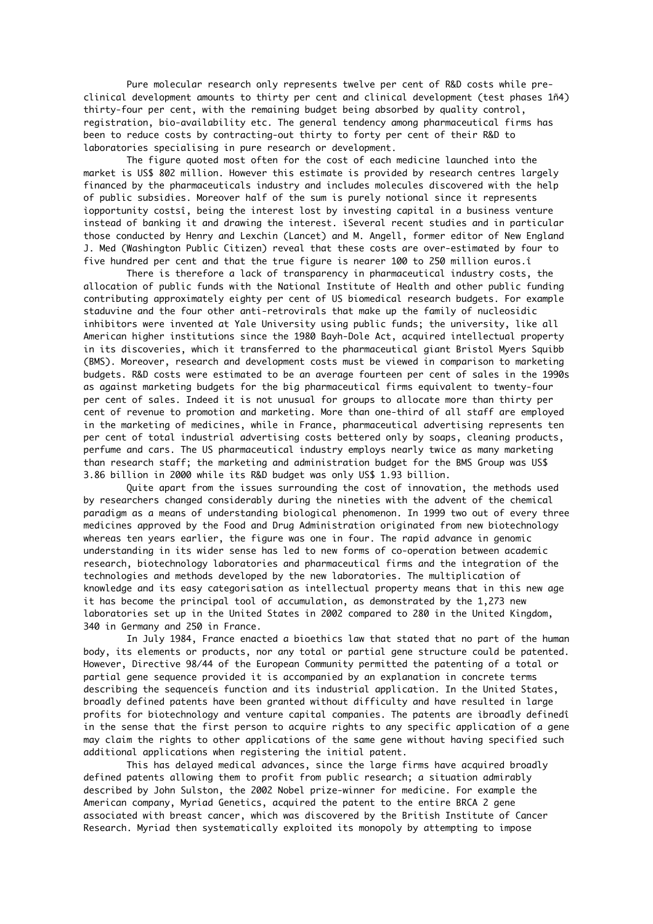Pure molecular research only represents twelve per cent of R&D costs while preclinical development amounts to thirty per cent and clinical development (test phases 1ñ4) thirty-four per cent, with the remaining budget being absorbed by quality control, registration, bio-availability etc. The general tendency among pharmaceutical firms has been to reduce costs by contracting-out thirty to forty per cent of their R&D to laboratories specialising in pure research or development.

The figure quoted most often for the cost of each medicine launched into the market is US\$ 802 million. However this estimate is provided by research centres largely financed by the pharmaceuticals industry and includes molecules discovered with the help of public subsidies. Moreover half of the sum is purely notional since it represents ìopportunity costsî, being the interest lost by investing capital in a business venture instead of banking it and drawing the interest. ìSeveral recent studies and in particular those conducted by Henry and Lexchin (Lancet) and M. Angell, former editor of New England J. Med (Washington Public Citizen) reveal that these costs are over-estimated by four to five hundred per cent and that the true figure is nearer 100 to 250 million euros.î

There is therefore a lack of transparency in pharmaceutical industry costs, the allocation of public funds with the National Institute of Health and other public funding contributing approximately eighty per cent of US biomedical research budgets. For example staduvine and the four other anti-retrovirals that make up the family of nucleosidic inhibitors were invented at Yale University using public funds; the university, like all American higher institutions since the 1980 Bayh-Dole Act, acquired intellectual property in its discoveries, which it transferred to the pharmaceutical giant Bristol Myers Squibb (BMS). Moreover, research and development costs must be viewed in comparison to marketing budgets. R&D costs were estimated to be an average fourteen per cent of sales in the 1990s as against marketing budgets for the big pharmaceutical firms equivalent to twenty-four per cent of sales. Indeed it is not unusual for groups to allocate more than thirty per cent of revenue to promotion and marketing. More than one-third of all staff are employed in the marketing of medicines, while in France, pharmaceutical advertising represents ten per cent of total industrial advertising costs bettered only by soaps, cleaning products, perfume and cars. The US pharmaceutical industry employs nearly twice as many marketing than research staff; the marketing and administration budget for the BMS Group was US\$ 3.86 billion in 2000 while its R&D budget was only US\$ 1.93 billion.

Quite apart from the issues surrounding the cost of innovation, the methods used by researchers changed considerably during the nineties with the advent of the chemical paradigm as a means of understanding biological phenomenon. In 1999 two out of every three medicines approved by the Food and Drug Administration originated from new biotechnology whereas ten years earlier, the figure was one in four. The rapid advance in genomic understanding in its wider sense has led to new forms of co-operation between academic research, biotechnology laboratories and pharmaceutical firms and the integration of the technologies and methods developed by the new laboratories. The multiplication of knowledge and its easy categorisation as intellectual property means that in this new age it has become the principal tool of accumulation, as demonstrated by the 1,273 new laboratories set up in the United States in 2002 compared to 280 in the United Kingdom, 340 in Germany and 250 in France.

In July 1984, France enacted a bioethics law that stated that no part of the human body, its elements or products, nor any total or partial gene structure could be patented. However, Directive 98/44 of the European Community permitted the patenting of a total or partial gene sequence provided it is accompanied by an explanation in concrete terms describing the sequenceís function and its industrial application. In the United States, broadly defined patents have been granted without difficulty and have resulted in large profits for biotechnology and venture capital companies. The patents are ìbroadly definedî in the sense that the first person to acquire rights to any specific application of a gene may claim the rights to other applications of the same gene without having specified such additional applications when registering the initial patent.

This has delayed medical advances, since the large firms have acquired broadly defined patents allowing them to profit from public research; a situation admirably described by John Sulston, the 2002 Nobel prize-winner for medicine. For example the American company, Myriad Genetics, acquired the patent to the entire BRCA 2 gene associated with breast cancer, which was discovered by the British Institute of Cancer Research. Myriad then systematically exploited its monopoly by attempting to impose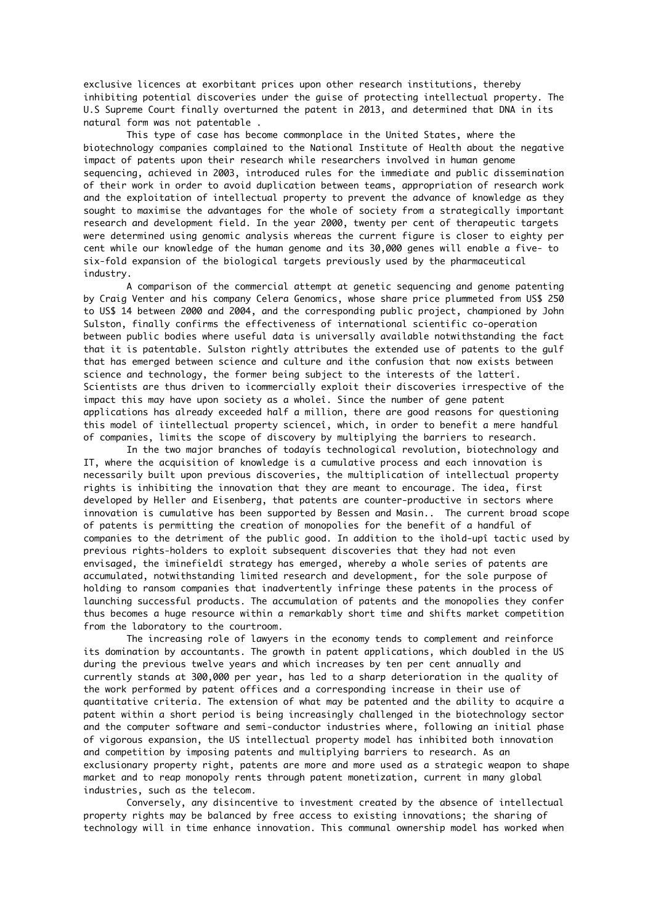exclusive licences at exorbitant prices upon other research institutions, thereby inhibiting potential discoveries under the guise of protecting intellectual property. The U.S Supreme Court finally overturned the patent in 2013, and determined that DNA in its natural form was not patentable .

This type of case has become commonplace in the United States, where the biotechnology companies complained to the National Institute of Health about the negative impact of patents upon their research while researchers involved in human genome sequencing, achieved in 2003, introduced rules for the immediate and public dissemination of their work in order to avoid duplication between teams, appropriation of research work and the exploitation of intellectual property to prevent the advance of knowledge as they sought to maximise the advantages for the whole of society from a strategically important research and development field. In the year 2000, twenty per cent of therapeutic targets were determined using genomic analysis whereas the current figure is closer to eighty per cent while our knowledge of the human genome and its 30,000 genes will enable a five- to six-fold expansion of the biological targets previously used by the pharmaceutical industry.

A comparison of the commercial attempt at genetic sequencing and genome patenting by Craig Venter and his company Celera Genomics, whose share price plummeted from US\$ 250 to US\$ 14 between 2000 and 2004, and the corresponding public project, championed by John Sulston, finally confirms the effectiveness of international scientific co-operation between public bodies where useful data is universally available notwithstanding the fact that it is patentable. Sulston rightly attributes the extended use of patents to the gulf that has emerged between science and culture and ìthe confusion that now exists between science and technology, the former being subject to the interests of the latterî. Scientists are thus driven to ìcommercially exploit their discoveries irrespective of the impact this may have upon society as a wholeî. Since the number of gene patent applications has already exceeded half a million, there are good reasons for questioning this model of ìintellectual property scienceî, which, in order to benefit a mere handful of companies, limits the scope of discovery by multiplying the barriers to research.

In the two major branches of todayís technological revolution, biotechnology and IT, where the acquisition of knowledge is a cumulative process and each innovation is necessarily built upon previous discoveries, the multiplication of intellectual property rights is inhibiting the innovation that they are meant to encourage. The idea, first developed by Heller and Eisenberg, that patents are counter-productive in sectors where innovation is cumulative has been supported by Bessen and Masin.. The current broad scope of patents is permitting the creation of monopolies for the benefit of a handful of companies to the detriment of the public good. In addition to the ìhold-upî tactic used by previous rights-holders to exploit subsequent discoveries that they had not even envisaged, the ìminefieldî strategy has emerged, whereby a whole series of patents are accumulated, notwithstanding limited research and development, for the sole purpose of holding to ransom companies that inadvertently infringe these patents in the process of launching successful products. The accumulation of patents and the monopolies they confer thus becomes a huge resource within a remarkably short time and shifts market competition from the laboratory to the courtroom.

The increasing role of lawyers in the economy tends to complement and reinforce its domination by accountants. The growth in patent applications, which doubled in the US during the previous twelve years and which increases by ten per cent annually and currently stands at 300,000 per year, has led to a sharp deterioration in the quality of the work performed by patent offices and a corresponding increase in their use of quantitative criteria. The extension of what may be patented and the ability to acquire a patent within a short period is being increasingly challenged in the biotechnology sector and the computer software and semi-conductor industries where, following an initial phase of vigorous expansion, the US intellectual property model has inhibited both innovation and competition by imposing patents and multiplying barriers to research. As an exclusionary property right, patents are more and more used as a strategic weapon to shape market and to reap monopoly rents through patent monetization, current in many global industries, such as the telecom.

Conversely, any disincentive to investment created by the absence of intellectual property rights may be balanced by free access to existing innovations; the sharing of technology will in time enhance innovation. This communal ownership model has worked when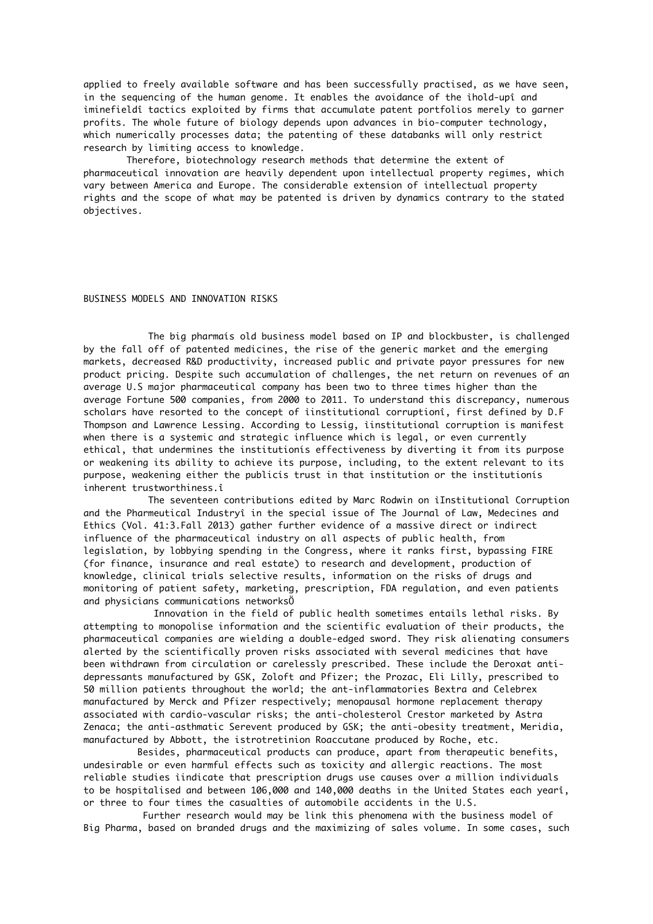applied to freely available software and has been successfully practised, as we have seen, in the sequencing of the human genome. It enables the avoidance of the ìhold-upî and ìminefieldî tactics exploited by firms that accumulate patent portfolios merely to garner profits. The whole future of biology depends upon advances in bio-computer technology, which numerically processes data; the patenting of these databanks will only restrict research by limiting access to knowledge.

Therefore, biotechnology research methods that determine the extent of pharmaceutical innovation are heavily dependent upon intellectual property regimes, which vary between America and Europe. The considerable extension of intellectual property rights and the scope of what may be patented is driven by dynamics contrary to the stated objectives.

## BUSINESS MODELS AND INNOVATION RISKS

 The big pharmaís old business model based on IP and blockbuster, is challenged by the fall off of patented medicines, the rise of the generic market and the emerging markets, decreased R&D productivity, increased public and private payor pressures for new product pricing. Despite such accumulation of challenges, the net return on revenues of an average U.S major pharmaceutical company has been two to three times higher than the average Fortune 500 companies, from 2000 to 2011. To understand this discrepancy, numerous scholars have resorted to the concept of ìinstitutional corruptionî, first defined by D.F Thompson and Lawrence Lessing. According to Lessig, ìinstitutional corruption is manifest when there is a systemic and strategic influence which is legal, or even currently ethical, that undermines the institutionís effectiveness by diverting it from its purpose or weakening its ability to achieve its purpose, including, to the extent relevant to its purpose, weakening either the publicís trust in that institution or the institutionís inherent trustworthiness.î

 The seventeen contributions edited by Marc Rodwin on ìInstitutional Corruption and the Pharmeutical Industryî in the special issue of The Journal of Law, Medecines and Ethics (Vol. 41:3.Fall 2013) gather further evidence of a massive direct or indirect influence of the pharmaceutical industry on all aspects of public health, from legislation, by lobbying spending in the Congress, where it ranks first, bypassing FIRE (for finance, insurance and real estate) to research and development, production of knowledge, clinical trials selective results, information on the risks of drugs and monitoring of patient safety, marketing, prescription, FDA regulation, and even patients and physicians communications networksÖ

 Innovation in the field of public health sometimes entails lethal risks. By attempting to monopolise information and the scientific evaluation of their products, the pharmaceutical companies are wielding a double-edged sword. They risk alienating consumers alerted by the scientifically proven risks associated with several medicines that have been withdrawn from circulation or carelessly prescribed. These include the Deroxat antidepressants manufactured by GSK, Zoloft and Pfizer; the Prozac, Eli Lilly, prescribed to 50 million patients throughout the world; the ant-inflammatories Bextra and Celebrex manufactured by Merck and Pfizer respectively; menopausal hormone replacement therapy associated with cardio-vascular risks; the anti-cholesterol Crestor marketed by Astra Zenaca; the anti-asthmatic Serevent produced by GSK; the anti-obesity treatment, Meridia, manufactured by Abbott, the istrotretinion Roaccutane produced by Roche, etc.

 Besides, pharmaceutical products can produce, apart from therapeutic benefits, undesirable or even harmful effects such as toxicity and allergic reactions. The most reliable studies ìindicate that prescription drugs use causes over a million individuals to be hospitalised and between 106,000 and 140,000 deaths in the United States each yearî, or three to four times the casualties of automobile accidents in the U.S.

 Further research would may be link this phenomena with the business model of Big Pharma, based on branded drugs and the maximizing of sales volume. In some cases, such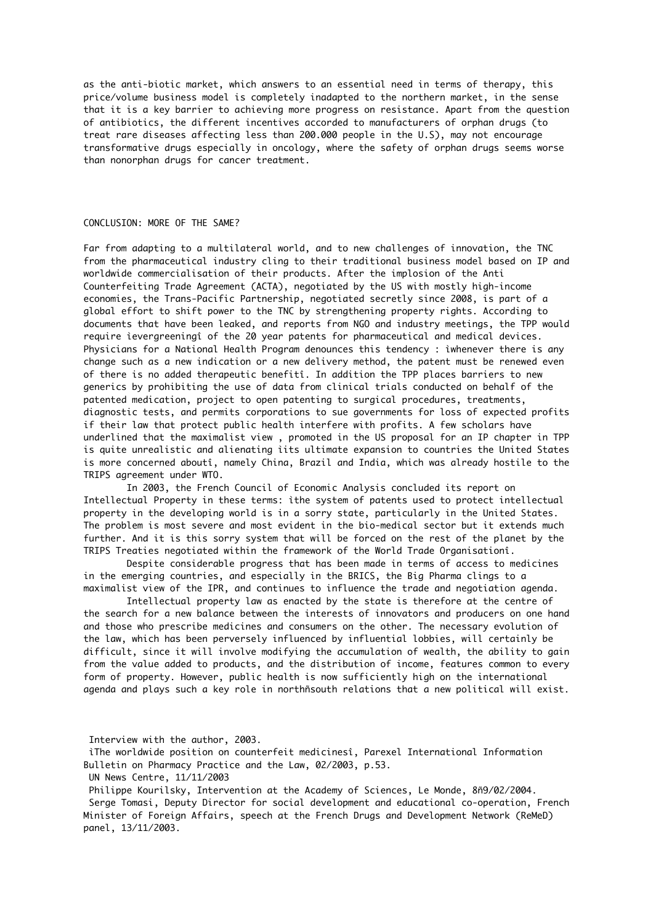as the anti-biotic market, which answers to an essential need in terms of therapy, this price/volume business model is completely inadapted to the northern market, in the sense that it is a key barrier to achieving more progress on resistance. Apart from the question of antibiotics, the different incentives accorded to manufacturers of orphan drugs (to treat rare diseases affecting less than 200.000 people in the U.S), may not encourage transformative drugs especially in oncology, where the safety of orphan drugs seems worse than nonorphan drugs for cancer treatment.

# CONCLUSION: MORE OF THE SAME?

Far from adapting to a multilateral world, and to new challenges of innovation, the TNC from the pharmaceutical industry cling to their traditional business model based on IP and worldwide commercialisation of their products. After the implosion of the Anti Counterfeiting Trade Agreement (ACTA), negotiated by the US with mostly high-income economies, the Trans-Pacific Partnership, negotiated secretly since 2008, is part of a global effort to shift power to the TNC by strengthening property rights. According to documents that have been leaked, and reports from NGO and industry meetings, the TPP would require ìevergreeningî of the 20 year patents for pharmaceutical and medical devices. Physicians for a National Health Program denounces this tendency : iwhenever there is any change such as a new indication or a new delivery method, the patent must be renewed even of there is no added therapeutic benefitî. In addition the TPP places barriers to new generics by prohibiting the use of data from clinical trials conducted on behalf of the patented medication, project to open patenting to surgical procedures, treatments, diagnostic tests, and permits corporations to sue governments for loss of expected profits if their law that protect public health interfere with profits. A few scholars have underlined that the maximalist view , promoted in the US proposal for an IP chapter in TPP is quite unrealistic and alienating ìits ultimate expansion to countries the United States is more concerned aboutî, namely China, Brazil and India, which was already hostile to the TRIPS agreement under WTO.

In 2003, the French Council of Economic Analysis concluded its report on Intellectual Property in these terms: ìthe system of patents used to protect intellectual property in the developing world is in a sorry state, particularly in the United States. The problem is most severe and most evident in the bio-medical sector but it extends much further. And it is this sorry system that will be forced on the rest of the planet by the TRIPS Treaties negotiated within the framework of the World Trade Organisationî.

Despite considerable progress that has been made in terms of access to medicines in the emerging countries, and especially in the BRICS, the Big Pharma clings to a maximalist view of the IPR, and continues to influence the trade and negotiation agenda.

Intellectual property law as enacted by the state is therefore at the centre of the search for a new balance between the interests of innovators and producers on one hand and those who prescribe medicines and consumers on the other. The necessary evolution of the law, which has been perversely influenced by influential lobbies, will certainly be difficult, since it will involve modifying the accumulation of wealth, the ability to gain from the value added to products, and the distribution of income, features common to every form of property. However, public health is now sufficiently high on the international agenda and plays such a key role in northñsouth relations that a new political will exist.

Interview with the author, 2003.

 ìThe worldwide position on counterfeit medicinesî, Parexel International Information Bulletin on Pharmacy Practice and the Law, 02/2003, p.53.

UN News Centre, 11/11/2003

 Philippe Kourilsky, Intervention at the Academy of Sciences, Le Monde, 8ñ9/02/2004. Serge Tomasi, Deputy Director for social development and educational co-operation, French Minister of Foreign Affairs, speech at the French Drugs and Development Network (ReMeD) panel, 13/11/2003.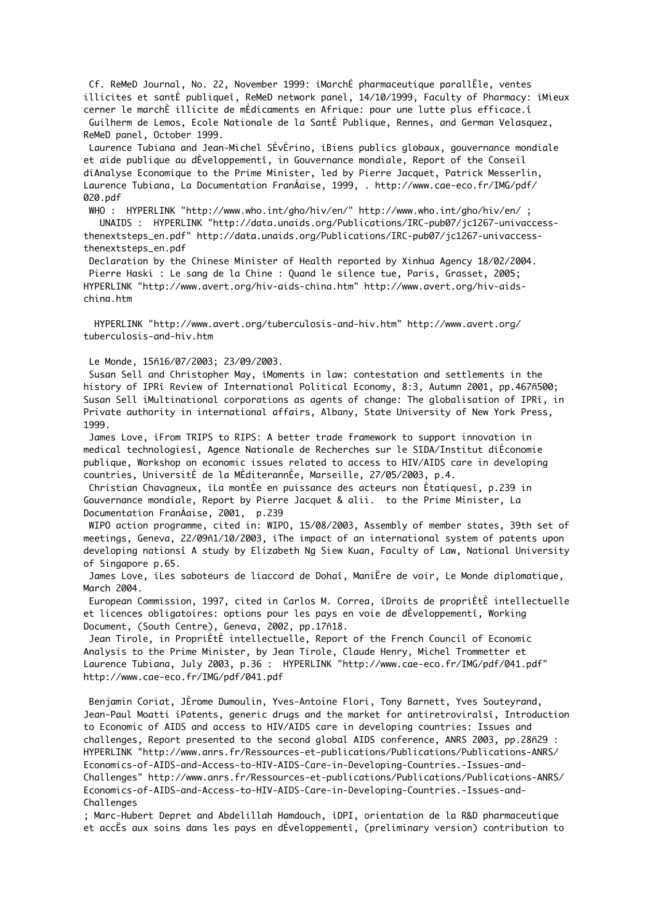Cf. ReMeD Journal, No. 22, November 1999: ìMarchÈ pharmaceutique parallËle, ventes illicites et santÈ publiqueî, ReMeD network panel, 14/10/1999, Faculty of Pharmacy: ìMieux cerner le marchÈ illicite de mÈdicaments en Afrique: pour une lutte plus efficace.î Guilherm de Lemos, Ecole Nationale de la SantÈ Publique, Rennes, and German Velasquez, ReMeD panel, October 1999.

 Laurence Tubiana and Jean-Michel SÈvÈrino, ìBiens publics globaux, gouvernance mondiale et aide publique au dÈveloppementî, in Gouvernance mondiale, Report of the Conseil díAnalyse Economique to the Prime Minister, led by Pierre Jacquet, Patrick Messerlin, Laurence Tubiana, La Documentation FranÁaise, 1999, . http://www.cae-eco.fr/IMG/pdf/ 020.pdf

WHO : HYPERLINK "http://www.who.int/gho/hiv/en/" http://www.who.int/gho/hiv/en/; UNAIDS : HYPERLINK "http://data.unaids.org/Publications/IRC-pub07/jc1267-univaccessthenextsteps\_en.pdf" http://data.unaids.org/Publications/IRC-pub07/jc1267-univaccessthenextsteps\_en.pdf

 Declaration by the Chinese Minister of Health reported by Xinhua Agency 18/02/2004. Pierre Haski : Le sang de la Chine : Quand le silence tue, Paris, Grasset, 2005; HYPERLINK "http://www.avert.org/hiv-aids-china.htm" http://www.avert.org/hiv-aidschina.htm

 HYPERLINK "http://www.avert.org/tuberculosis-and-hiv.htm" http://www.avert.org/ tuberculosis-and-hiv.htm

Le Monde, 15ñ16/07/2003; 23/09/2003.

 Susan Sell and Christopher May, ìMoments in law: contestation and settlements in the history of IPRî Review of International Political Economy, 8:3, Autumn 2001, pp.467ñ500; Susan Sell ìMultinational corporations as agents of change: The globalisation of IPRî, in Private authority in international affairs, Albany, State University of New York Press, 1999.

 James Love, ìFrom TRIPS to RIPS: A better trade framework to support innovation in medical technologiesî, Agence Nationale de Recherches sur le SIDA/Institut díÈconomie publique, Workshop on economic issues related to access to HIV/AIDS care in developing countries, UniversitÈ de la MÈditerannÈe, Marseille, 27/05/2003, p.4.

 Christian Chavagneux, ìLa montÈe en puissance des acteurs non Ètatiquesî, p.239 in Gouvernance mondiale, Report by Pierre Jacquet & alii. to the Prime Minister, La Documentation FranÁaise, 2001, p.239

 WIPO action programme, cited in: WIPO, 15/08/2003, Assembly of member states, 39th set of meetings, Geneva, 22/09ñ1/10/2003, ìThe impact of an international system of patents upon developing nationsî A study by Elizabeth Ng Siew Kuan, Faculty of Law, National University of Singapore p.65.

 James Love, ìLes saboteurs de líaccord de Dohaî, ManiËre de voir, Le Monde diplomatique, March 2004.

 European Commission, 1997, cited in Carlos M. Correa, ìDroits de propriÈtÈ intellectuelle et licences obligatoires: options pour les pays en voie de dÈveloppementî, Working Document, (South Centre), Geneva, 2002, pp.17ñ18.

 Jean Tirole, in PropriÈtÈ intellectuelle, Report of the French Council of Economic Analysis to the Prime Minister, by Jean Tirole, Claude Henry, Michel Trommetter et Laurence Tubiana, July 2003, p.36 : HYPERLINK "http://www.cae-eco.fr/IMG/pdf/041.pdf" http://www.cae-eco.fr/IMG/pdf/041.pdf

 Benjamin Coriat, JÈrome Dumoulin, Yves-Antoine Flori, Tony Barnett, Yves Souteyrand, Jean-Paul Moatti ìPatents, generic drugs and the market for antiretroviralsî, Introduction to Economic of AIDS and access to HIV/AIDS care in developing countries: Issues and challenges, Report presented to the second global AIDS conference, ANRS 2003, pp.28ñ29 : HYPERLINK "http://www.anrs.fr/Ressources-et-publications/Publications/Publications-ANRS/ Economics-of-AIDS-and-Access-to-HIV-AIDS-Care-in-Developing-Countries.-Issues-and-Challenges" http://www.anrs.fr/Ressources-et-publications/Publications/Publications-ANRS/ Economics-of-AIDS-and-Access-to-HIV-AIDS-Care-in-Developing-Countries.-Issues-and-Challenges

; Marc-Hubert Depret and Abdelillah Hamdouch, ìDPI, orientation de la R&D pharmaceutique et accËs aux soins dans les pays en dÈveloppementî, (preliminary version) contribution to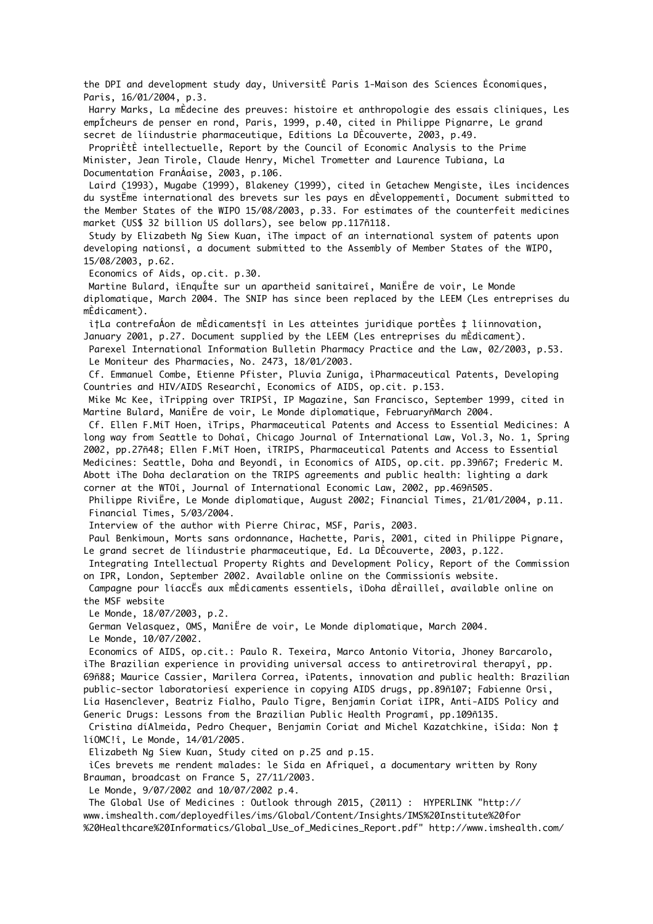the DPI and development study day, UniversitÈ Paris 1-Maison des Sciences Èconomiques, Paris, 16/01/2004, p.3.

Harry Marks, La mèdecine des preuves: histoire et anthropologie des essais cliniques, Les empícheurs de penser en rond, Paris, 1999, p.40, cited in Philippe Pignarre, Le grand secret de líindustrie pharmaceutique, Editions La Dècouverte, 2003, p.49.

PropriÈtÈ intellectuelle, Report by the Council of Economic Analysis to the Prime Minister, Jean Tirole, Claude Henry, Michel Trometter and Laurence Tubiana, La Documentation FranÁaise, 2003, p.106.

Laird (1993), Mugabe (1999), Blakeney (1999), cited in Getachew Mengiste, ìLes incidences du systëme international des brevets sur les pays en dèveloppementî, Document submitted to the Member States of the WIPO 15/08/2003, p.33. For estimates of the counterfeit medicines market (US\$ 32 billion US dollars), see below pp.117ñ118.

Study by Elizabeth Ng Siew Kuan, iThe impact of an international system of patents upon developing nationsî, a document submitted to the Assembly of Member States of the WIPO, 15/08/2003. p.62.

Economics of Aids, op.cit. p.30.

Martine Bulard, iEnguÍte sur un apartheid sanitaireî, ManiËre de voir, Le Monde diplomatique, March 2004. The SNIP has since been replaced by the LEEM (Les entreprises du  $m\hat{E}$ dicament).

ì†La contrefaÁon de mÈdicaments†î in Les atteintes juridique portÈes ‡ líinnovation, January 2001, p.27. Document supplied by the LEEM (Les entreprises du mÈdicament).

Parexel International Information Bulletin Pharmacy Practice and the Law, 02/2003, p.53. Le Moniteur des Pharmacies, No. 2473, 18/01/2003.

Cf. Emmanuel Combe, Etienne Pfister, Pluvia Zuniga, iPharmaceutical Patents, Developing Countries and HIV/AIDS Researchî, Economics of AIDS, op.cit. p.153.

Mike Mc Kee, iTripping over TRIPSî, IP Magazine, San Francisco, September 1999, cited in Martine Bulard, ManiËre de voir, Le Monde diplomatique, FebruaryñMarch 2004.

Cf. Ellen F.MíT Hoen, iTrips, Pharmaceutical Patents and Access to Essential Medicines: A long way from Seattle to Dohaî, Chicago Journal of International Law, Vol.3, No. 1, Spring 2002, pp.27ñ48; Ellen F.MíT Hoen, iTRIPS, Pharmaceutical Patents and Access to Essential Medicines: Seattle, Doha and Beyondî, in Economics of AIDS, op.cit. pp.39ñ67; Frederic M. Abott iThe Doha declaration on the TRIPS agreements and public health: lighting a dark corner at the WTOî, Journal of International Economic Law, 2002, pp.469ñ505.

Philippe RiviËre, Le Monde diplomatique, August 2002; Financial Times, 21/01/2004, p.11. Financial Times, 5/03/2004.

Interview of the author with Pierre Chirac, MSF, Paris, 2003.

Paul Benkimoun, Morts sans ordonnance, Hachette, Paris, 2001, cited in Philippe Pignare, Le grand secret de líindustrie pharmaceutique, Ed. La DÈcouverte, 2003, p.122.

Integrating Intellectual Property Rights and Development Policy, Report of the Commission on IPR, London, September 2002. Available online on the Commissionis website.

Campagne pour líaccËs aux mÈdicaments essentiels, iDoha dÈrailleî, available online on the MSF website

Le Monde, 18/07/2003, p.2.

German Velasquez, OMS, ManiËre de voir, Le Monde diplomatique, March 2004.

Le Monde, 10/07/2002.

Economics of AIDS, op.cit.: Paulo R. Texeira, Marco Antonio Vitoria, Jhoney Barcarolo, iThe Brazilian experience in providing universal access to antiretroviral therapyî, pp. 69ñ88; Maurice Cassier, Marilera Correa, iPatents, innovation and public health: Brazilian public-sector laboratoriesí experience in copying AIDS drugs, pp.89ñ107; Fabienne Orsi, Lia Hasenclever, Beatriz Fialho, Paulo Tigre, Benjamin Coriat iIPR, Anti-AIDS Policy and Generic Drugs: Lessons from the Brazilian Public Health Programî, pp.109ñ135.

Cristina díAlmeida, Pedro Chequer, Benjamin Coriat and Michel Kazatchkine, ìSida: Non ± líOMC!î, Le Monde, 14/01/2005.

Elizabeth Ng Siew Kuan, Study cited on p.25 and p.15.

iCes brevets me rendent malades: le Sida en Afriqueî, a documentary written by Rony Brauman, broadcast on France 5, 27/11/2003.

Le Monde, 9/07/2002 and 10/07/2002 p.4.

The Global Use of Medicines : Outlook through 2015, (2011) : HYPERLINK "http:// www.imshealth.com/deployedfiles/ims/Global/Content/Insights/IMS%20Institute%20for %20Healthcare%20Informatics/Global\_Use\_of\_Medicines\_Report.pdf" http://www.imshealth.com/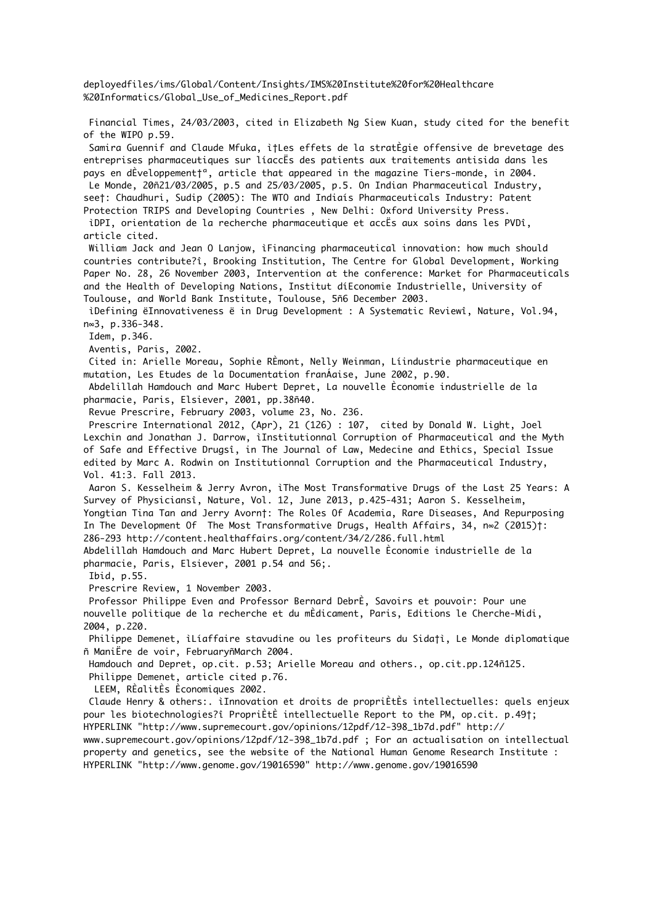deployedfiles/ims/Global/Content/Insights/IMS%20Institute%20for%20Healthcare %20Informatics/Global\_Use\_of\_Medicines\_Report.pdf

Financial Times, 24/03/2003, cited in Elizabeth Ng Siew Kuan, study cited for the benefit of the WIPO p.59.

Samira Guennif and Claude Mfuka, i†Les effets de la stratÈgie offensive de brevetage des entreprises pharmaceutiques sur líacces des patients aux traitements antisida dans les pays en dèveloppementt<sup>a</sup>, article that appeared in the magazine Tiers-monde, in 2004.

Le Monde, 20ñ21/03/2005, p.5 and 25/03/2005, p.5. On Indian Pharmaceutical Industry, see†: Chaudhuri, Sudip (2005): The WTO and Indiais Pharmaceuticals Industry: Patent Protection TRIPS and Developing Countries, New Delhi: Oxford University Press.

iDPI, orientation de la recherche pharmaceutique et accËs aux soins dans les PVDî, article cited.

William Jack and Jean O Lanjow, iFinancing pharmaceutical innovation: how much should countries contribute?î, Brooking Institution, The Centre for Global Development, Working Paper No. 28, 26 November 2003, Intervention at the conference: Market for Pharmaceuticals and the Health of Developing Nations, Institut diEconomie Industrielle, University of Toulouse, and World Bank Institute, Toulouse, 5ñ6 December 2003.

iDefining ëInnovativeness ë in Drug Development : A Systematic Reviewî, Nature, Vol.94, n∞3, p.336-348.

Idem, p.346.

Aventis, Paris, 2002.

Cited in: Arielle Moreau, Sophie REmont, Nelly Weinman, Liindustrie pharmaceutique en mutation, Les Etudes de la Documentation franÁaise, June 2002, p.90.

Abdelillah Hamdouch and Marc Hubert Depret, La nouvelle Èconomie industrielle de la pharmacie, Paris, Elsiever, 2001, pp.38ñ40.

Revue Prescrire, February 2003, volume 23, No. 236.

Prescrire International 2012, (Apr), 21 (126) : 107, cited by Donald W. Light, Joel Lexchin and Jonathan J. Darrow, iInstitutionnal Corruption of Pharmaceutical and the Myth of Safe and Effective Drugsî, in The Journal of Law, Medecine and Ethics, Special Issue edited by Marc A. Rodwin on Institutionnal Corruption and the Pharmaceutical Industry, Vol. 41:3. Fall 2013.

Aaron S. Kesselheim & Jerry Avron, iThe Most Transformative Drugs of the Last 25 Years: A Survey of Physiciansî, Nature, Vol. 12, June 2013, p.425-431; Aaron S. Kesselheim, Yongtian Tina Tan and Jerry Avorn†: The Roles Of Academia, Rare Diseases, And Repurposing In The Development Of The Most Transformative Drugs, Health Affairs, 34, n∞2 (2015)†: 286-293 http://content.healthaffairs.org/content/34/2/286.full.html

Abdelillah Hamdouch and Marc Hubert Depret, La nouvelle Economie industrielle de la pharmacie, Paris, Elsiever, 2001 p.54 and 56;.

Ibid, p.55.

Prescrire Review, 1 November 2003.

Professor Philippe Even and Professor Bernard DebrÈ, Savoirs et pouvoir: Pour une nouvelle politique de la recherche et du mÈdicament, Paris, Editions le Cherche-Midi, 2004, p.220.

Philippe Demenet, iLíaffaire stavudine ou les profiteurs du Sidați, Le Monde diplomatique ñ ManiËre de voir, FebruaryñMarch 2004.

Hamdouch and Depret, op.cit. p.53; Arielle Moreau and others., op.cit.pp.124ñ125. Philippe Demenet, article cited p.76.

LEEM, RÈalitÈs Èconomiques 2002.

Claude Henry & others:. iInnovation et droits de propriÈtÈs intellectuelles: quels enjeux pour les biotechnologies?î PropriÈtÈ intellectuelle Report to the PM, op.cit. p.49†; HYPERLINK "http://www.supremecourt.gov/opinions/12pdf/12-398\_1b7d.pdf" http:// www.supremecourt.gov/opinions/12pdf/12-398\_1b7d.pdf ; For an actualisation on intellectual property and genetics, see the website of the National Human Genome Research Institute : HYPERLINK "http://www.genome.gov/19016590" http://www.genome.gov/19016590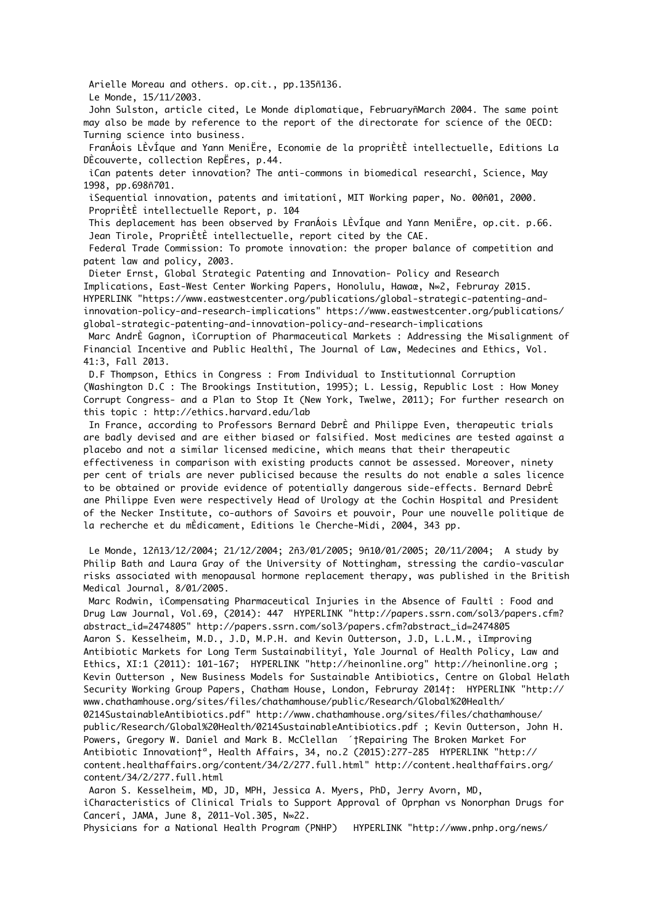Arielle Moreau and others. op.cit., pp.135ñ136.

Le Monde, 15/11/2003.

 John Sulston, article cited, Le Monde diplomatique, FebruaryñMarch 2004. The same point may also be made by reference to the report of the directorate for science of the OECD: Turning science into business.

 FranÁois LÈvÍque and Yann MeniËre, Economie de la propriÈtÈ intellectuelle, Editions La DÈcouverte, collection RepËres, p.44.

 ìCan patents deter innovation? The anti-commons in biomedical researchî, Science, May 1998, pp.698ñ701.

 ìSequential innovation, patents and imitationî, MIT Working paper, No. 00ñ01, 2000. PropriÈtÈ intellectuelle Report, p. 104

 This deplacement has been observed by FranÁois LÈvÍque and Yann MeniËre, op.cit. p.66. Jean Tirole, PropriÈtÈ intellectuelle, report cited by the CAE.

 Federal Trade Commission: To promote innovation: the proper balance of competition and patent law and policy, 2003.

 Dieter Ernst, Global Strategic Patenting and Innovation- Policy and Research Implications, East-West Center Working Papers, Honolulu, Hawaœ, N∞2, Februray 2015. HYPERLINK "https://www.eastwestcenter.org/publications/global-strategic-patenting-andinnovation-policy-and-research-implications" https://www.eastwestcenter.org/publications/ global-strategic-patenting-and-innovation-policy-and-research-implications

 Marc AndrÈ Gagnon, ìCorruption of Pharmaceutical Markets : Addressing the Misalignment of Financial Incentive and Public Healthî, The Journal of Law, Medecines and Ethics, Vol. 41:3, Fall 2013.

 D.F Thompson, Ethics in Congress : From Individual to Institutionnal Corruption (Washington D.C : The Brookings Institution, 1995); L. Lessig, Republic Lost : How Money Corrupt Congress- and a Plan to Stop It (New York, Twelwe, 2011); For further research on this topic : http://ethics.harvard.edu/lab

 In France, according to Professors Bernard DebrÈ and Philippe Even, therapeutic trials are badly devised and are either biased or falsified. Most medicines are tested against a placebo and not a similar licensed medicine, which means that their therapeutic effectiveness in comparison with existing products cannot be assessed. Moreover, ninety per cent of trials are never publicised because the results do not enable a sales licence to be obtained or provide evidence of potentially dangerous side-effects. Bernard DebrÈ ane Philippe Even were respectively Head of Urology at the Cochin Hospital and President of the Necker Institute, co-authors of Savoirs et pouvoir, Pour une nouvelle politique de la recherche et du mÈdicament, Editions le Cherche-Midi, 2004, 343 pp.

 Le Monde, 12ñ13/12/2004; 21/12/2004; 2ñ3/01/2005; 9ñ10/01/2005; 20/11/2004; A study by Philip Bath and Laura Gray of the University of Nottingham, stressing the cardio-vascular risks associated with menopausal hormone replacement therapy, was published in the British Medical Journal, 8/01/2005.

 Marc Rodwin, ìCompensating Pharmaceutical Injuries in the Absence of Faultî : Food and Drug Law Journal, Vol.69, (2014): 447 HYPERLINK "http://papers.ssrn.com/sol3/papers.cfm? abstract\_id=2474805" http://papers.ssrn.com/sol3/papers.cfm?abstract\_id=2474805 Aaron S. Kesselheim, M.D., J.D, M.P.H. and Kevin Outterson, J.D, L.L.M., ìImproving Antibiotic Markets for Long Term Sustainabilityî, Yale Journal of Health Policy, Law and Ethics, XI:1 (2011): 101-167; HYPERLINK "http://heinonline.org" http://heinonline.org ; Kevin Outterson , New Business Models for Sustainable Antibiotics, Centre on Global Helath Security Working Group Papers, Chatham House, London, Februray 2014†: HYPERLINK "http:// www.chathamhouse.org/sites/files/chathamhouse/public/Research/Global%20Health/ 0214SustainableAntibiotics.pdf" http://www.chathamhouse.org/sites/files/chathamhouse/ public/Research/Global%20Health/0214SustainableAntibiotics.pdf ; Kevin Outterson, John H. Powers, Gregory W. Daniel and Mark B. McClellan ´†Repairing The Broken Market For Antibiotic Innovation†ª, Health Affairs, 34, no.2 (2015):277-285 HYPERLINK "http:// content.healthaffairs.org/content/34/2/277.full.html" http://content.healthaffairs.org/ content/34/2/277.full.html

 Aaron S. Kesselheim, MD, JD, MPH, Jessica A. Myers, PhD, Jerry Avorn, MD, ìCharacteristics of Clinical Trials to Support Approval of Oprphan vs Nonorphan Drugs for Cancerî, JAMA, June 8, 2011-Vol.305, N∞22.

Physicians for a National Health Program (PNHP) HYPERLINK "http://www.pnhp.org/news/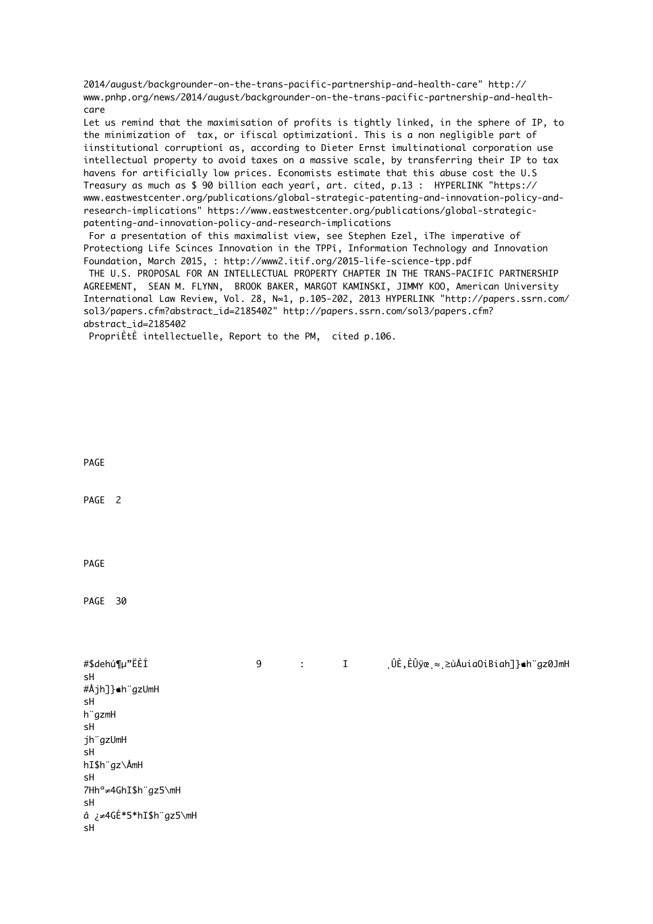2014/august/backgrounder-on-the-trans-pacific-partnership-and-health-care" http:// www.pnhp.org/news/2014/august/backgrounder-on-the-trans-pacific-partnership-and-healthcare

Let us remind that the maximisation of profits is tightly linked, in the sphere of IP, to the minimization of tax, or ifiscal optimizationî. This is a non negligible part of iinstitutional corruptioni as, according to Dieter Ernst imultinational corporation use intellectual property to avoid taxes on a massive scale, by transferring their IP to tax havens for artificially low prices. Economists estimate that this abuse cost the U.S Treasury as much as \$ 90 billion each yearî, art. cited, p.13 : HYPERLINK "https:// www.eastwestcenter.org/publications/global-strategic-patenting-and-innovation-policy-andresearch-implications" https://www.eastwestcenter.org/publications/global-strategicpatenting-and-innovation-policy-and-research-implications

For a presentation of this maximalist view, see Stephen Ezel, iThe imperative of Protectiong Life Scinces Innovation in the TPPî, Information Technology and Innovation Foundation, March 2015, : http://www2.itif.org/2015-life-science-tpp.pdf

THE U.S. PROPOSAL FOR AN INTELLECTUAL PROPERTY CHAPTER IN THE TRANS-PACIFIC PARTNERSHIP AGREEMENT, SEAN M. FLYNN, BROOK BAKER, MARGOT KAMINSKI, JIMMY KOO, American University International Law Review, Vol. 28, No1, p.105-202, 2013 HYPERLINK "http://papers.ssrn.com/ sol3/papers.cfm?abstract\_id=2185402" http://papers.ssrn.com/sol3/papers.cfm? abstract id=2185402

PropriÈtÈ intellectuelle, Report to the PM, cited p.106.

PAGE

PAGE 2

PAGE

PAGE 30

| #\$dehú¶µ"ËÈÍ<br>sH<br>#Åjh]} <b>«</b> h¨gzUmH<br>sH<br>h"gzmH<br>sH<br>jh¨gzUmH<br>sH<br>hI\$h"gz\ÅmH<br>sH<br>7Hh <sup>a</sup> ≠4GhI\$h <sup>"</sup> gz5\mH<br>sH<br>â ¿≠4GÉ*5*hI\$h¨gz5\mH<br>sH | 9 | $\ddot{\cdot}$ | $\mathbf{I}$ | ,ÛÈ,ÈÛÿœ,≈,≥ùÅuiaOiBiah]}∉h¨gz0JmH |
|-----------------------------------------------------------------------------------------------------------------------------------------------------------------------------------------------------|---|----------------|--------------|------------------------------------|
|                                                                                                                                                                                                     |   |                |              |                                    |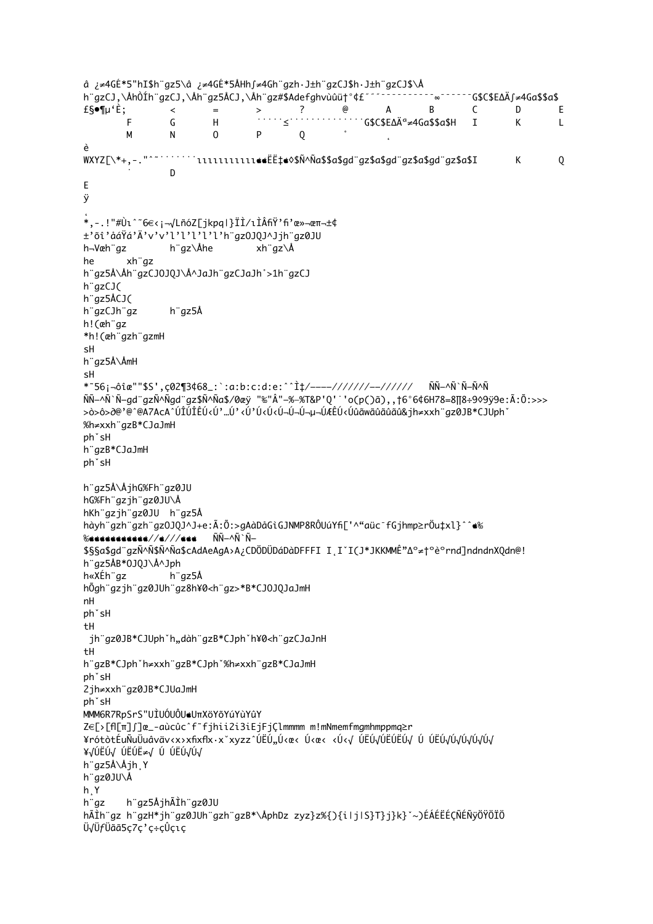```
â ¿≠4GÉ*5"hI$h"gz5\â ¿≠4GÉ*5ÅHh∫≠4Gh"gzh.J±h"gzCJ$h.J±h"gzCJ$\Å
h"gzCJ,\ÅhÒÍh"gzCJ,\Åh"gz5ÅCJ,\Åh"gz#$Adefghvùûüt°¢£'
                                                                              GSCSEƀf≠4GaSSaS
£§•¶µ'È;
                                                             A
                                                                      B
                                                                              C
                                                                                       D
                                                                                                \mathsf E\,<\ddot{\cdot}@
                                  \sum_{i=1}^{n}G
                          HF
                                        \prec`G$C$Eƀª≠4Ga$$a$H
                                                                              \mathbf IK
                                                                                                L
        M
                 N
                          \OmegaÞ
                                           \mathbf 0è
                ·······uuuuuuseEEte0$Ñ^Ña$$a$gd"gz$a$gd"gz$a$gd"gz$a$I
WXYZ[\n\xrightarrow{*}+, -."
                                                                                       K
                                                                                                \overline{0}D
\overline{E}ÿ
*,-.!"#Ùι^~6€<j-yLñóZ[jkpql}ÏÌ/ιÌÂfiŸ'fi'œ»-œπ-±¢
±'õî'åáŸá'Ä'v'v'l'l'l'l'l'h"qz0JQJ^Jjh"qz0JU
h-Væh" gz
                 h"qz\Åhe
                                  xh"qz\Å
he
        xh"az
h"gz5Å\Åh"gzCJ0JQJ\Å^JaJh"gzCJaJh°>1h"gzCJ
h"qzCJ(
h"az5ÅCJ(
h"qzCJh"qz
                 h"qz5Å
h! (\alpha h<sup>"</sup> qz*h!(œh"gzh"gzmH
sH
h"gz5Å\ÅmH
sH
*~56j-ôîæ""$S',c02¶3¢68_:`:a:b:c:d:e:^^Ìt/----///////--////// ÑÑ-^Ñ`Ñ-Ñ^Ñ
ÑÑ-^Ñ`Ñ-gd"gzÑ^Ñgd"gz$Ñ^Ña$/0æÿ "‰"Â"-%-%T&P'Q' 'o(p()ã),,†6°646H78=8∏8÷909ÿ9e:Ã:Õ:>>>
>ò>ô>∂@'@^@A7AcA^ÚÎÚÎÊÚ<Ú'…Ú'‹Ú'Ú‹Ú‹Ú-Ú¬Ú¬µ¬ÚÆÊÚ‹Úûāwãûãûãû&jh≠xxh¨gz0JB*CJUph`
%h≠xxh"gzB*CJaJmH
ph'sH
h"qzB*CJaJmH
ph<sup>*</sup>sH
h"gz5Å\ÅjhG%Fh"gz0JU
hG%Fh"gzjh"gz0JU\Å
hKh"qzjh"qz0JU h"qz5Å
hàyh"gzh"gzh"gz0JQJ^J+e:Ã:Õ:>gAàDåGìGJNMP8RÔUúYfi['^"aüc<sup>-</sup>fGjhmp≥rÖutxl}^^
%eeeeeeeeee//e///eee
                          ÑÑ-^Ñ`Ñ-
$§§a$qd~qzÑ^Ñ$Ñ^Ña$cAdAeAqA>A;CDÖDÜDáDàDFFFI I I I I (J*JKKMMÊ"∆°≠†°è°rnd]ndndnXQdn@!
h"qz5ÅB*0J0J\Å^Jph
h«XÉh¨gz
                 h"qz5Å
hÕah"azih"az0JUh"az8h¥0<h"az>*B*CJ0J0JaJmH
nH
ph'sH
Hjh"gz0JB*CJUph`h"dàh"gzB*CJph`h¥0<h"gzCJaJnH
+Hh"gzB*CJph`h≠xxh"gzB*CJph`%h≠xxh"gzB*CJaJmH
ph'sH
2jh≠xxh"gz0JB*CJUaJmH
ph<sup>*</sup>sH
MMM6R7RpSrS"UÌUÓUÔU€UπXöYőYúYùYûY
Z∈[>[fl[π]∫]œ_-aùcûc^f~fjhii2i3iEjFjClmmmm m!mNmemfmqmhmppmq≥r
¥rótòtÉuÑuÜuâväv‹x>xfixflx·x`xyzz^ÚËÚ"Ú‹œ‹ Ú‹æ‹ ‹Ú‹√ ÚËÚ√ÚËÚËÚ√ Ú ÚËÚ√Ú√Ú√Ú√Ú√
¥√ÚËÚ√ ÚËÚË≠√ Ú ÚËÚ√Ú√
h"qz5Å\Åjh Y
h"gz0JU\Å
h, Yh"gz
        h"qz5ÅjhÃÌh"qz0JU
hÃÌh"gz h"gzH*jh"gz0JUh"gzh"gzB*\ÅphDz zyz}z%{){i|j|S}T}j}k}'~)ÉÁÉËÉÇÑÉÑÿÖŸÖÏÖ
Ü√ÜfÜãã5ç7ç'ç÷çÛçıç
```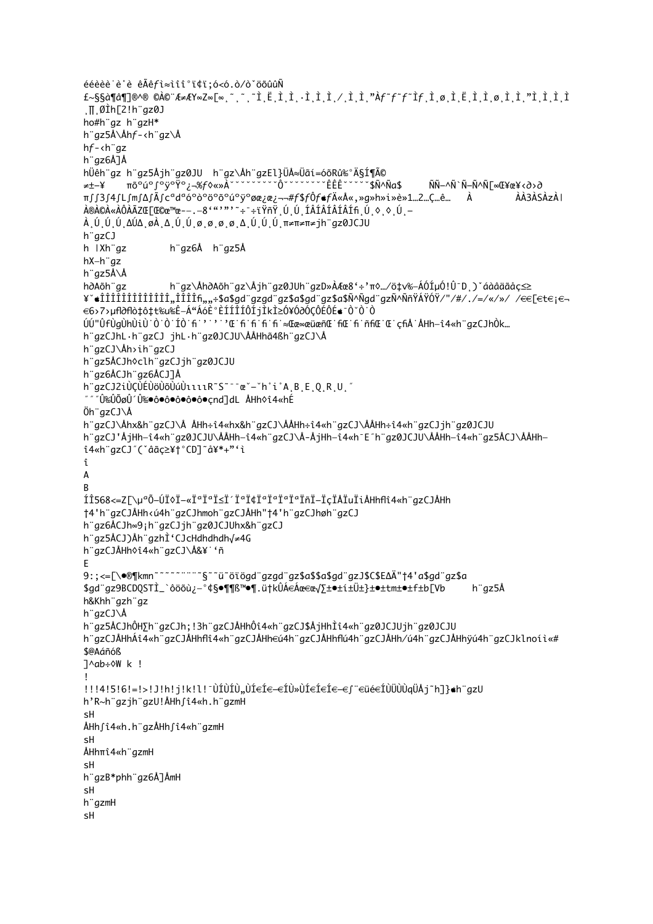```
ééèèè è e êÃêfì≈ìîî°ï¢ï;ó<ó.ò/ò ööûûÑ
f \sim SSà¶â¶\sim® ©À©∵Æ≠ÆY∞Z∞\sim~ ~ ~ ~ i Ë Ì Ì ∙ì Ì i / Ì Ì 'Àf~f~f~if Ì ø Ì Ë Ì Ì ø Ì Ì "Ì Ì Ì Ì
.∏.ØÌh[2!h¨gz0J
ho#h"qz h"qzH*
h"gz5Å\Åhf-<h"gz\Å
hf-\langle h \rangleaz
h"gz6Å]Å
hÜêh¨gz h¨gz5Åjh¨gz0JU h¨gz\Åh¨gzEl}ÜÅ≈Üãí=óõRû‰°Ä§Í¶Ã©
         \neq +\perp \nmidÑÑ-^Ñ`Ñ-Ñ^Ñ「∞Œ¥œ¥<∂>∂
TJJ3J4JLfmfAfAfc<sup>a</sup>daooooooooyogazaz-#f$f0fefA«A«,»g»h»i»è»1..2..C..ê... À
                                                                                              ÀÀ3ÀSÀzÀI
\tilde{A} \odot \tilde{A} \odot \tilde{A} \tilde{A} \tilde{A} \tilde{A} \tilde{A} \tilde{A} \tilde{A} \tilde{A} \tilde{A} \tilde{A} \tilde{A} \tilde{A} \tilde{A} \tilde{A} \tilde{A} \tilde{A} \tilde{A} \tilde{A} \tilde{A} \tilde{A} \tilde{A} \tilde{A} \tilde{A} \tilde{A} \tilde{A} \tilde{A} \tilde{A} \tilde{A} \tilde{A} \tilde{A} \tilde{A} \tilde{A} \tilde{A} \tilde{\lambda, Ú, Ú, Ú, ΔÚΔ, ø\lambda, Δ, Ú, Ú, ø, ø, ø, Δ, Ú, Ú, Ú, π≠π≠π≠jh "qz0JCJU
h"qzCJ
                  h"qz6Å h"qz5Å
h | Xh" qz
hX-h"az
h"gz5Å\Å
                   h"qz\Åh∂Aõh"qz\Åjh"qz0JUh"qzD»ÀÆœ8'÷'π◊.../ötv‰-ÁÓ͵Ó!Û<sup>-</sup>D ) áàâäãåc≤≥
h∂Aõh¨gz
¥`«ÎÎÎÎÎÎÎÎÎÎÎÎÎÎÎ…îÎÎÎfi…÷$a$qd¨qzgd¨gz$a$gd¨gz$a$Ñ^Ñgd¨gzÑ^ÑñŸÁŸÓŸ/"/#/./=/«/»/ /€€[€t€¡€¬
€6>7>ufl∂flò±ô±t‰u‰Ê-Á"ÁóȰÈÍÍÎÍÔÍiÌkÌ≥Ó¥Ó∂ÓCÔÉÔÉ∉<sup>-</sup>Ò°Ò Ò
ÚÚ"ÛfÙgÙhÙiÙ Ò Ò ÍÒ fi '''''E fi fi fi a te∞œüœñŒ fiŒ fi ñfiŒ Œ cfiÀ ÅHh-î4«h"qzCJhÒk...
h"gzCJhL·h"gzCJ jhL·h"gz0JCJU\ÅÅHhã4ßh"gzCJ\Å
h"gzCJ\Åh>ih"gzCJ
h"gz5ÅCJhoclh"gzCJjh"gz0JCJU
h"gz6ÅCJh"gz6ÅCJ]Å
h"gzCJ2iÙCÙÉÙöÙŎÙúÙııııR~S~--œ~-'h'i'A B E Q R U "
   ″Û‰ÛÕøÛ´Û‰●ô●ô●ô●ô●ê●çnd]dL ÅHh◊î4«hÉ
Öh"gzCJ\Å
h"gzCJ\Åhx&h"gzCJ\Å ÅHh÷î4«hx&h"gzCJ\ÅÅHh÷î4«h"gzCJ\ÅÅHh÷î4«h"gzCJjh"gz0JCJU
h"gzCJ'ÅjHh-î4«h"gz0JCJU\ÅÅHh-î4«h"gzCJ\Å-ÅjHh-î4«h"E"h"gz0JCJU\ÅÅHh-î4«h"gz5ÅCJ\ÅÅHh-
î4«h"gzCJ"(`âãç≥¥†°CD]~å¥*+"'ì
\hat{1}\overline{A}\overline{B}ÍÎ568<=Z「\µªÕ-ÚÏ◊Ï-«ÏªÏªÏ≤ϴϪϢϪϪϪϪÏñÏ-ÏçÏÅÏuÏiÅHhflî4«h¨qzCJÅHh
t4'h"qzCJÅHh<ú4h"qzCJhmoh"qzCJÅHh"t4'h"qzCJhøh"qzCJ
h"gz6ÅCJh∞9;h"gzCJjh"gz0JCJUhx&h"gzCJ
h"gz5ÅCJ)Åh"gzhÌ'CJcHdhdhdh√≠4G
h"gzCJÅHh0î4«h"gzCJ\Å&¥''ñ
F
$ad"az9BCDOSTÌ `ôöõù;-°¢§●¶¶ß™●¶.ü†kÛÁ∈Áœ∈œ√5±●±í±Ü±}±●±tm±●±f±b[Vb
                                                                                    h"az5Å
h&Khh"qzh"qz
h"azCJ\Å
h az5ÅCJhÔH5h azCJh: !3h azCJÅHhÔî4«h azCJ$ÅiHhÌî4«h az0JCJUjh az0JCJU
h"gzCJÅHhÁî4«h"gzCJÅHhflî4«h"gzCJÅHheú4h"gzCJÅHhflú4h"gzCJÅHh/ú4h"gzCJÅHhyú4h"gzCJklnoíì«#
$@Aáñóß
7 \triangle a b \div \Diamond W k !
!!!4!5!6!=!>!J!h!j!k!l!<sup>-</sup>ÙÍÙÍÙ"Ù̀̀–€ÍÙ»Ù̀̀-€∫¨€üé€ÍÙÜÙÙqÜÅj~h]}≤h¨gzU
h'R~h"gzjh"gzU!ÅHh∫î4«h.h"gzmH
sH
ÅHh∫î4«h.h"qzÅHh∫î4«h"qzmH
<H
ÅΗhπî 4«h" αzmH
<H
h"qzB*phh"qz6Å]ÅmH
cHh"qzmH
<H
```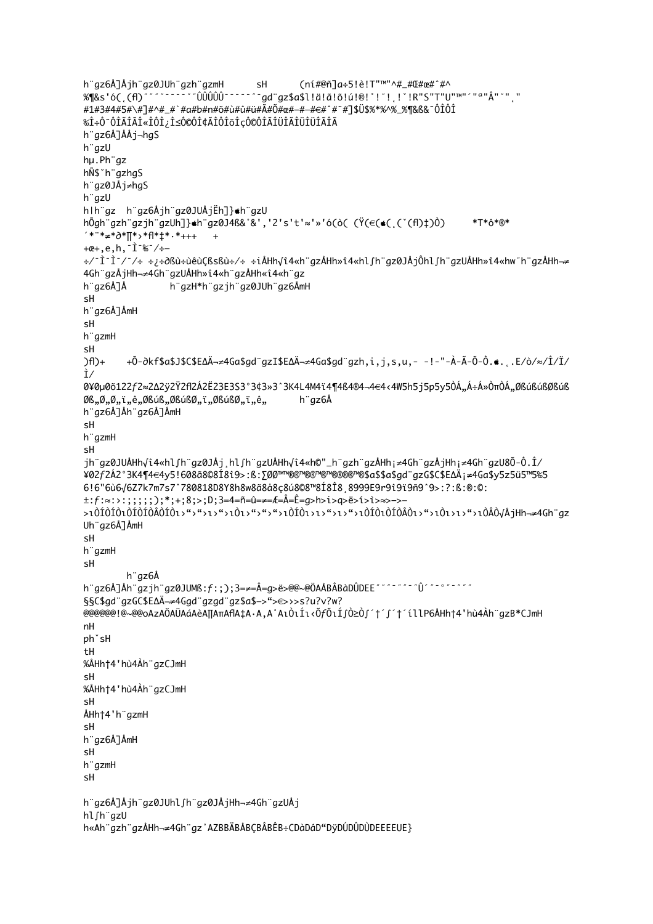```
(ní#@ñ]a÷5!è!T"™"^#_#Œ#œ#^#^
h"gz6Å]Åjh"gz0JUh"gzh"gzmH
                                 <H
                                 -<br>"qd~qz$a$l!ä!ã!õ!ú!®!゚!″! !`!R"S"T"U"™″´"ª"Â"″"
                     "00000---
%¶&s'ó( (fl)"
#1#3#4#5#\#]#^#_#`#a#b#n#õ#ù#û#ü#Ã#Õ#œ#-#-#€#^#~#]$Ü$%*%^%_%¶&ß&~ÔÎÔÎ
‰Î÷Ô~ÔÎÃÎÃΫÎÔοÎ≤Ô©Ô΢ÃÎÔÎŏÎçÔ©ÔÎÃÎÜÎÄÎÜÎÜÎÃÎÃ
h"gz6Å]ÅÅj¬hgS
h"qzU
hu.Ph"qz
hÑ$`h"qzhqS
h"qz0JÅj≠hqS
h"qzU
hlh"gz h"gz6Åjh"gz0JUÅjËh]}«h"gzU
hÕgh"gzh"gzjh"gzUh]}«h"gz0J4ß&°&','2's't'≈'»'ó(ò( (Ÿ(€(«( ( ( (f)1)Ò)
                                                                          *T*ô*®*
´*¨*≠*∂*∏*>*fl*‡*·*+++
                        ++x+, e, h, \hat{I}x + + \hat{L}x + h+/^l^l^/^/++;+dSu+ueuCSsBu+/++iAHhyi4«h"qzAHh»i4«hlſh"qz0JAjOhlſh"qzUAHh»i4«hw"h"qzAHh-+
4Gh"qzÅjHh¬≠4Gh"qzUÅHh»î4«h"qzÅHh«î4«h"qz
h"gz6Å]Å
                h"qzH*h"qzjh"qz0JUh"qz6ÅmH
sH
h"qz6Å]ÅmH
sH
h"qzmH
SH+Õ-∂kf$a$J$C$E∆Ĭ≠4Ga$gd¨gzI$E∆Ĭ≠4Ga$gd¨gzh,i,j,s,u,- -!-"-À-Ã-Õ-Ô.«.,.E/ò/≈/Î/Ï/
(H)Ì/
Ø¥0μ0õ122f2≈2Δ2ÿ2Ÿ2fl2Á2Ë23E3S3°3¢3»3^3K4L4M4ï4¶4ß4®4¬4∈4‹4W5h5j5p5y5ÒÁ"Á÷Á»ÒπÒÁ"Øßúßúߨßúß
Øß"Ø"Ø"ï"ê"Øßúß"Øßúߨ"ï"Øßúߨ"ï"ê"
                                         h"gz6Å
h"gz6Å]Åh"gz6Å]ÅmH
sH
h"gzmH
sH
jh"gz0JUÅHh√î4«hl∫h"gz0JÅj hl∫h"gzUÅHh√î4«h©"_h"gzh"gzÅHh;≠4Gh"gzÅjHh;≠4Gh"gzU8Õ-Ô.Î/
¥02f2Á2°3K4¶4€4y5!608ã8©8Í8î9>:ß:500™®®™®®™®™®®®™®$a$$a$qd~qzG$C$E∆Ä;≠4Ga$v5z5ü5™5%5
6!6"6u6y6Z7k7m7s7^780818D8Y8h8w8a8a8c8u808"81818.8999E9r91919n9^9>:?:B:0:0:
\pm:f:≈:>:;;;;;);*;+;8;>;D;3=4=ñ=û=≠=Æ=Â=Ê=g>h>i>q>ë>í>ì>≈>->-
>1ÒÍÒÍÒ1ÒÍÒÍÒÂÒÍÒ1>">">">1Ò1>">">">1ÒÍÒ1>1>">1>">1OÍÒ1ÒÎÒÀÒ1>">1Ò1>1>">1ÒÂÒ√ÅjHh¬≠4Gh"qz
Uh"qz6Å]ÅmH
sH
h"qzmH
sH
        h"qz6Å
h"gz6Å]Åh"gzjh"gz0JUMß:f:;);3=≠=Â=g>ë>@@~@ÖAÅBÂBàDÛDEE"""-""-"0'"-°"-"""
§§C$gd"gzGC$E∆Ĭ≠4Ggd"gzgd"gz$a$->">€>>>s?u?v?w?
@@@@@@!@~@@oAzAÖAÜAáAèA∏AπAflA‡A·A,A°AıÒıÍı‹ÕfÕıÍ∫Ò≥Ò∫´†´∫´†´illP6ÅHh†4'hù4Àh¨gzB*CJmH
nHph<sup>*</sup>sH
tH
%ÅHht4'hù4Àh"gzCJmH
sH
%ÅHh†4'hù4Àh"gzCJmH
sH
ÅHht4'h"gzmH
<H
h"qz6Å]ÅmH
<H
h"qzmH
sH
h"gz6Å]Åjh"gz0JUhl∫h"gz0JÅjHh¬≠4Gh"gzUÅj
hl∫h<sup>"</sup>qzU
h«Ah"gzh"gzÅHh-=4Gh"gz°AZBBÄBÅBCBÂBÊB÷CDàDâD"DÿDÚDÛDÙDEEEEUE}
```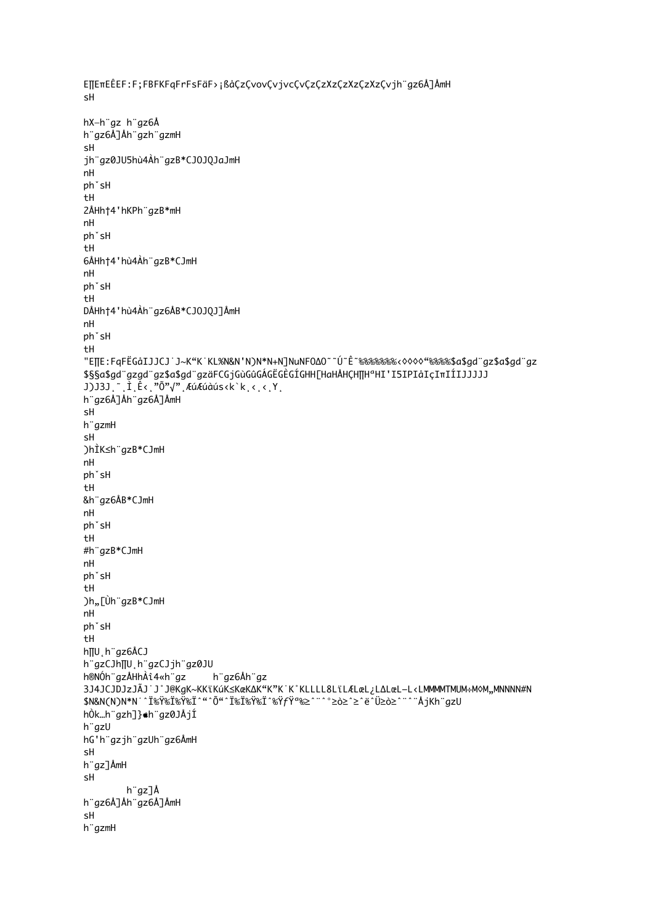```
ΕΠΕπΕΕΕΕ: F; FBFKFqFrFsFäF> ; βå (z (νον (ν jν c (ν (z (z Xz (z Xz (z Xz (ν j h " g z 6 Å ] ÅmH
sH
hX-h"gz h"gz6Å
h"gz6Å]Åh"gzh"gzmH
sH
jh"gz0JU5hù4Àh"gzB*CJ0JQJaJmH
nH
ph<sup>*</sup>sH
tH
2ÅHht4'hKPh"gzB*mH
nH
ph'sH
tH
6ÅHht4'hù4Àh"gzB*CJmH
nH
ph'sH
tH
DÅHht4'hù4Àh"gz6ÅB*CJ0JQJ]ÅmH
nHph<sup>*</sup>sH
tH
"ETE:FqFEGåIJJCJ'J~K"K'KL%N&N'N)N*N+N]NuNFOAO~~Ú~Ê~%%%%%%%%%%%%%%$a$gd"gz$a$gd"gz
$§$a$gd"gzgd"gz$a$gd"gzäFCGjGùGûGÁGËGEGÍGHH[HaHÅHÇH∏HªHI'I5IPIåIçIπIÍIJJJJJ
J)J3J\left[\begin{array}{c} 1 \\ 1 \end{array}\right]\left[\begin{array}{c} 1 \\ 1 \end{array}\right]\left[\begin{array}{c} 2 \\ 1 \end{array}\right]\left[\begin{array}{c} 0 \\ 0 \end{array}\right]\left[\begin{array}{c} 0 \\ 0 \end{array}\right]\left[\begin{array}{c} 0 \\ 0 \end{array}\right]\left[\begin{array}{c} 0 \\ 0 \end{array}\right]h"gz6Å]Åh"gz6Å]ÅmH
sH
h"gzmH
sH
)hÌK≤h"gzB*CJmH
nHph'sH
tH
&h"gz6ÅB*CJmH
nH
ph<sup>*</sup>sH
tH
#h"gzB*CJmH
nH
ph'sH
tH
)h"[Ùh"gzB*CJmH
nH
ph'sH
tH
h∏U h"gz6ÅCJ
h"gzCJh∏U h"gzCJjh"gz0JU
h®NÓh¨gzÅHhÀî4«h¨gz
                                 h"gz6Åh"gz
3J4JCJDJzJÃJ J'J@KgK~KKïKúK≤KœKΔK"K"K K'KLLLL8LïLÆLæL¿LΔLœL-L<LMMMTMUM÷MOM"MNNNN#N
$N&N(N)N*N`^Ï%Ÿ%Ï%Ÿ%Ï^"^Õ"^Ï%Ï%Ÿ%Ï^%ŸfŸª%≥^¨^°≥ò≥^≥^ë^Ü≥ò≥^¨^¨ÅjKh¨gzU
hÒk…h"gzh]}oh"gz0JÅjÍ
h"qzU
hG'h"gzjh"gzUh"gz6ÅmH
SHh"gz]ÅmH
sH
           h"qz]Å
h"gz6Å]Åh"gz6Å]ÅmH
sH
h"qzmH
```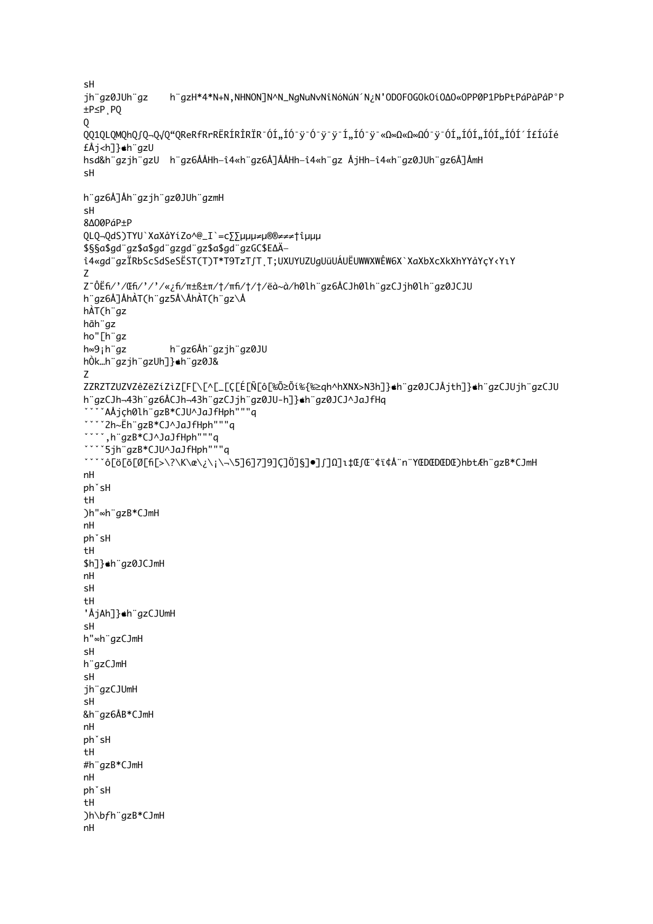```
sH
                 h"gzH*4*N+N,NHNON]N^N_NgNuNvNîNóNúN'N;N'ODOFOGOkO1OAO«OPPØP1PbPtPáPàPâP°P
jh"gz0JUh"gz
\pm P \leq P, PQ
\OmegaQQ1QLQMQhQfQ-QVQ"QReRfRrRËRÍRÎRĪR<sup>-</sup>ÓÍ"ÍÓ<sup>-</sup>ÿ-Ó-ÿ-ÿ-Í"ÍÓ-ÿ-«Ω∞Ω«Ω∞ΩÓ-ÿ-ÓÍ"ÍÓÍ"ÍÓÍ"ÍÓÍ"Í£ÍúÍé
£Åj<h]}«h¨gzU
hsd&h"gzjh"gzU h"gz6ÅÅHh-î4«h"gz6Å]ÅÅHh-î4«h"gz ÅjHh-î4«h"gz0JUh"gz6Å]ÅmH
<H
h"gz6Å]Åh"gzjh"gz0JUh"gzmH
SH8A00PáP+P
QLQ-QdS)TYU`XaXåYíZo^@_I`=c∑∑µµµ≠µ®@≠≠≠†îµµµ
$§§a$gd"gz$a$gd"gzgd"gz$a$gd"gzGC$E∆Ä-
î4«gd"gzÏRbScSdSeSËST(T)T*T9TzTfT T;UXUYUZUgUüUÁUËUWWXWÊW6X`XaXbXcXkXhYYåYcY<Y1Y
Z
Z~ÔËfi/'/Œfi/'/'/«;fi/π±ß±π/t/πfi/t/t/ëà~à/h0lh"az6ÅCJh0lh"azCJjh0lh"az0JCJU
h az6Å]ÅhAT(h az5Å\ÅhAT(h az\Å
h\lambda T(h^qqz)hãh"az
ho" [h" qz
h \approx 9ih az
                 h"gz6Åh"gzjh"gz0JU
hÒk...h"gzjh"gzUh]} h"gz0J&
Z
ZZRZTZUZVZêZëZíZìZ[F[\[^[_[C[É[Ñ[ô[%Õ≥Õí%{%≥qh^hXNX>N3h]}«h"qz0JCJÅjth]}«h"qzCJUjh"qzCJU
h"gzCJh-43h"gz6ÅCJh-43h"gzCJjh"gz0JU-h]} *h"gz0JCJ^JaJfHq
   `AÅjçh0lh"gzB*CJU^JaJfHph"""q
www.composition.com<br>vvvv2h~Ëh"gzB*CJ^JaJfHph"""q
****,h"gzB*CJ^JaJfHph"""q
****5jh qzB*CJU^JaJfHph"""q
````ô[ö[õ[Ø[fi[>\?\K\œ\¿\¡\¬\5]6]7]9]Ç]Ö]§]•]∫]Q]ı‡Œ∫Œ¨¢ï¢Å¨n¨YŒDŒDŒ)hbtÆh¨gzB*CJmH
nHph<sup>*</sup>sH
+H)h"∞h"gzB*CJmH
nH
ph'sH
+H$h]}*h<sup>"</sup>qz0JCJmH
nHSHtH
'ÅjAh]}«h"gzCJUmH
SHh"∞h"gzCJmH
sH
h"gzCJmH
sH
jh"gzCJUmH
sH
&h"qz6ÅB*CJmH
nH
ph<sup>*</sup>sH
H#h"gzB*CJmH
nH
ph<sup>*</sup>sH
tH
)h\bfh"gzB*CJmH
nH
```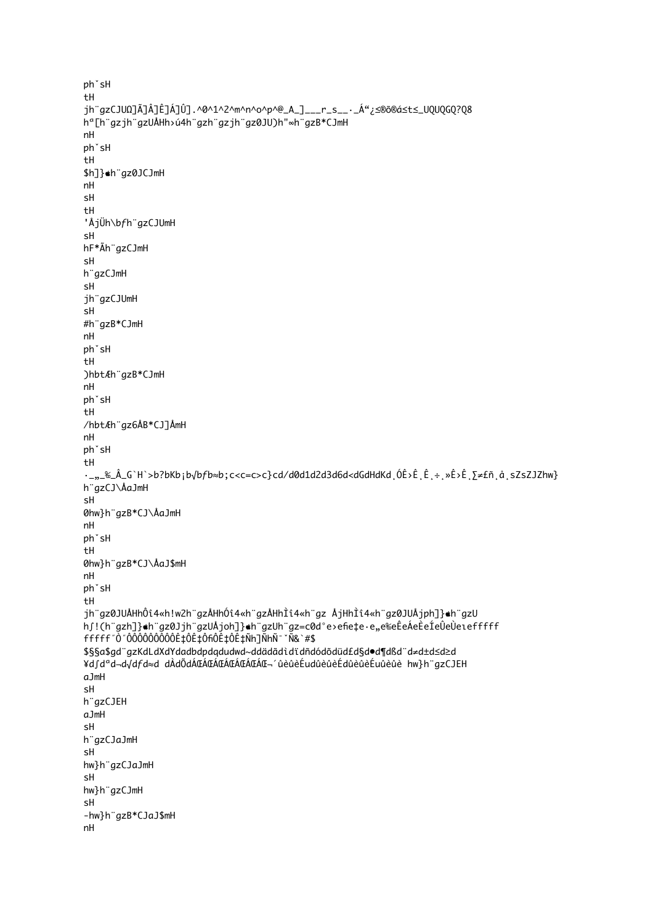```
ph<sup>*</sup>sH
tH
jh~gzCJUΩ]Ã]Â]Ê]Á]Û].^0^1^2^m^n^o^p^@_A_]___r_s__._Á"¿≤®õ®á≤t≤_UQUQGQ?Q8
h<sup>a</sup>[h"gzjh"gzUÅHh>ú4h"gzh"gzjh"gz0JU)h"∞h"gzB*CJmH
nH
ph'sH
tH
$h]} th "gz0JCJmH
nHsH
tH
'ÅjÜh\bfh"gzCJUmH
sH
hF*Ãh"gzCJmH
sH
h"qzCJmH
sH
jh"gzCJUmH
sH
#h"gzB*CJmH
nH
ph<sup>*</sup>sH
tH
)hbtÆh"gzB*CJmH
nH
ph'sH
tH
/hbtÆh"gz6ÅB*CJ]ÅmH
nHph<sup>*</sup>sH
tH
._"_&_Â_G`H`>b?bKbjb√bfb≈b;c<c=c>c}cd/d0d1d2d3d6d<dGdHdKd,ÓÊ>Ê,Ê,÷,»Ê>Ê,∑≠fñ,å,sZsZJZhw}
h"gzCJ\ÅaJmH
sH
0hw}h"gzB*CJ\ÅaJmH
nHph'sH
H0hw}h"gzB*CJ\ÅaJ$mH
nHph<sup>*</sup>sH
tH
jh"gz0JUÅHhÔî4«h!w2h"gzÅHhÓî4«h"gzÅHhÌî4«h"gz ÅjHhÌî4«h"gz0JUÅjph]}«h"gzU
hf!(h"gzh]}«h"gz0Jjh"gzUÅjoh]}«h"gzUh"gz=c0d°e>efiete.e"e%eÊeÁeÈeÍeÛeÙe1efffff
fffff"Ò"ÔÔÔÔÔÔÔÔÔʇÔʇÔfÎÔʇÔʇÑh]ÑhÑ<sup>-</sup>"Ñ&`#$
$§§a$gd"gzKdLdXdYdadbdpdqdudwd~ddädãdìdïdñdódõdüd£d§d•d¶dßd"d≠d±d≤d≥d
¥dſdªd-d√dfd≈d dÀdÕdÁŒÁŒÁŒÁŒÁŒÁŒ¬´ûèûèÉudûèûèÉdûèûèÉuûèûè hw}h"gzCJEH
aJmH
sH
h"gzCJEH
aJmH
sH
h"qzCJaJmH
SHhw}h"gzCJaJmH
sH
hw}h"qzCJmH
sH
-hw}h"gzB*CJaJ$mH
nH
```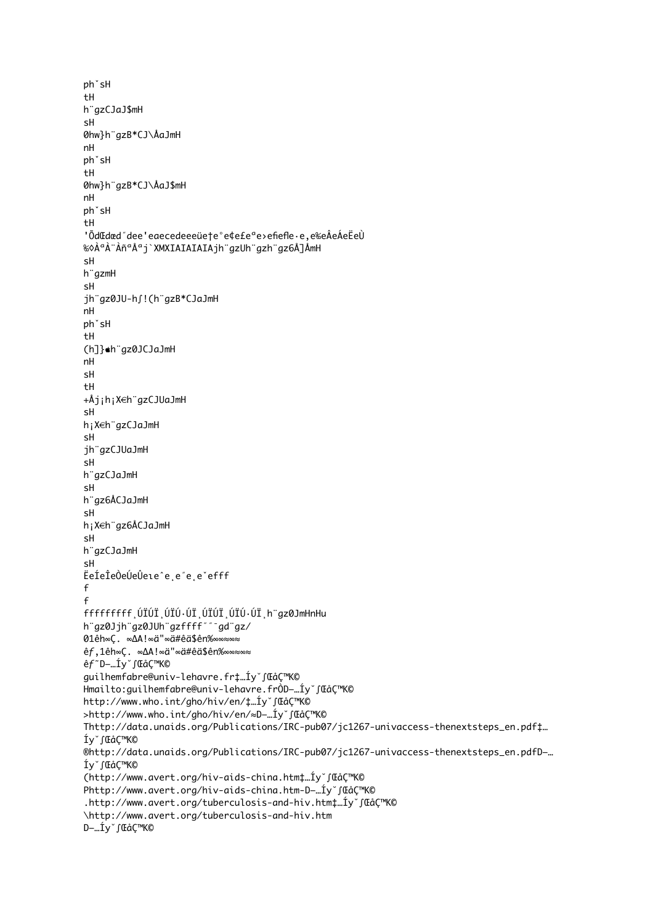```
ph<sup>*</sup>sH
+Hh"gzCJaJ$mH
sH
0hw}h"gzB*CJ\ÅaJmH
nH
ph'sH
tH
0hw}h"gzB*CJ\ÅaJ$mH
nHph<sup>*</sup>sH
+H'ÕdCdad"dee'eaecedeeeüete°e¢efeªe>efiefle·e,e%eÂeÁeËeÙ
%0˻À"ÀñªÅªj`XMXIAIAIAIAjh"gzUh"gzh"gz6Å]ÅmH
SHh"qzmH
sH
jh"gz0JU-hf!(h"gzB*CJaJmH
nH
ph'sH
tH
(h]}«h"qz0JCJaJmH
nHsH
tH+Åj¡h¡X€h¨gzCJUaJmH
sH
h;X€h"gzCJaJmH
sH
jh"gzCJUaJmH
sH
h"qzCJaJmH
sH
h"qz6ÅCJaJmH
sH
h;X€h"gz6ÅCJaJmH
sH
h"qzCJaJmH
sH
ËeleleOeUeOele'e e"e e'efff
\mathbf{f}\epsilonfffffffff,ÚÏÚÏ ÚÏÚ·ÚÏ ÚÏÚÏ ÚÏÚ·ÚÏ h gz0JmHnHu
h"gz0Jjh"gz0JUh"gzffff""<sup>-</sup>gd"gz/
01êh∞Ç. ∞∆A!∞ä"∞ä#êä$ên‱≈∞≈
êf,1êh∞Ç. ∞∆A!∞ä"∞ä#êä$ên‱≈∞≈
êf~D-...Íy~∫ŒåÇ™K©
guilhemfabre@univ-lehavre.fr‡…Íy JŒåÇ™K©
Hmailto:guilhemfabre@univ-lehavre.frÒD-...Íy JŒåÇ™K©
http://www.who.int/gho/hiv/en/‡...Íy JŒåÇ™K©
>http://www.who.int/gho/hiv/en/≈D-…Íy JŒåÇ™K©
Thttp://data.unaids.org/Publications/IRC-pub07/jc1267-univaccess-thenextsteps_en.pdft=
Íyˇ∫ŒåÇ™K©
@http://data.unaids.org/Publications/IRC-pub07/jc1267-univaccess-thenextsteps_en.pdfD-...
Íy~∫ŒåC™K©
(http://www.avert.org/hiv-aids-china.htm‡...Íy JŒåÇ™K©
Phttp://www.avert.org/hiv-aids-china.htm-D-...Íy JCaCMKO
.http://www.avert.org/tuberculosis-and-hiv.htm‡...Íy JŒåÇ™K©
\http://www.avert.org/tuberculosis-and-hiv.htm
D-…Íy`∫ŒåÇ™K©
```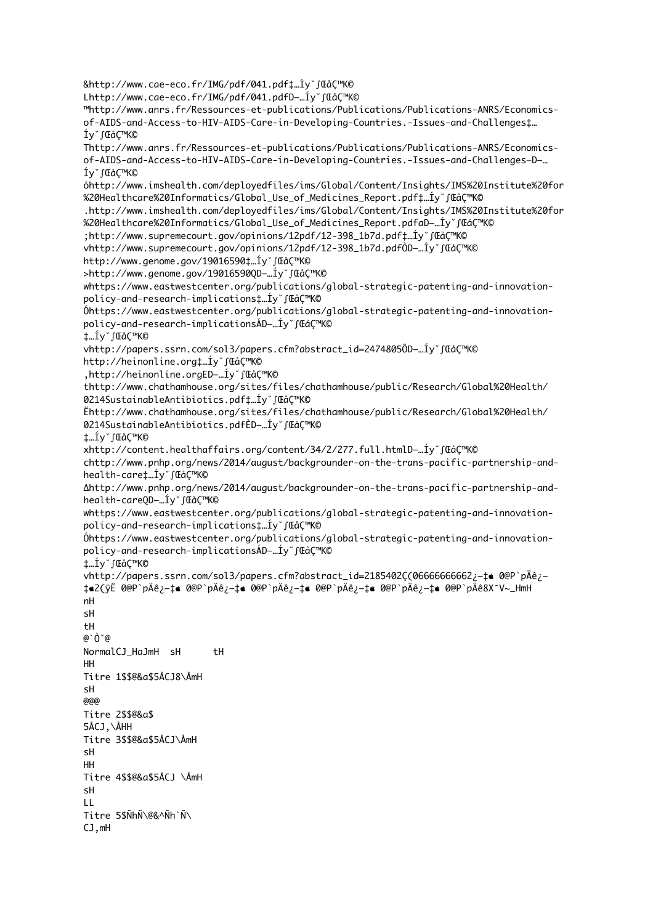&http://www.cae-eco.fr/IMG/pdf/041.pdf‡…Íy˘∫ŒåÇ™K© Lhttp://www.cae-eco.fr/IMG/pdf/041.pdfD–…Íy˘∫ŒåÇ™K© ™http://www.anrs.fr/Ressources-et-publications/Publications/Publications-ANRS/Economicsof-AIDS-and-Access-to-HIV-AIDS-Care-in-Developing-Countries.-Issues-and-Challenges‡… Íy˘∫ŒåÇ™K© Thttp://www.anrs.fr/Ressources-et-publications/Publications/Publications-ANRS/Economicsof-AIDS-and-Access-to-HIV-AIDS-Care-in-Developing-Countries.-Issues-and-Challenges—D–… Íy˘∫ŒåÇ™K© óhttp://www.imshealth.com/deployedfiles/ims/Global/Content/Insights/IMS%20Institute%20for %20Healthcare%20Informatics/Global\_Use\_of\_Medicines\_Report.pdf‡…Íy˘∫ŒåÇ™K© .http://www.imshealth.com/deployedfiles/ims/Global/Content/Insights/IMS%20Institute%20for %20Healthcare%20Informatics/Global\_Use\_of\_Medicines\_Report.pdfaD–…Íy˘∫ŒåÇ™K© ;http://www.supremecourt.gov/opinions/12pdf/12-398\_1b7d.pdf‡…Íy˘∫ŒåÇ™K© vhttp://www.supremecourt.gov/opinions/12pdf/12-398\_1b7d.pdfÒD–…Íy˘∫ŒåÇ™K© http://www.genome.gov/19016590‡…Íy˘∫ŒåÇ™K© >http://www.genome.gov/19016590QD–…Íy˘∫ŒåÇ™K© whttps://www.eastwestcenter.org/publications/global-strategic-patenting-and-innovationpolicy-and-research-implications‡…Íy˘∫ŒåÇ™K© Óhttps://www.eastwestcenter.org/publications/global-strategic-patenting-and-innovationpolicy-and-research-implicationsÁD–…Íy˘∫ŒåÇ™K© ‡…Íy˘∫ŒåÇ™K© vhttp://papers.ssrn.com/sol3/papers.cfm?abstract\_id=2474805ÕD–…Íy˘∫ŒåÇ™K© http://heinonline.org‡…Íy˘∫ŒåÇ™K© ,http://heinonline.orgED–…Íy˘∫ŒåÇ™K© thttp://www.chathamhouse.org/sites/files/chathamhouse/public/Research/Global%20Health/ 0214SustainableAntibiotics.pdf‡…Íy˘∫ŒåÇ™K© Ëhttp://www.chathamhouse.org/sites/files/chathamhouse/public/Research/Global%20Health/ 0214SustainableAntibiotics.pdfÈD–…Íy˘∫ŒåÇ™K© ‡…Íy˘∫ŒåÇ™K© xhttp://content.healthaffairs.org/content/34/2/277.full.htmlD–…Íy˘∫ŒåÇ™K© chttp://www.pnhp.org/news/2014/august/backgrounder-on-the-trans-pacific-partnership-andhealth-care‡…Íy˘∫ŒåÇ™K© ∆http://www.pnhp.org/news/2014/august/backgrounder-on-the-trans-pacific-partnership-andhealth-careQD–…Íy˘∫ŒåÇ™K© whttps://www.eastwestcenter.org/publications/global-strategic-patenting-and-innovationpolicy-and-research-implications‡…Íy˘∫ŒåÇ™K© Óhttps://www.eastwestcenter.org/publications/global-strategic-patenting-and-innovationpolicy-and-research-implicationsÁD–…Íy˘∫ŒåÇ™K© ‡…Íy˘∫ŒåÇ™K© vhttp://papers.ssrn.com/sol3/papers.cfm?abstract\_id=2185402C(066666666662;-t $\bullet$  0@P`pÄê;-‡2(ÿË 0@P`pÄê¿–‡ 0@P`pÄê¿–‡ 0@P`pÄê¿–‡ 0@P`pÄê¿–‡ 0@P`pÄê¿–‡ 0@P`pÄê8X¯V~\_HmH nH sH tH @`Òˇ@ NormalCJ\_HaJmH sH tH HH Titre 1\$\$@&a\$5ÅCJ8\ÅmH sH @@@ Titre 2\$\$@&a\$ 5ÅCJ,\ÅHH Titre 3\$\$@&a\$5ÅCJ\ÅmH sH HH Titre 4\$\$@&a\$5ÅCJ \ÅmH  $cH$ LL Titre 5\$ÑhÑ\@&^Ñh`Ñ\ CJ,mH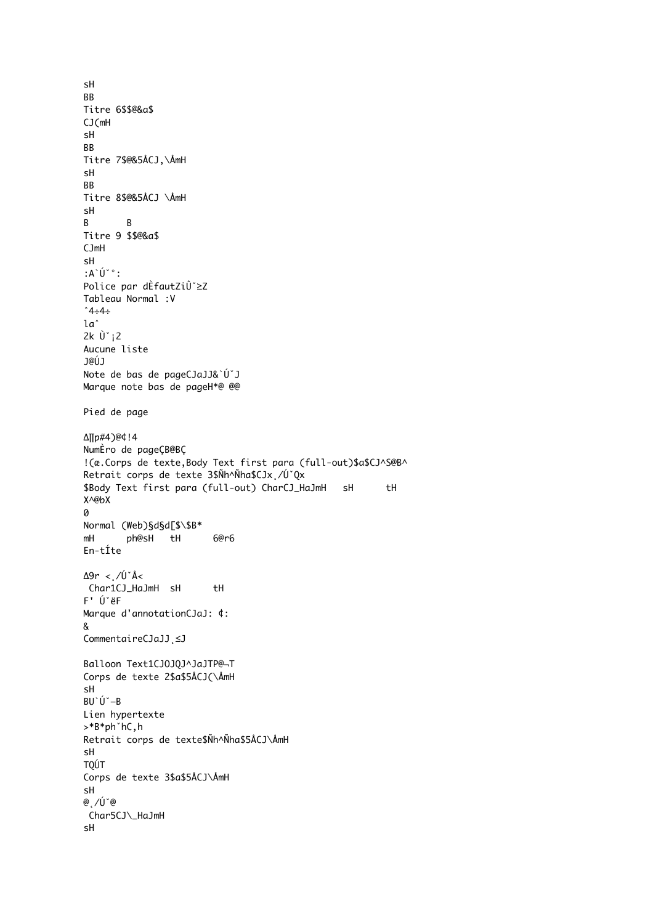sH **BB** Titre 6\$\$@&a\$  $CJ$ (mH sH BB Titre 7\$@&5ÅCJ, \AmH sH **BB** Titre 8\$@&5ÅCJ \ÅmH sH  $\overline{B}$  $\overline{B}$ Titre 9 \$\$@&a\$ CJmH  $SH$ :A`Ú<sup>\*</sup>°: Police par dÈfautZiÛ 2Z Tableau Normal : V  $^{\circ}$ 4÷4÷ la<sup>^</sup> 2k Ù i 2 Aucune liste J@ÚJ Note de bas de pageCJaJJ&`Ú`J Marque note bas de pageH\*@ @@ Pied de page ΔΠp#4)@¢!4 NumÈro de pageÇB@BÇ !(a.Corps de texte, Body Text first para (full-out)\$a\$CJ^S@B^ Retrait corps de texte 3\$Nh^Nha\$CJx / Ú Qx \$Body Text first para (full-out) CharCJ\_HaJmH sH tH X^@bX 0 Normal (Web)§d§d[\$\\$B\* 6@r6  $mH$ ph@sH tH En-tÍte  $\Delta 9r < \angle U^*$ Å< Char1CJ\_HaJmH sH tH F'Ú~ëF Marque d'annotationCJaJ: ¢: & CommentaireCJaJJ 2J Balloon Text1CJ0JQJ^JaJTP@-T Corps de texte 2\$a\$5ÅCJ(\ÅmH sH BU`Ú~-B Lien hypertexte  $>$ \*B\*ph`hC,h Retrait corps de texte\$Ñh^Ñha\$5ÅCJ\ÅmH  $SH$ **TOÚT** Corps de texte 3\$a\$5ÅCJ\ÅmH sH @ /Ú\*@ Char5CJ\\_HaJmH sH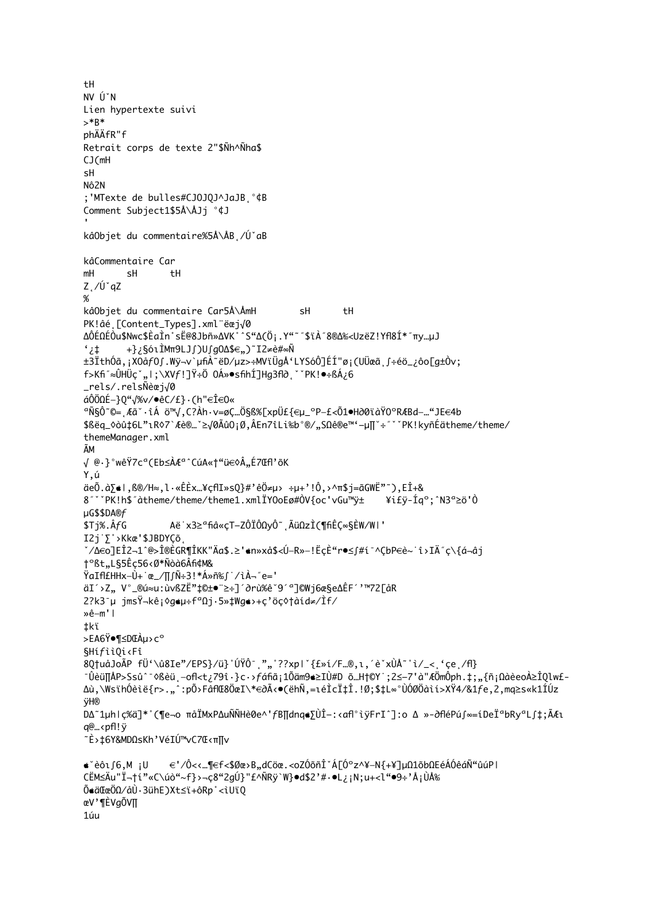```
+HNV Ú~N
Lien hypertexte suivi
\rightarrow*R*
phÄÄfR"f
Retrait corps de texte 2"$Nh^Nha$
CJ(mH
<H
Nô<sub>2</sub>N
; 'MTexte de bulles#CJ0JQJ^JaJB, °¢B
Comment Subject1$5Å\ÅJj °¢J
kâ0bjet du commentaire%5Å\ÅB /Ú aB
kâCommentaire Car
mHSH
                  tH
Z / U^{\circ}aZ
%kâ0bjet du commentaire Car5Å\ÅmH
                                              sH
                                                       tH
PK!âé [Content_Types].xml"ëœi√0
ΔÔΕΩΕΟ U$Nwc$EaIn sE@8Jbñ» ΔVK s S "Δ(Ö; . Y" ~ "$ϊÀ "80Δ‰<UzëZ!Yfl8I* "πy...μJ
\cdot ; \ddagger+};§óιÌΜπ9LJ∫)U∫q0Δ$€")~I2≠è#∞Ñ
±3ÏthÓã, ¡XOåfO∫.Wÿ¬v`µfiÀ~ëD/µz>÷MVïÜgÅ'LYSóÔ]ÉÍ"ø¡(UÜœã ∫÷éö_¿ôo[g±Òv;
f>Kfi"≈ÛHÜç`"|;\XVf!]Ÿ÷Ö OÁ»•sfihÍ]Hg3fl∂ʻ`PK!•÷ßÁ¿6
_rels/.relsÑèœj√0
áÔÖΩÉ-}Q"√%v⁄•êC⁄£}⋅(h"€Î€0«
<sup>a</sup>ѧÔ~©= Æã`·îÁ ö™√,C?Àh·v=øÇ…Ö§ß%[xpÜ£{€µ_°P-£<Õ1●H∂0ïàŸO°RÆBd-…"JE€4b
$ßëq_0òût6L"1R07`Æè®…`≥√0Ãû0¡Ø,ÂEn7îLi‰b°®⁄"SΩê®e™'-µ∏`÷"``PK!kyñÉätheme/theme/
themeManager.xml
ÃΜ
√ @.}°wêŸ7c<sup>a</sup>(Eb≤ÀÆ<sup>a</sup>^CúA«†"ü€◇"É7Œfl'õK
Y,ú
\ddot{\alpha}eÕ.\dot{\alpha}\ddot{\delta} = \ddot{\delta}, \dot{\delta}%/H\approx, 1 \cdot \dot{\alpha}ÊÈx...¥cflI»s0}#'êÖ≠µ> ÷µ+'!Ô, >^\pi$j=\ddot{\alpha}GWË"~), EÎ+&
8" "PK!h$"àtheme/theme/theme1.xmlÏY0oEø#ÒV{oc'vGu™ÿ±
                                                              ¥i£ÿ-Íq°;^N3ª≥ö'Ò
µG$$DA®f
                  Aë x3≥<sup>α</sup> fiâ«cT-ZÔÏÔΩyÔ~ ÃüΩzÌ(¶fiÊC∞§ÈW/W|'
$Tj%.ÂfG
I2j ; > Kkæ'$JBDYCõ
`/∆∈o]EÎ2¬1^@>ήÈGR¶ÎKK"Äa$.≥'∉n»xå$<Ú-R»-!ËcÈ"r•≤∫#í<sup>-</sup>^CbP∈è~`î>IÄ″c\{á¬âj
t°ßt"L§5Êc56<Ø*Ñòà6Âfi¢M&
ŸaIfl£HHx-Ù+ `œ_/∏∫Ñ÷3!*Á»ñ‰∫ ´/ìÀ¬ ˝e='
äI´>Z. V° ®ú≈u:ùvßZË"t©±•~≥÷l´∂rù%ê~9´ªl©Wi6œ§e∆ÊF´'™72「åR
2?k3<sup>-</sup>μ jmsŸ-kê;◊g∉μ÷fªΩj⋅5»‡Wg∉>+ç'öç◊†àíd≠/Ìf/
Ȑ-m'l
tkï
>EA6Ÿ.¶≤DŒÀµ>c°
SHífiiQi <Fi
8QtuåJoÃP fÜ'\û8Ie"/EPS}/ü}'ÚŸÔ<sup>-</sup> .", '??xpl'{£»i/F...®,1, 'è \xUÀ" 'ì/_< 'çe /fl}
<sup>-</sup>Ûèü∏ÅP>Ssû^^%Bèü,-ofl<t¿79î⋅}c⋅>fáfiãj1Õäm9∉≥IÙ#D õ…H†©Y ;2≤-7'à"ÆÖmÔph.‡;"{ñjΩàèeoÀ≥ÎQlw£-
Δù,\WsïhÓèìë{r>.,^:pÕ>FâflŒ8ÖœI\*∈∂Ã<●(ëhÑ,=ıéÌcχÎ.!Ø;$‡L∞°ÙÓØÖàìí>XŸ4/&1fe,2,mq≥s«k1ÍÚz
ÿH®
DΔ~1µhlç%ä]*°(¶e¬o πåÏMxPΔuÑÑHè0e^'fB∏dnq«∑ÙÎ-:<afl°ìÿFrI^]:o Δ »-∂fléPú∫∞=íDeϪbRyªL∫‡;ÃÆι
q@...<pfl!ÿ
"È> 16Υ&ΜDΩsKh' VéIÚ™νC7Œ<π∏ν
«~èôı∫6,M ¡U
                  €'/Ô<<...¶€f<$Øœ>B,dCöœ.<oZÓŏñÎ`Á[Ó°z^¥-N{+¥]µΩ1õbΩEéÁÓêáÑ"ûúPl
CËM≤Äu"Ϭ†í"«C\úò"~f}>¬ç8"2gÚ}"£^ÑRÿ`W}•d$2'#.•L¿¡N;u+<l"•9÷'Å¡ÙÅ%
Õ∉䌜ÖΩ/åÙ·3ühE)Xt≤ï+ôRp°<ìUïO
œV'¶ÈVgÕV∏
1úu
```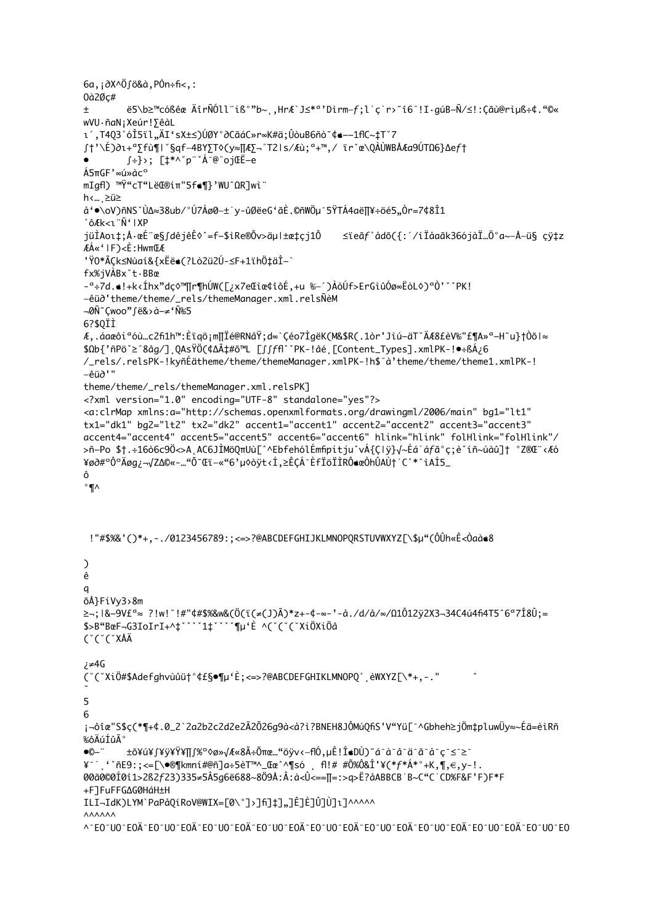```
6a, ¡∂X^Ö∫ö&à, PÒn÷fi<, :
0a20c#ë5\b≥™cóßêœ ÄîrÑÓll¨iß°"b~,,HrÆ`J≤*ª'Dìrm-f;l˙ç˙r>~î6″!I·gúB-Ñ/≤!:Çãù@rìµß÷¢."©«
+wVU·ñaN;Xeúr!∑êàL
ı´,T4Q3°óÎ5ïl"ÄI'sX±≤)ÚØY°∂CãáC»r∞K#ä;ÛòuB6ñò~¢∉--1flC~‡T~7
∫†'\É)∂ı+ª∑fù¶|`§qf—4BY∑T◊(y≈∏Æ∑¬˝T2|s/Æù;ª+™,⁄ ïrˇœ\QÀÙWBÅÆα9ÚTΩ6}Δef†
        f\div\} >; [t^{*\wedge} p \cdots \hat{A} \cdot \mathcal{Q} \cdots \hat{A}]Á5\piGF' ∞úȈc°
mIafl) ™Ϋ́"cT"L댮ίπ"5f«¶}'WU^ΩRlwì"
h<sub>cm</sub> \ge \ddot{u} \geå'●\oV)ñNS`Ù∆≈38ub/°Ú7Áø0-± y-ûØëeG'ãÈ.©ñWÖµ<sup>-</sup>5ŸTÁ4aë∏¥÷öé5"Òr=7¢8Î1
°ôÆk<1 ¨Ñ'∣XP
jüÌAoıt;Å·œÉ¨œ§∫dêjêÊ◊^=f-$ìRe®Õv>äµ|±œtcj1Ô ≤ïeãf°ådõ({:´/íÏåaãk36ójàÏ…Ö°a~-Å-ü§ cÿtz
ÆÁ«' IF)<È: HwπŒÆ
'ŸO*ÃCk≤Nùaí&{xËë∉(?Lò2ü2Ú-≤F+1ïhÖtäÎ-`
fx%jVABx't.BBœ
-<sup>a</sup>÷7d.«!+k<Íhx"dc◊™∏r¶hÚW(「¿x7eŒìœ¢îôÉ,+u ‰-´)ÀòÚf>ErGìûÓø∞ËòL◊)ªÒ'ˇˇPK!
-êüd'theme/theme/ rels/themeManaaer.xml.relsNeM
¬0Ñ~Cwoo" fë&>à-≠'Ñ%5
6?$0ÏÌ
Æ..áaæôiªóù c2fi1h™:Èïqö;m∏Ïé@RNâŸ;d∞`Céo7ÌqëK(M&$R(.1òr'Jìú-äT`ÄÆ8£èV‰"£¶A»ª-H~u}†Òõ|≈
$Qb{'ñPö`≥"8âq/] QAsŸÖ(¢∆Ç#ŏ™L [ʃʃffl"'PK-!âé [Content_Types].xmlPK-!•÷ßÁ;6
/_rels/.relsPK-!kyñÉätheme/theme/themeManager.xmlPK-!h$"à'theme/theme/theme1.xmlPK-!
-\hat{e}\ddot{u}\partial'"
theme/theme/_rels/themeManager.xml.relsPK7
<?xml version="1.0" encoding="UTF-8" standalone="yes"?>
<a:clrMap xmlns:a="http://schemas.openxmlformats.org/drawingml/2006/main" bg1="lt1"
tx1="dk1" bg2="lt2" tx2="dk2" accent1="accent1" accent2="accent2" accent3="accent3"
accent4="accent4" accent5="accent5" accent6="accent6" hlink="hlink" folHlink="folHlink"/
>ñ-Po $†.÷16ò6c9Ö<>A AC6JÌMöQπUù[^^EbfehólÉmfipitju~vÁ{Clÿ}√~Éá áfã°ç;è íñ~úàû]† °Z®Œ ‹Æó
¥ø∂#°Ô°Äøg¿¬√Z∆©«-…"Õ~Œï-«"6'µ◊òÿt‹Í,≥ÊÇÁ-ÈfÏöÏÌRÔ«œÒhÛAÙ† C`*`ìAÍ5_
ô
^{\circ}¶^
 !"#$%&'()*+,-./0123456789:;<=>?@ABCDEFGHIJKLMN0PORSTUVWXYZ[\$µ"(ÔÛh«Ê<Òaà<del>≤</del>8
\mathcal{L}ê
\mathfrak{a}õÅ}FíVv3>8m
\ge-; |&-9V£<sup>a</sup>≈ ?!w!`!#"¢#$%&w&(Ö(ï(≠(J)Ã)*z+-¢-∞-'-å./d/å/∞/Ω1Ô12ÿ2X3-34C4ú4fi4T5^6<sup>a</sup>7Î8Û;=
$>B"BœF-G3IoIrI+^‡````1‡````¶µ'È ^(`(`(`XiÖXiÖâ
C C C XÅÄ
i≠4G
(~(~XiÖ#$Adefghvùûü†°¢£§●¶µ'È;<=>?@ABCDEFGHIKLMNOPQ° eWXYZ[\*+,-."
\overline{5}6
i¬ôîœ"S$c(*¶+¢.0_2`2a2b2c2d2e2Ã2Õ26q9à<å?ì?BNEH8JÔMúOfiS'V"Yü[־^Gbheh≥jÖmtpluwÜy≈~Éä=èìRñ
%ôÄúÍûð
        ±Õ¥ú¥ſ¥Ÿ¥Ÿ¥Πſ%°◇ø»√Æ«8Ã÷Õπœ…"öÿv<-flÓ.uÊ!ΫDÙ)~á-à-å-ä-ä-å-c-≤-≥-
\bullet \circ \circ \cdot¥<sup>-</sup> ' "ñE9:;<=[\•®¶kmní#@ñ]a÷5èT™^_Œœ^^¶só A!# #Õ%Ô&Î'¥(*f*Á*°+K,¶,€,y-!.
00a0001011>2B2f23)335≠5Â5q6ë688~8Ö9Å:Â:à<Û<==∏=:>q>Ë?åABBCB`B~C"C`CD%F&F'F)F*F
+F1FuFFGAG0HáH±H
ILI¬IdK)LYM`PaPåQíRoV@WIX=[0\°]>]fi]‡]"]Ê]È]Û]Ù]ı]^^^^^
\lambda^"FO"UO"FOÄ"FO"UO"FOÄ"FO"UO"FOÄ"FO"UO"FOÄ"FO"UO"FOÄ"FO"UO"FOÄ"FO"UO"FOÄ"FO"UO"FOÄ"FO"UO"FO
```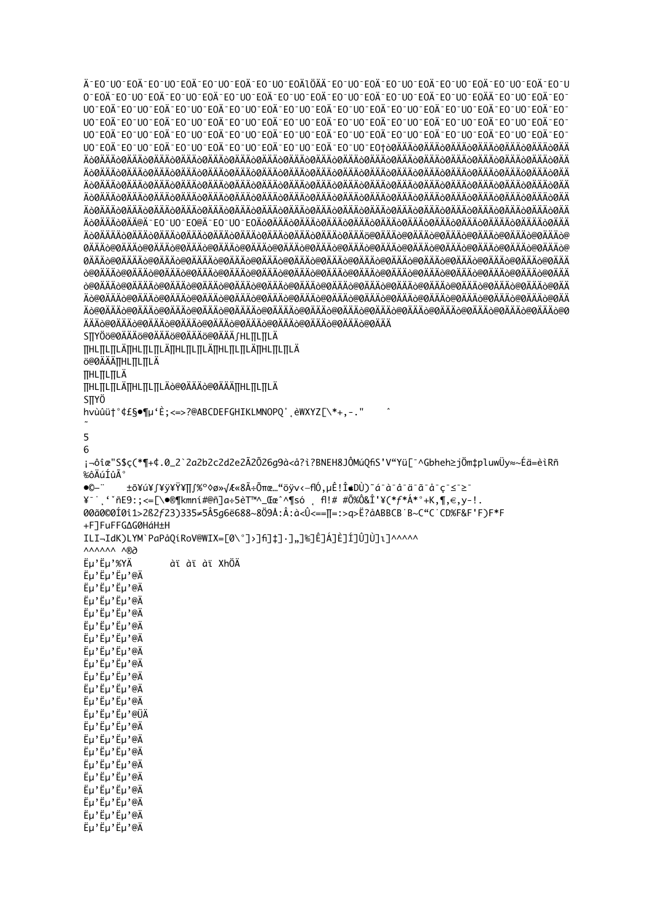```
Ä¯EO¯UO¯EOÄ¯EO¯UO¯EOÄ¯EO¯UO¯EOÄ¯EO¯UO¯EOÄlÖÄÄ¯EO¯UO¯EOÄ¯EO¯UO¯EOÄ¯EO¯UO¯EOÄ¯EO¯UO¯EOÄ¯EO¯U
O¯EOÄ¯EO¯UO¯EOÄ¯EO¯UO¯EOÄ¯EO¯UO¯EOÄ¯EO¯UO¯EOÄ¯EO¯UO¯EOÄ¯EO¯UO¯EOÄ¯EO¯UO¯EOÄÄ¯EO¯UO¯EOÄ¯EO¯
UO¯EOÄ¯EO¯UO¯EOÄ¯EO¯UO¯EOÄ¯EO¯UO¯EOÄ¯EO¯UO¯EOÄ¯EO¯UO¯EOÄ¯EO¯UO¯EOÄ¯EO¯UO¯EOÄ¯EO¯UO¯EOÄ¯EO¯
UO¯EOÄ¯EO¯UO¯EOÄ¯EO¯UO¯EOÄ¯EO¯UO¯EOÄ¯EO¯UO¯EOÄ¯EO¯UO¯EOÄ¯EO¯UO¯EOÄ¯EO¯UO¯EOÄ¯EO¯UO¯EOÄ¯EO¯
UO¯EOÄ¯EO¯UO¯EOÄ¯EO¯UO¯EOÄ¯EO¯UO¯EOÄ¯EO¯UO¯EOÄ¯EO¯UO¯EOÄ¯EO¯UO¯EOÄ¯EO¯UO¯EOÄ¯EO¯UO¯EOÄ¯EO¯
UO¯EOÄ¯EO¯UO¯EOÄ¯EO¯UO¯EOÄ¯EO¯UO¯EOÄ¯EO¯UO¯EOÄ¯EO¯UO¯EO†ò0ÄÄÄò0ÄÄÄò0ÄÄÄò0ÄÄÄò0ÄÄÄò0ÄÄÄò0ÄÄ
Äò0ÄÄÄò0ÄÄÄò0ÄÄÄò0ÄÄÄò0ÄÄÄò0ÄÄÄò0ÄÄÄò0ÄÄÄò0ÄÄÄò0ÄÄÄò0ÄÄÄò0ÄÄÄò0ÄÄÄò0ÄÄÄò0ÄÄÄò0ÄÄÄò0ÄÄÄò0ÄÄ
Äò0ÄÄÄò0ÄÄÄò0ÄÄÄò0ÄÄÄò0ÄÄÄò0ÄÄÄò0ÄÄÄò0ÄÄÄò0ÄÄÄò0ÄÄÄò0ÄÄÄò0ÄÄÄò0ÄÄÄò0ÄÄÄò0ÄÄÄò0ÄÄÄò0ÄÄÄò0ÄÄ
Äò0ÄÄÄò0ÄÄÄò0ÄÄÄò0ÄÄÄò0ÄÄÄò0ÄÄÄò0ÄÄÄò0ÄÄÄò0ÄÄÄò0ÄÄÄò0ÄÄÄò0ÄÄÄò0ÄÄÄò0ÄÄÄò0ÄÄÄò0ÄÄÄò0ÄÄÄò0ÄÄ
Äò0ÄÄÄò0ÄÄÄò0ÄÄÄò0ÄÄÄò0ÄÄÄò0ÄÄÄò0ÄÄÄò0ÄÄÄò0ÄÄÄò0ÄÄÄò0ÄÄÄò0ÄÄÄò0ÄÄÄò0ÄÄÄò0ÄÄÄò0ÄÄÄò0ÄÄÄò0ÄÄ
Äò0ÄÄÄò0ÄÄÄò0ÄÄÄò0ÄÄÄò0ÄÄÄò0ÄÄÄò0ÄÄÄò0ÄÄÄò0ÄÄÄò0ÄÄÄò0ÄÄÄò0ÄÄÄò0ÄÄÄò0ÄÄÄò0ÄÄÄò0ÄÄÄò0ÄÄÄò0ÄÄ
Äò0ÄÄÄò0ÄÄ@Ä¯EO¯UO¯EO@Ä¯EO¯UO¯EOÄò0ÄÄÄò0ÄÄÄò0ÄÄÄò0ÄÄÄò0ÄÄÄò0ÄÄÄò0ÄÄÄò0ÄÄÄò0ÄÄÄÄò0ÄÄÄÄò0ÄÄÄ
Äò0ÄÄÄÄò0ÄÄÄò0ÄÄÄò0ÄÄÄò0ÄÄÄò0ÄÄÄò0ÄÄÄò0ÄÄÄò0ÄÄÄò0ÄÄÄö@0ÄÄÄò@0ÄÄÄò@0ÄÄÄò@0ÄÄÄò@0ÄÄÄò@0ÄÄÄò@
0ÄÄÄò@0ÄÄÄò@0ÄÄÄò@0ÄÄÄò@0ÄÄÄò@0ÄÄÄò@0ÄÄÄò@0ÄÄÄò@0ÄÄÄò@0ÄÄÄò@0ÄÄÄò@0ÄÄÄò@0ÄÄÄò@0ÄÄÄò@0ÄÄÄò@
0ÄÄÄò@0ÄÄÄÄò@0ÄÄÄò@0ÄÄÄÄò@0ÄÄÄò@0ÄÄÄò@0ÄÄÄò@0ÄÄÄò@0ÄÄÄò@0ÄÄÄò@0ÄÄÄò@0ÄÄÄò@0ÄÄÄò@0ÄÄÄò@0ÄÄÄ
ò@0ÄÄÄò@0ÄÄÄò@0ÄÄÄò@0ÄÄÄò@0ÄÄÄò@0ÄÄÄò@0ÄÄÄò@0ÄÄÄò@0ÄÄÄò@0ÄÄÄò@0ÄÄÄò@0ÄÄÄò@0ÄÄÄò@0ÄÄÄò@0ÄÄÄ
ò@0ÄÄÄò@0ÄÄÄÄò@0ÄÄÄò@0ÄÄÄò@0ÄÄÄò@0ÄÄÄò@0ÄÄÄò@0ÄÄÄò@0ÄÄÄò@0ÄÄÄò@0ÄÄÄò@0ÄÄÄò@0ÄÄÄò@0ÄÄÄò@0ÄÄ
Äò@0ÄÄÄò@0ÄÄÄò@0ÄÄÄò@0ÄÄÄò@0ÄÄÄò@0ÄÄÄò@0ÄÄÄò@0ÄÄÄò@0ÄÄÄò@0ÄÄÄò@0ÄÄÄò@0ÄÄÄò@0ÄÄÄò@0ÄÄÄò@0ÄÄ
Äò@0ÄÄÄò@0ÄÄÄò@0ÄÄÄò@0ÄÄÄò@0ÄÄÄÄò@0ÄÄÄÄò@0ÄÄÄò@0ÄÄÄò@0ÄÄÄò@0ÄÄÄò@0ÄÄÄò@0ÄÄÄò@0ÄÄÄò@0ÄÄÄò@0
ÄÄÄò@0ÄÄÄò@0ÄÄÄò@0ÄÄÄò@0ÄÄÄò@0ÄÄÄò@0ÄÄÄò@0ÄÄÄò@0ÄÄÄò@0ÄÄÄ
S∏YÖö@0ÄÄÄö@0ÄÄÄö@0ÄÄÄö@0ÄÄÄ∫HL∏L∏LÄ
∏HL∏L∏LÄ∏HL∏L∏LÄ∏HL∏L∏LÄ∏HL∏L∏LÄ∏HL∏L∏LÄ
ö@0ÄÄÄ∏HL∏L∏LÄ
∏HL∏L∏LÄ
∏HL∏L∏LÄ∏HL∏L∏LÄò@0ÄÄÄò@0ÄÄÄ∏HL∏L∏LÄ
S∏YÖ
hvùûü†°¢£§•¶µ'È;<=>?@ABCDEFGHIKLMNOPQ°,èWXYZ[\*+,-."
\tilde{\phantom{a}}5
6
¡¬ôîæ"S$ç(*¶+¢.0_2`2a2b2c2d2e2Ã2Õ26g9à<å?ì?BNEH8JÔMúQfiS'V"Yü[¯^Gbheh≥jÖm‡pluwÜy≈~Éä=èìRñ
‰ôÄúÍûð
•©–¨ ±õ¥ú¥∫¥ÿ¥Ÿ¥∏∫%º◊ø»√Æ«8Ã÷Õπœ…"öÿv‹—flÓ'µÊ!ÎDÙ)˜á¯à¯â¯ä¯ã¯å¯ç¯≤¯≥¯
¥¯˙¸'ˇñE9:;<=[\•®¶kmní#@ñ]a÷5èT™^_Œœˆ^¶só ˛ fl!# #Õ%Ô&Î'¥(*ƒ*Á*°+K,¶,€,y-!.
00ã0©0Í0î1>2ß2ƒ23)335≠5Â5g6ë688~8Ö9Å:Â:à<Û<==∏=:>q>Ë?åABBCB˙B~C"C˙CD%F&F'F)F*F
+F]FuFFG∆G0HáH±H
ILI¬IdK)LYM`PaPåQíRoV@WIX=[0\°]›]fi]‡]·]"]‰]Ê]Á]È]Í]Û]Ù]ı]^^^^^
^^^^^^ ^®∂
˵'˵'%YÄ àï àï àï XhÖÄ
˵'˵'˵'@Ä
˵'˵'˵'@Ä
˵'˵'˵'@Ä
˵'˵'˵'@Ä
˵'˵'˵'@Ä
˵'˵'˵'@Ä
˵'˵'˵'@Ä
˵'˵'˵'@Ä
˵'˵'˵'@Ä
˵'˵'˵'@Ä
˵'˵'˵'@Ä
˵'˵'˵'@ÜÄ
˵'˵'˵'@Ä
˵'˵'˵'@Ä
˵'˵'˵'@Ä
˵'˵'˵'@Ä
˵'˵'˵'@Ä
˵'˵'˵'@Ä
˵'˵'˵'@Ä
˵'˵'˵'@Ä
˵'˵'˵'@Ä
```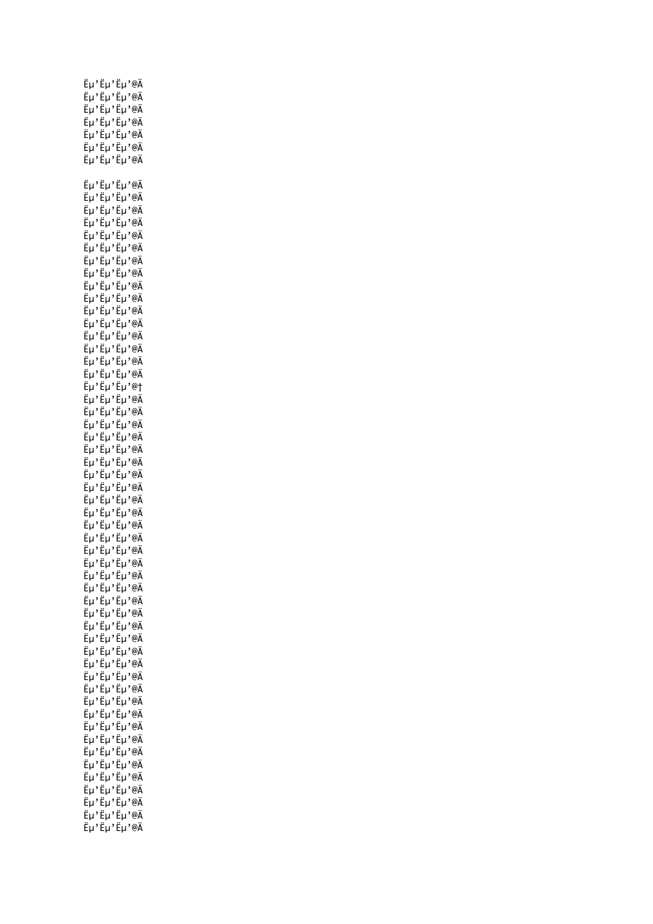| ˵'˵'˵'@Ä                                                               |  |  |
|------------------------------------------------------------------------|--|--|
|                                                                        |  |  |
|                                                                        |  |  |
|                                                                        |  |  |
|                                                                        |  |  |
|                                                                        |  |  |
| ะ⊭ ะ⊭ ะ⊭ ∘∴<br>Ёµ'Ёµ'Ёµ'@Ӓ                                             |  |  |
| ˵'˵'˵'@Ä                                                               |  |  |
| ˵'˵'˵'@Ä                                                               |  |  |
| ˵'˵'˵'@Ä                                                               |  |  |
| ˵'˵'˵'@Ä                                                               |  |  |
| ˵'˵'˵'@Ä                                                               |  |  |
| " ˵'˵'@Ä<br>˵'˵'˵'@Ä<br>˵'˵'˵'@Ä<br>˵'˵'˵'@Ä<br>˵'˵'˵'@Ä               |  |  |
|                                                                        |  |  |
|                                                                        |  |  |
|                                                                        |  |  |
|                                                                        |  |  |
| −−<br>˵'˵'˵'@Ä                                                         |  |  |
| ˵'˵'˵'@Ä                                                               |  |  |
| ˵'˵'˵'@Ä                                                               |  |  |
| ˵'˵'˵'@Ä                                                               |  |  |
| ˵'˵'˵'@Ä                                                               |  |  |
| ˵'˵'˵'@Ä                                                               |  |  |
|                                                                        |  |  |
|                                                                        |  |  |
|                                                                        |  |  |
|                                                                        |  |  |
|                                                                        |  |  |
| -µ -µ -µ<br>˵'˵'˵'@Ä                                                   |  |  |
| .<br>˵'˵'˵'@Ä                                                          |  |  |
| ˵'˵'˵'@Ä                                                               |  |  |
| ˵'˵'˵'@Ä                                                               |  |  |
| ˵'˵'˵'@Ä                                                               |  |  |
| ˵'˵'˵'@Ä                                                               |  |  |
| ˵'˵'˵'@Ä                                                               |  |  |
| " ˵ '˵ '@Ä<br>˵ '˵ '˵ '@Ä<br>˵ '˵ '˵ '@Ä<br>˵ '˵ '˵ '@Ä<br>˵ '˵ '˵ '@Ä |  |  |
|                                                                        |  |  |
|                                                                        |  |  |
|                                                                        |  |  |
| .<br>Ёµ'Ёµ'Ёµ'@Ӓ                                                       |  |  |
| ˵'˵'˵'@Ä                                                               |  |  |
| ˵'˵'˵'@Ä                                                               |  |  |
| ˵'˵'˵'@Ä                                                               |  |  |
| ˵'˵'˵'@Ä                                                               |  |  |
| ˵'˵'˵'@Ä                                                               |  |  |
|                                                                        |  |  |
| " = " = "<br>Ёµ'Ёµ'Ёµ'®Ä<br>Ёµ'Ёµ'Ёµ'®Ä<br>Ёµ'Ёµ'Ёµ'®Ä                 |  |  |
|                                                                        |  |  |
|                                                                        |  |  |
| ˵'˵'˵'@Ä                                                               |  |  |
| =р<br>Ёµ'Ёµ'Ёµ'@Ä                                                      |  |  |
| ˵'˵'˵'@Ä                                                               |  |  |
| ˵'˵'˵'@Ä                                                               |  |  |
| ˵'˵'˵'@Ä                                                               |  |  |
| ˵'˵'˵'@Ä                                                               |  |  |
| ˵'˵'˵'@Ä                                                               |  |  |
| ˵'˵'˵'@Ä                                                               |  |  |
| ˵'˵'˵'@Ä                                                               |  |  |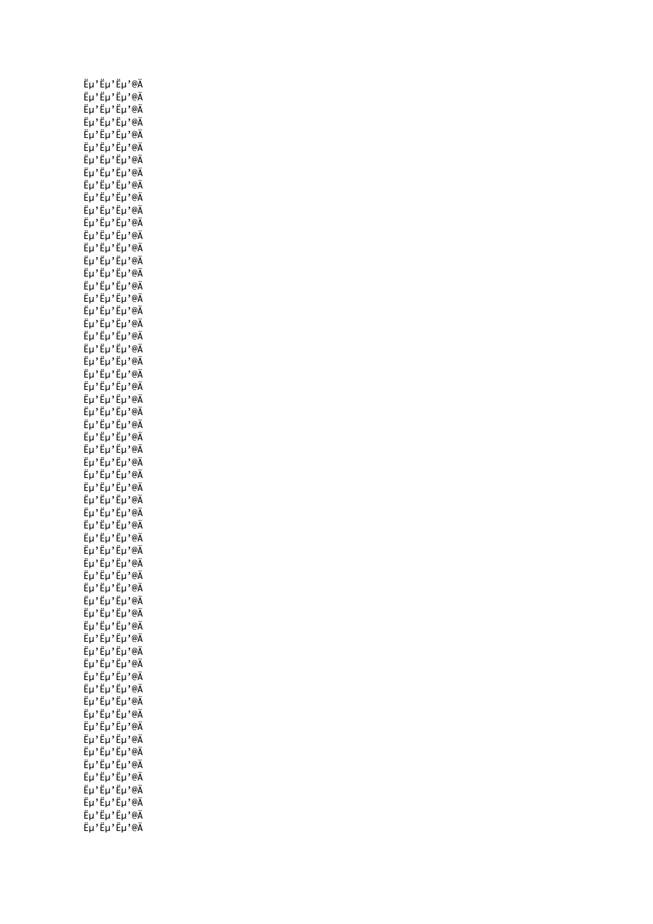| ˵'˵'˵'@Ä<br>˵'˵'˵'@Ä<br>˵'˵'˵'@Ä                                                                                                                                                                   |
|----------------------------------------------------------------------------------------------------------------------------------------------------------------------------------------------------|
|                                                                                                                                                                                                    |
| $\ddot{E}$                                                                                                                                                                                         |
| --<br>Ëμ'Ëμ'Ëμ'@Ä                                                                                                                                                                                  |
| ˵'˵'˵'@Ä                                                                                                                                                                                           |
| ˵'˵'˵'@Ä                                                                                                                                                                                           |
| ˵'˵'˵'@Ä                                                                                                                                                                                           |
| ˵'˵'˵'@Ä                                                                                                                                                                                           |
| ˵'˵'˵'@Ä                                                                                                                                                                                           |
|                                                                                                                                                                                                    |
|                                                                                                                                                                                                    |
|                                                                                                                                                                                                    |
| ゠ゖ<br>゙゠ゖ゚゠゙ゖ゚゠゚ゖ゚゚゚゚゚ <i>゚</i><br>゠゙ゖ゚゠ゖ゚゠ゖ゚゚゚゚゚゚゚ <i>๏</i> Ă<br>゠゙ゖ゚゠ゖ゚゠ゖ゚゚゚゚゚゚゚ <i>๏</i> Ă<br>゠゙ゖ゚゠ゖ゚゠ゖ゚゚゚゚゚゚゚゚゚゚゚゚ゕゖ゚゠ゖ゚゚゚゚゚゚゚゚ゕゖ゚゠ゖ゚゚゚゚ゕ                                                      |
|                                                                                                                                                                                                    |
|                                                                                                                                                                                                    |
|                                                                                                                                                                                                    |
| ˵'˵'˵'@Ä                                                                                                                                                                                           |
| ˵'˵'˵'@Ä                                                                                                                                                                                           |
| ˵'˵'˵'@Ä                                                                                                                                                                                           |
| ˵'˵'˵'@Ä                                                                                                                                                                                           |
| ˵'˵'˵'@Ä                                                                                                                                                                                           |
|                                                                                                                                                                                                    |
|                                                                                                                                                                                                    |
|                                                                                                                                                                                                    |
|                                                                                                                                                                                                    |
|                                                                                                                                                                                                    |
| <b>ヒル・ヒル・ミネス</b><br>ビル・ビル・@A<br>ビル・ビル・ビル・@A<br>ビル・ビル・ビル・@A<br>ビル・ビル・ビル・@A<br>ビル・ビル・ビル・@A<br>ビル・ビル・ビル・@A<br>ビル・ビル・ビル・@A<br>ビル・ビル・ビル                                                                 |
|                                                                                                                                                                                                    |
| ˵'˵'˵'@Ä                                                                                                                                                                                           |
| ˵'˵'˵'@Ä                                                                                                                                                                                           |
| ˵'˵'˵'@Ä                                                                                                                                                                                           |
| ˵'˵'˵'@Ä                                                                                                                                                                                           |
| ˵'˵'˵'@Ä                                                                                                                                                                                           |
|                                                                                                                                                                                                    |
|                                                                                                                                                                                                    |
|                                                                                                                                                                                                    |
|                                                                                                                                                                                                    |
| <b>EL EL EL GA<br/>EL EL EL GA<br/>EL EL EL GA<br/>EL EL EL GA<br/>EL EL EL GA<br/>EL EL EL GA<br/>EL EL EL GA<br/>EL EL EL GA<br/>EL EL EL GA<br/>EL EL EL GA<br/>EL EL EL GA<br/>EL EL EL GA</b> |
|                                                                                                                                                                                                    |
|                                                                                                                                                                                                    |
|                                                                                                                                                                                                    |
|                                                                                                                                                                                                    |
| ˵'˵'˵'@Ä                                                                                                                                                                                           |
| ˵'˵'˵'@Ä                                                                                                                                                                                           |
| ˵'˵'˵'@Ä                                                                                                                                                                                           |
| ˵'˵'˵'@Ä                                                                                                                                                                                           |
| ˵'˵'˵'@Ä<br>˵'˵'˵'@Ä<br>˵'˵'˵'@Ä                                                                                                                                                                   |
|                                                                                                                                                                                                    |
|                                                                                                                                                                                                    |
| ˵'˵'˵'@Ä                                                                                                                                                                                           |
| μ.<br>Εμ.Εμ.ΘΆ<br>Ë                                                                                                                                                                                |
| .<br>Ёµ'Ёµ'Ёµ'@Ӓ                                                                                                                                                                                   |
| ˵'˵'˵'@Ä                                                                                                                                                                                           |
| ˵'˵'˵'@Ä                                                                                                                                                                                           |
| ˵'˵'˵'@Ä                                                                                                                                                                                           |
| ˵'˵'˵'@Ä                                                                                                                                                                                           |
| ˵'˵'˵'@Ä                                                                                                                                                                                           |
|                                                                                                                                                                                                    |
|                                                                                                                                                                                                    |
|                                                                                                                                                                                                    |
|                                                                                                                                                                                                    |
| .<br>Ёµ'Ёµ'Ёµ'@Ӓ                                                                                                                                                                                   |
|                                                                                                                                                                                                    |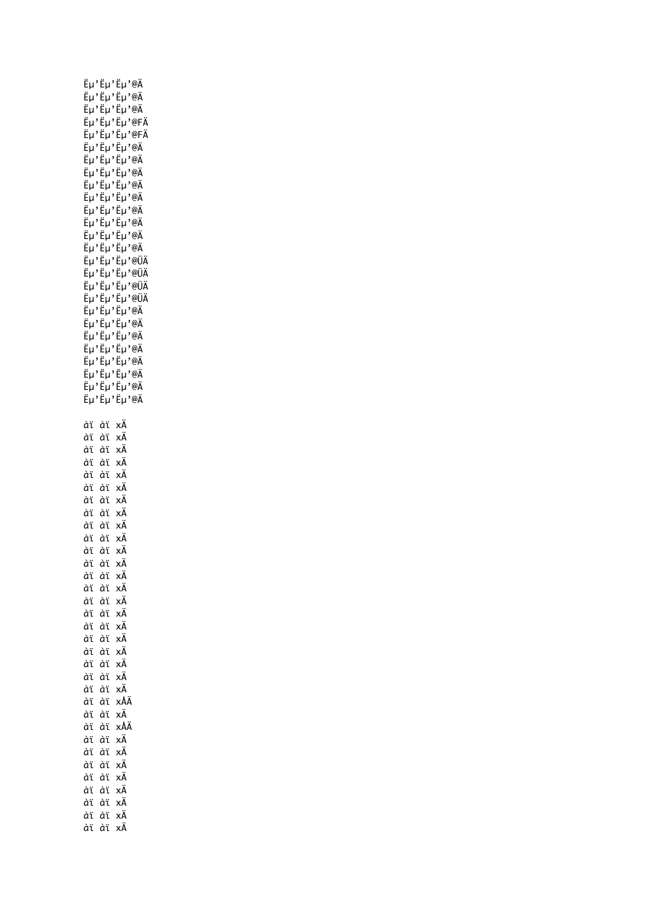|          |          | Eµ'Eµ'Eµ'@A                                                                             |
|----------|----------|-----------------------------------------------------------------------------------------|
|          |          | ˵'˵'˵'@Ä                                                                                |
|          |          | ˵'˵'˵'@Ä                                                                                |
|          |          | ˵'˵'˵'@FÄ                                                                               |
|          |          |                                                                                         |
|          |          | ˵'˵'˵'@FÄ                                                                               |
|          |          | Ĕµ'Ĕµ'Ĕµ'@Ä<br>Ĕµ'Ĕµ'Ĕµ'@Ä<br>Ĕµ'Ĕµ'Ĕµ'@Ä                                               |
|          |          |                                                                                         |
|          |          |                                                                                         |
|          |          | ˵'˵'˵'@Ä                                                                                |
|          |          |                                                                                         |
| Ë        |          | µ'˵'˵'@Ä                                                                                |
|          |          | ˵'˵'˵'@Ä                                                                                |
|          |          | ˵'˵'˵'@Ä                                                                                |
|          |          | ˵'˵'˵'@Ä                                                                                |
|          |          | ˵'˵'˵'@Ä                                                                                |
|          |          |                                                                                         |
|          |          | ˵'˵'˵'@ÜÄ                                                                               |
|          |          | ˵'˵'˵'@ÜÄ                                                                               |
|          |          | Ĕµ'Ĕµ'Ĕµ' <sup>Ĕ</sup> µ'@ÜÄ<br>Ĕµ'Ĕµ'Ĕµ' <sup>@</sup> ÜÄ<br>Ĕµ'Ĕµ'Ĕµ'@Ä<br>Ĕµ'Ĕµ'Ĕµ'@Ä |
|          |          |                                                                                         |
|          |          |                                                                                         |
|          |          |                                                                                         |
|          |          |                                                                                         |
| Ë        |          | μ' Ëμ' Ëμ' @Ä                                                                           |
|          |          | ˵'˵'˵'@Ä                                                                                |
|          |          | .<br>Ёµ'Ёµ'Ёµ'@Ӓ                                                                        |
|          |          | ˵'˵'˵'@Ä                                                                                |
|          |          |                                                                                         |
|          |          | ˵'˵'˵'@Ä                                                                                |
|          |          | ˵'˵'˵'@Ä                                                                                |
| àϊ       | àϊ       | хÄ                                                                                      |
| àϊ       | àϊ       | xÄ                                                                                      |
| àϊ       | àϊ       | xÄ                                                                                      |
|          |          |                                                                                         |
| àϊ       | àϊ       | хÄ                                                                                      |
| àϊ       | àϊ       | xÄ                                                                                      |
| àϊ       | àϊ       | xÄ                                                                                      |
| àϊ       | àϊ       | xÄ                                                                                      |
| àϊ       | àϊ       | xÄ                                                                                      |
|          |          |                                                                                         |
| àϊ       | àϊ       | xÄ                                                                                      |
| àϊ       | àϊ       | xÄ                                                                                      |
| àϊ       | àϊ       | xÄ                                                                                      |
| àϊ       |          |                                                                                         |
|          |          |                                                                                         |
|          | àϊ       | xÄ                                                                                      |
| àϊ       | àϊ       | xÄ                                                                                      |
| àϊ       | àϊ       | хÄ                                                                                      |
| àϊ       | àϊ       | xÄ                                                                                      |
| àϊ       | àϊ       | хÄ                                                                                      |
|          |          |                                                                                         |
| àϊ       | àϊ       | xÄ                                                                                      |
| àϊ       | àϊ       | xÄ                                                                                      |
| àϊ       | àϊ       | xÄ                                                                                      |
| àϊ       | àϊ       | хÄ                                                                                      |
| àϊ       | àϊ       | xÄ                                                                                      |
|          |          |                                                                                         |
| àϊ       | àϊ       | xÄ                                                                                      |
| àϊ       | àϊ       | xÅÄ                                                                                     |
| àϊ       | àϊ       | xÄ                                                                                      |
| àϊ       | àϊ       | xÅÄ                                                                                     |
| àϊ       | àϊ       | xÄ                                                                                      |
|          |          | xÄ                                                                                      |
| àϊ       | àϊ       |                                                                                         |
| àϊ       | àϊ       | xÄ                                                                                      |
| àϊ       | àϊ       | xÄ                                                                                      |
| àϊ       | àϊ       | xÄ                                                                                      |
| àϊ       | àϊ       | xÄ                                                                                      |
|          |          |                                                                                         |
| àϊ<br>àϊ | àϊ<br>àϊ | xÄ<br>xÄ                                                                                |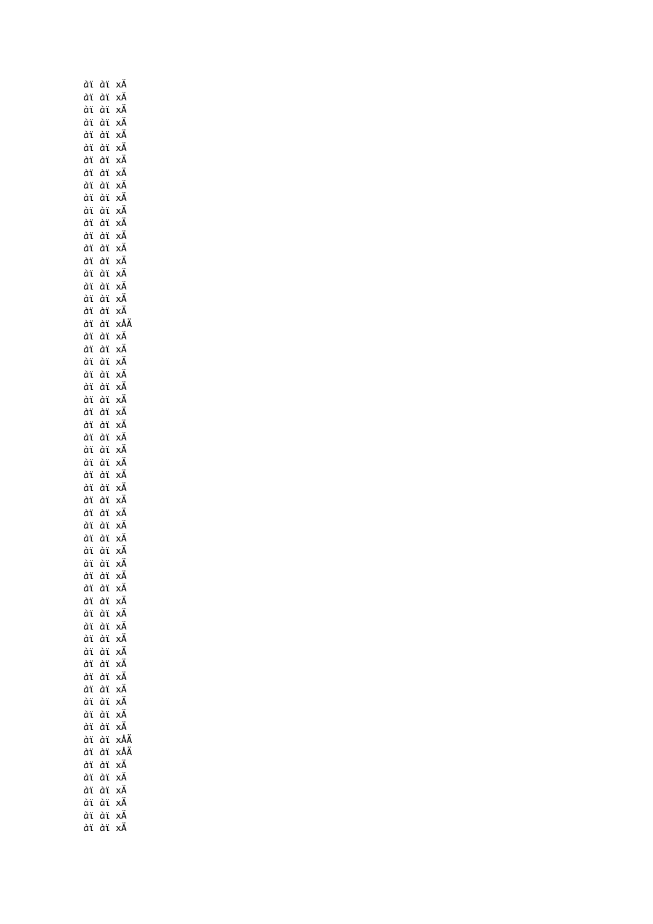àï àï xÄ àï àï xÄ àï àï xÄ àï àï xÄ àï àï xÄ àï àï xÄ àï àï xÄ àï àï xÄ àï àï xÄ àï àï xÄ àï àï xÄ àï àï xÄ àï àï xÄ àï àï xÄ àï àï xÄ àï àï xÄ àï àï xÄ àï àï xÄ àï àï xÄ àï àï xÅÄ àï àï xÄ àï àï xÄ àï àï xÄ àï àï xÄ àï àï xÄ àï àï xÄ àï àï xÄ àï àï xÄ àï àï xÄ àï àï xÄ àï àï xÄ àï àï xÄ àï àï xÄ àï àï xÄ àï àï xÄ àï àï xÄ àï àï xÄ àï àï xÄ àï àï xÄ àï àï xÄ àï àï xÄ àï àï xÄ àï àï xÄ àï àï xÄ àï àï xÄ àï àï xÄ àï àï xÄ àï àï xÄ àï àï xÄ àï àï xÄ àï àï xÄ àï àï xÄ àï àï xÅÄ àï àï xÅÄ àï àï xÄ àï àï xÄ àï àï xÄ àï àï xÄ àï àï xÄ àï àï xÄ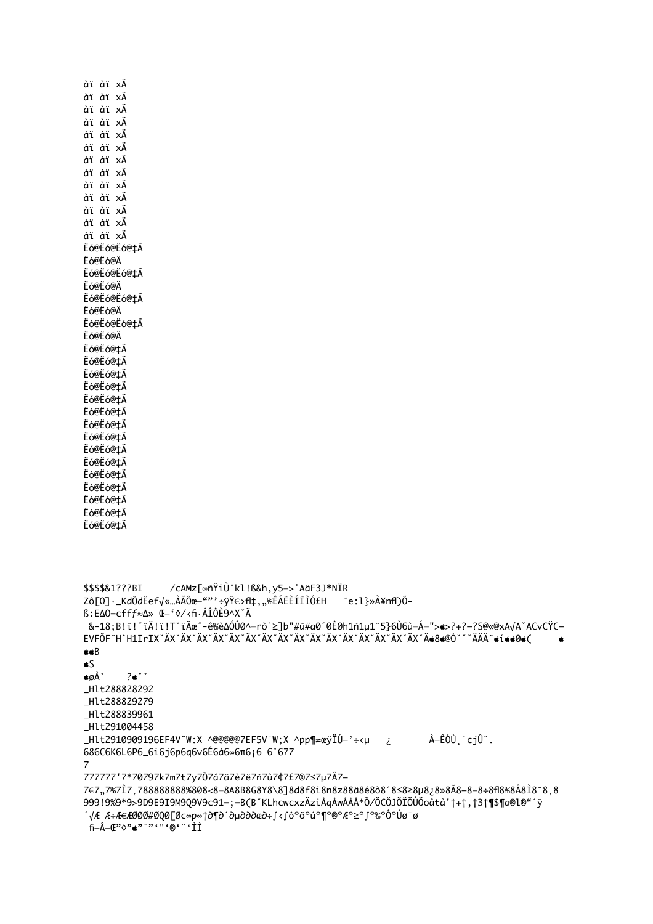àï àï xÄ àï àï xÄ àï àï xÄ àï àï xÄ àï àï xÄ àï àï xÄ àï àï xÄ àï àï xÄ àï àï xÄ àï àï xÄ àï àï xÄ àï àï xÄ àï àï xÄ Ëó@Ëó@Ëó@‡Ä **Fó@Fó@Ä** Ëó@Ëó@Ëó@‡Ä Ëó@Ëó@Ä Ëó@Ëó@Ëó@±Ä Ëó@Ëó@Ä Ëó@Ëó@Ëó@tÄ Ëó@Ëó@Ä Ëó@Ëó@tÄ Ëó@Ëó@‡Ä Ëó@Ëó@‡Ä Ëó@Ëó@‡Ä Ëó@Ëó@‡Ä Ëó@Ëó@‡Ä Ëó@Ëó@‡Ä Ëó@Ëó@‡Ä Ëó@Ëó@‡Ä Ëó@Ëó@tÄ Ëó@Ëó@İÄ Ëó@Ëó@IÄ Ëó@Ëó@tÄ Ëó@Ëó@‡Ä Ëó@Ëó@‡Ä \$\$\$\$81???BT /cAMz[∞ñŸiÙ″kl!ß&h.v5->°AäF3J\*NÏR  $?$ e<sup>\*\*</sup>

Zô[Ω].\_KdÕdËef√«…ÀÃÕœ-""'÷ÿŸ€>fl‡,"‰ÊÁËÈÍÏÌÓ£H ~e:l}»À¥nfl)Õ  $\mathsf{B: E}\Delta0 = \mathsf{cfff} \approx \Delta \mathsf{W} \quad \mathsf{E-}\left(\sqrt[6]{\mathsf{c}} \cdot \hat{\mathsf{h}} \cdot \hat{\mathsf{A}} \hat{\mathsf{I}} \hat{\mathsf{O}} \hat{\mathsf{E}} \mathsf{9} \wedge \mathsf{X} \right)$ &-18:B!ï!`ïÄ!ï!T`ïÄœ″-ê%è∆ÓÛ0^=rò`≥lb"#ü#a0´0Ê0h1ñ1u1~5}6Ù6ù=Á=">●>?+?-?S@«@xA√A`AC∨CŸC- $\triangleleft$  $\triangle$  $\bullet\textsf{OA}^*$ \_Hlt288828292 \_Hlt288829279 \_Hlt288839961 \_Hlt291004458 \_Hlt2910909196EF4V~W:X ^@@@@@7EF5V~W;X ^pp¶≠œÿÏÚ-'÷<µ ¿ À-ÊÓÙ cjÛ`. 686C6K6L6P6 6i6j6p6a6v6É6á6∞6π6;6 6°677 777777 '7\*70797k7m7t7y7Ö7â7ä7è7ë7ñ7û7¢7£7®7≤7µ7Ã7-7€7,7%7Î7,788888888%808<8=8A8B8G8Y8\8]8d8f8i8n8z88ä868ò8´8≤8≥8µ8;8»8Ã8-8-8÷8fl8%8Â8Ì8<sup>-</sup>8,8 999!9%9\*9>9D9E9I9M9Q9V9c91=;=B(B`KLhcwcxzÄziÅqÅwÅÅÅ\*Ö/ÖCÖJÖÏÖÛÖoåtå'†+†,†3†¶\$¶a®l®"´ÿ ´√Æ Æ÷Æ∈ÆØØØ#ØQØ[Øc∞p∞†∂¶∂´∂µ∂∂∂œ∂÷∫‹∫ô°õ°ú°¶°®°Æ°≥°∫°‰°Ô°Úø<sup>−</sup>ø

 $\hat{\mathbf{n}}$ - $\hat{\mathbf{A}}$ - $\mathbf{F}$ " $\Diamond$ " $\bullet$ "  $\cdots$  " $\mathbf{F}$ "  $\cdots$   $\hat{\mathbf{F}}$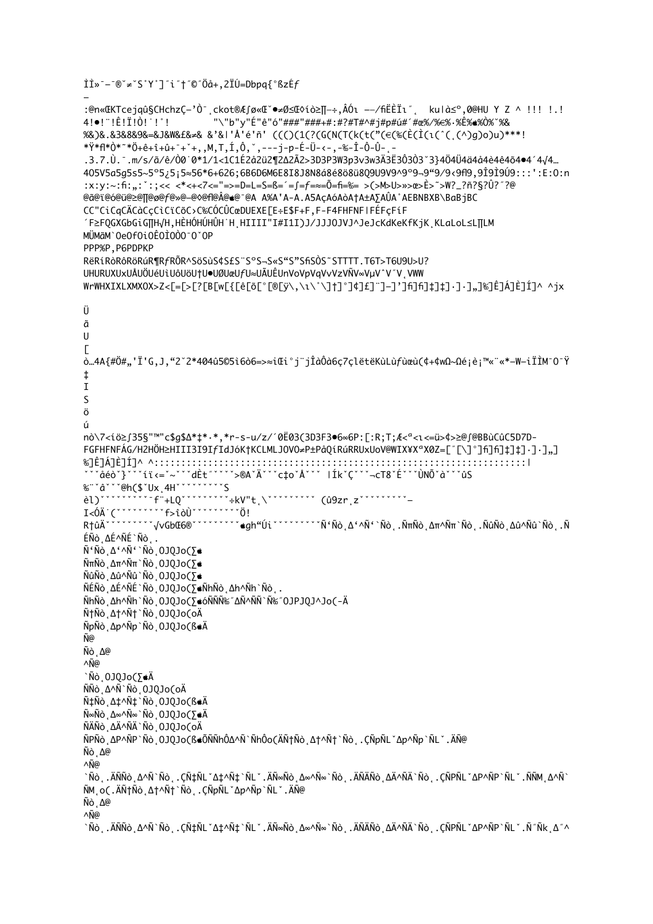```
ÌÌ»<sup>-</sup>-<sup>-</sup>®'≠`S°Y']"i"†"©"Öå+,2ÏÚ=Dbpq{°ßzÉf
```
:@n«ŒKTcejqû§CHchzÇ-'Ò'ˌckot®Æſø«Œˇ●≠Ø≤Œ◊íò≥∏-÷,ÂÓı --/fiËÈÏı″, kulà≤°,0@HU Y Z ^ !!! !.! "\"b"y"É"ê"ó"###"###+#:#?#T#^#j#p#ú#'#œ%/%E%·%Ê%#%Ò%"%& %%)&.&3&8&9&=&J&W&£&≠&&'&|'Å'é'ñ' ((()(1(?(G(N(T(k(t("'(€(%(E(I(1(^(,(^)g)o)u)\*\*\*! \*Ÿ\*fl\*Ò\*~\*Ö+ê+î+û+-+`+,,M,T,Í,Ô,`,---j-p-É-Ü-<-,-‰-Î-Ô-Û-.-.3.7.U. - m/s/ã/ê/Ò0 0\*1/1<1C1É2å2ü2¶2∆2Ã2>3D3P3W3p3v3w3Ä3Ë3Ô3Ò3 `3}4Ö4Ü4ä4å4è4ê4õ4•4′4√4... 405V5a5q5s5~5°5;5;5≈56\*6+626;6B6D6M6E8I8J8N8á8é8ö8ü809U9V9^9°9–9"9/9<9fl9.9Î9Ì9Ú9:::':E:0:n :x:y:~:fi:":ˇ:;<< <\*<+<7<="=>=D=L=S=B=´=∫=f===Õ=f=%= >(>M>U>»>œ>È>~>W?\_?ñ?§?Û?˝?@ @@@t@6@u@≥@∏@@@f@»@-@0@f@A@<@~@A\_A%A'A-A.A5AcA6AdA†A±A∑AÛA°AEBNBXB\BaBjBC CC"CiCqCÄCàCcCìCïCõC>C%CÓCÛCœDUEXE[E÷E\$F+F,F-F4FHFNF|FÉFcFíF ΄F≥FQGXGbGiG∏H√H.HÈHÓHÚHÛH H HIIII"I#I1I)J/JJJOJVJ^JeJcKdKeKfKjK KLaLoL≤L∏LM MÜMãM`OeOfOiOÊOÌOÒO<sup>-</sup>O'OP PPP%P, P6PDPKP RËRIRÒRÖRÖRÜRTRERÖR^SÖSÙS¢SES"S°S-S«S"S"SfiSÒS"STTTT.T6T>T6U9U>U? UHURUXUxUÅUÖUéUìUôUöU†U●UØUœUfU≈UÃUÊUnVoVpVqVvVzVÑV∞VµV^V"V,VWW WrWHXIXLXMXOX>Z<[=[>[?[B[w[{[ê[õ[°[®[ÿ\,\ı\°\]†]°]¢]£]¨]-]']fi]fi]‡]:]:]"]‰]Ê]Á]È]Í]^ ^jx Ü ã  $\cup$  $\Gamma$ d...4A{#Ö#,,'Ï'G,J,"2`Z\*404û5©5ì6∂6=>≈iŒi°j¨jÎàÔà6ç7çlëtëKùLùfùœù(¢+¢wΩ~Ωéjè¡™«¨«\*-W-iÏÌM<sup>-</sup>O<sup>-</sup>Ÿ  $\mathsf{T}$  $\mathsf{S}$ ö ú nò\7<íö≥∫35§"™"c\$q\$∆\*‡\*.\*,\*r-s-u/z/´0Ë03(3D3F3●6∞6P:[:R;T;Æ<ª<ı<=ü>¢>≥@∫@BBùCûC5D7D-FGFHFNFÁG/H2HÖH≥HIII3I9IfIdJóK†KCLMLJOVO≠P±PåQíRúRRUxUoV@WIX¥XªX0Z=["[\]°]fi]fi]‡]:].],]  $\frac{1}{2}$ <br> $\frac{1}{4}$   $\frac{1}{2}$   $\frac{1}{3}$   $\frac{1}{2}$   $\frac{1}{3}$   $\frac{1}{2}$   $\frac{1}{3}$   $\frac{1}{3}$   $\frac{1}{3}$   $\frac{1}{3}$   $\frac{1}{3}$   $\frac{1}{3}$   $\frac{1}{3}$   $\frac{1}{3}$   $\frac{1}{3}$   $\frac{1}{3}$   $\frac{1}{3}$   $\frac{1}{3}$   $\frac{1}{3}$   $\frac{1}{3}$   $\frac{1}{3}$   $I < 0$   $K$   $V$   $\rightarrow$   $K$   $\rightarrow$   $K$   $\rightarrow$   $K$   $\rightarrow$   $K$   $\rightarrow$   $K$   $\rightarrow$   $K$   $\rightarrow$   $K$   $\rightarrow$   $K$   $\rightarrow$   $K$   $\rightarrow$   $K$   $\rightarrow$   $K$   $\rightarrow$   $K$   $\rightarrow$   $K$   $\rightarrow$   $K$   $\rightarrow$   $K$   $\rightarrow$   $K$   $\rightarrow$   $K$   $\rightarrow$   $K$   $\rightarrow$   $K$   $\rightarrow$   $K$   $\rightarrow$   $K$   $\rightarrow$   $K$   $\rightarrow$   $K$ <del>ͺͺ</del><br>R†ûÄ``````````√vGbŒ6®`````````\*qh"Úi`````````Ñ'Ñò¸Δ'^Ñ'`Ñò¸.ÑπÑò¸Δπ^Ñπ`Ñò¸.ÑûÑò¸Δû^Ñû`Ñò¸.Ñ ÉÑò ΔÉ^ÑÉ`Ñò. Ñ'Ñò ∆'^Ñ'`Ñò 0J0Jo(∑€  $N\pi\tilde{N}$ Ò  $\Delta\pi\tilde{N}\pi$ ` $N\delta$  0J0Jo( $\Sigma$ ÑûÑò Aû^Ñû`Ñò 0JQJo(∑ ÑÉÑÒ ∆É^ÑÉ`ÑÒ 0JOJo(∑∉ÑhÑÒ ∆h^Ñh`ÑÒ . ÑhÑò Ah^Ñh`Ñò 0JQJo() (SốÑÑщ "AÑ^ÑÑ`щ "0JPJQJ^Jo(-Ä ÑtÑò At^Ñt`Ñò 0JQJo(oÄ ÑnÑò Δp^Ñp`Ñò 0JQJo(ß«Ä Ñ@ Ñò,∆@ ∧Ñ@ Ñò OJQJo(∑∉Ä ÑÑò A^Ñ`Ñò OJQJo(oÄ чÑò A‡^ч`Ñò 0JQJo(ßoÄ Ñ∞Ñò A∞^Ñ∞`Ñò 0JQJo(∑∉Ä ÑÄÑÒ AÄ^ÑÄ`ÑÒ 0J0Jo(oÄ ÑPÑÒ AP^ÑP`ÑÒ OJOJo(ß∉ÕÑÑhÔ∆^Ñ`ÑhÔo(ÄцÑÒ A†^ц`ÑÒ .CÑpÑL`∆p^Ñp`ÑL`.ÄÑ@ Ñò A@ ∧Ñ⋒ `Ñò .ÄÑÑò Δ^Ñ`Ñò .ÇчÑL`∆‡^ч`ÑL`.ÄÑ∞Ñò Δ∞^Ñ∞`Ñò .ÄÑÄÑò ΔÄ^ÑÄ`Ñò .ÇÑPÑL`∆P^ÑP`ÑL`.ÑÑM Δ^Ñ` ÑΜ o(.ÄÑtÑò Δt^Ñt`Ñò .CÑpÑL`Δp^Ñp`ÑL`.ÄÑ@ Ñò,∆@ ∧Ñ⊚ `Ñò .ÄÑÑò A^Ñ`Ñò .ÇчÑL`∆‡^ч`ÑL`.ÄÑ∞Ñò A∞^Ñ∞`Ñò .ÄÑÄÑò AÄ^ÑÄ`Ñò .ÇÑPÑL`AP^ÑP`ÑL`.Ñ˝Ñk A´^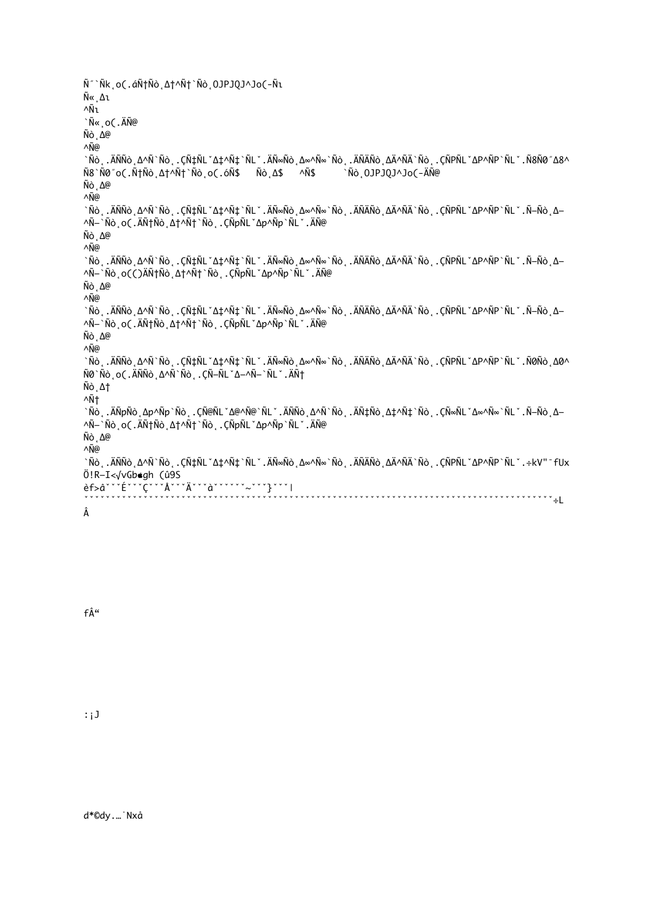Ñ″`Ñkˌo(.áцÑòˌ∆†^ц`ÑòˌOJPJQJ^Jo(-Ñı Ñ«¸∆ı ^Ñı `Ñ«¸o(.ÄÑ@ Ñò ∆@ ^Ñ@ `Ñò˛.ÄÑÑò˛∆^Ñ`Ñò˛.ÇчÑLˇ∆‡^ч`ÑLˇ.ÄÑ∞Ñò˛∆∞^Ñ∞`Ñò˛.ÄÑÄÑò˛∆Ä^ÑÄ`Ñò˛.ÇÑPÑLˇ∆P^ÑP`ÑLˇ.Ñ8Ñ0˝∆8^ Ñ8`Ñ0˝o(.цÑò˛∆†^ц`Ñò˛o(.óÑ\$ Ñò˛∆\$ ^Ñ\$ `Ñò˛OJPJQJ^Jo(-ÄÑ@ Ñò∆@ ^Ñ@ `Ñò˛.ÄÑÑò˛∆^Ñ`Ñò˛.ÇчÑLˇ∆‡^ч`ÑLˇ.ÄÑ∞Ñò˛∆∞^Ñ∞`Ñò˛.ÄÑÄÑò˛∆Ä^ÑÄ`Ñò˛.ÇÑPÑLˇ∆P^ÑP`ÑLˇ.Ñ–Ñò˛∆– ^Ñ–`Ñò o(.ÄцÑò ∆†^ц`Ñò .ÇÑpÑL`∆p^Ñp`ÑL`.ÄÑ@ Ñò∆@ ^Ñ@ `Ñò˛.ÄÑÑò˛∆^Ñ`Ñò˛.ÇчÑLˇ∆‡^ч`ÑLˇ.ÄÑ∞Ñò˛∆∞^Ñ∞`Ñò˛.ÄÑÄÑò˛∆Ä^ÑÄ`Ñò˛.ÇÑPÑLˇ∆P^ÑP`ÑLˇ.Ñ–Ñò˛∆– ^Ñ–`Ñò o(()ÄцÑò ∆†^ц`Ñò .ÇÑpÑL`∆p^Ñp`ÑL`.ÄÑ@ Ñò ∆@ ^Ñ@ `Ñò˛.ÄÑÑò˛∆^Ñ`Ñò˛.ÇчÑLˇ∆‡^ч`ÑLˇ.ÄÑ∞Ñò˛∆∞^Ñ∞`Ñò˛.ÄÑÄÑò˛∆Ä^ÑÄ`Ñò˛.ÇÑPÑLˇ∆P^ÑP`ÑLˇ.Ñ–Ñò˛∆– ^Ñ–`Ñò,o(.ÄцÑò,∆†^ц`Ñò,.ÇÑpÑL`∆p^Ñp`ÑL`.ÄÑ@ Ñò ∆@ ^Ñ@ `Ñò, .ÄÑÑò¸∆^Ñ`Ñò, .ÇчÑL`∆‡^ѱ`ÑLˇ.ÄÑ∞Ñò¸∆∞^Ñ∞`Ñò, .ÄÄÄÑò ∆Ä^Ñà`Ñò, .ÇÑPÑLˇ∆P^ÑP`ÑLˇ.ÑôÑò,∆0^ Ñ0`Ñòˌo(.ÄÑÑòˌ∆^Ñ`Ñòˌ.ÇÑ-ÑLˇ∆-^Ñ-`ÑLˇ.Äц Ñò,∆† ^ц `Ñò˛.ÄÑpÑò˛∆p^Ñp`Ñò˛.ÇÑ@ÑLˇ∆@^Ñ@`ÑLˇ.ÄÑÑò˛∆^Ñ`Ñò˛.ÄчÑò˛∆‡^ч`Ñò˛.ÇÑ∞ÑLˇ∆∞^Ñ∞`ÑLˇ.Ñ–Ñò˛∆– ^Ñ–`Ñò,o(.ÄцÑò,∆†^ц`Ñò,.ÇÑpÑL`∆p^Ñp`ÑL`.ÄÑ@ Ñò˛∆@ ^Ñ@ `Ñò˛.ÄÑÑò˛∆^Ñ`Ñò˛.ÇчÑLˇ∆‡^ч`ÑLˇ.ÄÑ∞Ñò˛∆∞^Ñ∞`Ñò˛.ÄÑÄÑò˛∆Ä^ÑÄ`Ñò˛.ÇÑPÑLˇ∆P^ÑP`ÑLˇ.÷kV"¯fUx Ö!R-I<√vGb<sub>\*</sub>gh (û9S èf>⡡ˇÉˇˇˇÇˇˇˇÅˇˇˇÄˇˇˇàˇˇˇˇˇˇ~ˇˇˇ}ˇˇˇ| ˇˇˇˇˇˇˇˇˇˇˇˇˇˇˇˇˇˇˇˇˇˇˇˇˇˇˇˇˇˇˇˇˇˇˇˇˇˇˇˇˇˇˇˇˇˇˇˇˇˇˇˇˇˇˇˇˇˇˇˇˇˇˇˇˇˇˇˇˇˇˇˇˇˇˇˇˇˇˇˇˇˇˇˇˇˇˇ÷L Â

f"

:¡J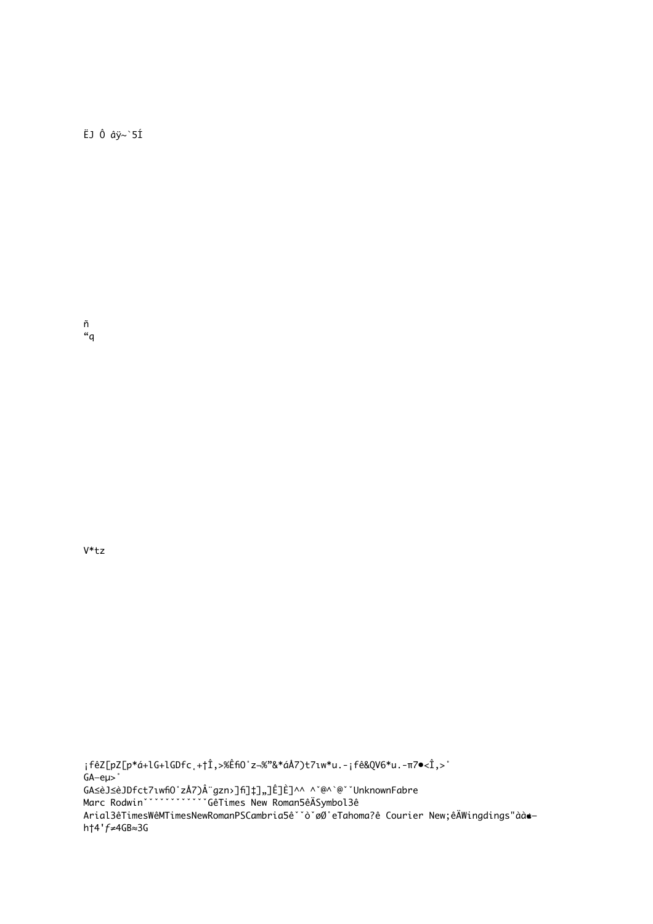ËJ Ô âÿ~`5Í

ñ<br>"q

 $V*tz$ 

ifêZ[pZ[p\*á+lG+lGDfc.+|Î,>%Êfi0°z-%"&\*áÅ7)t7ιw\*u.-jfê&QV6\*u.-π7•<Î,>°  $GA-ey$ Arial3êTimesWêMTimesNewRomanPSCambria5ê``ò`øØ°eTahoma?ê Courier New;êÄWingdings"àà ht4' $f \neq 4$ GB $\approx 3$ G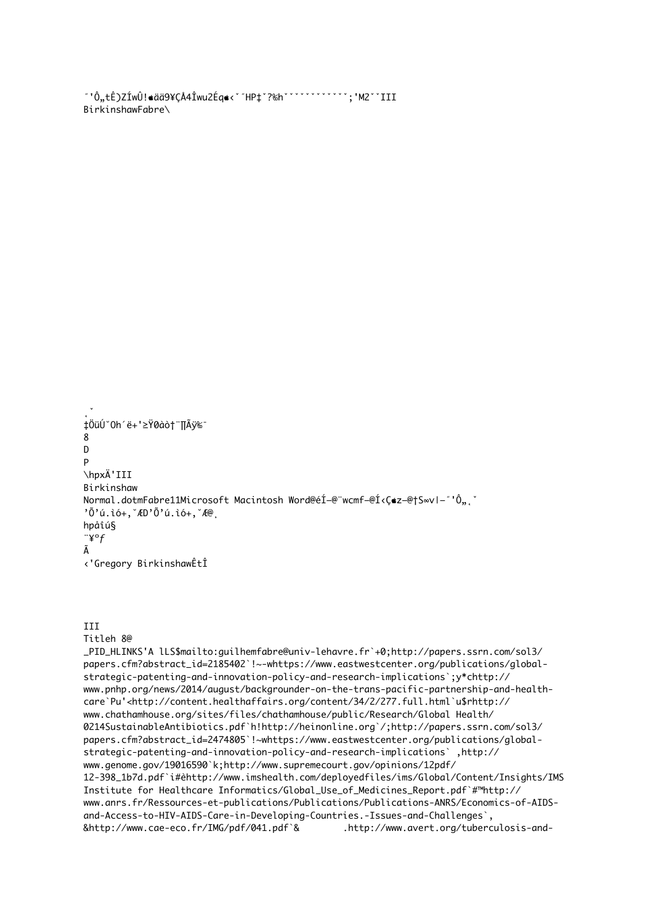"'Ô.tÊ)ZÍwÛ!«ää9¥CÅ4Îwu2Éa«<`"HP±`?%h`````````````'''Y!II BirkinshawFabre\

```
‡ÖüÚ~0h´ë+'≥Ÿ0àò†¨∏Ãÿ‰<sup>-</sup>
8
D
\overline{P}\hpxÄ'III
Birkinshaw
Normal.dotmFabre11Microsoft Macintosh Word@éÍ-@"wcmf-@Í <Coz-@tS∞vl-"'Ô,
'0' (4.16 + 74D'0'(4.16 + 74Q)hpåîú§
\cdot \dot{\ast}Ã
«'Gregory BirkinshawÊtÎ
```
### **TTT**

#### Titleh 8@

\_PID\_HLINKS'A lLS\$mailto:guilhemfabre@univ-lehavre.fr`+0;http://papers.ssrn.com/sol3/ papers.cfm?abstract\_id=2185402`!~-whttps://www.eastwestcenter.org/publications/globalstrategic-patenting-and-innovation-policy-and-research-implications';y\*chttp:// www.pnhp.org/news/2014/august/backgrounder-on-the-trans-pacific-partnership-and-healthcare`Pu'<http://content.healthaffairs.org/content/34/2/277.full.html`u\$rhttp:// www.chathamhouse.org/sites/files/chathamhouse/public/Research/Global Health/ 0214SustainableAntibiotics.pdf`h!http://heinonline.org`/;http://papers.ssrn.com/sol3/ papers.cfm?abstract\_id=2474805`!~whttps://www.eastwestcenter.org/publications/globalstrategic-patenting-and-innovation-policy-and-research-implications', http:// www.genome.gov/19016590`k;http://www.supremecourt.gov/opinions/12pdf/ 12-398\_1b7d.pdf`i#èhttp://www.imshealth.com/deployedfiles/ims/Global/Content/Insights/IMS Institute for Healthcare Informatics/Global\_Use\_of\_Medicines\_Report.pdf`#™http:// www.anrs.fr/Ressources-et-publications/Publications/Publications-ANRS/Economics-of-AIDSand-Access-to-HIV-AIDS-Care-in-Developing-Countries.-Issues-and-Challenges', &http://www.cae-eco.fr/IMG/pdf/041.pdf`& .http://www.avert.org/tuberculosis-and